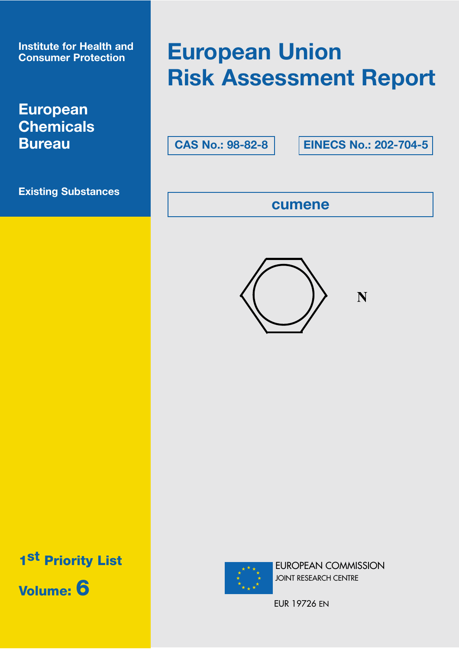### **Institute for Health and Consumer Protection**

**European Chemicals Bureau**

**Existing Substances**

# **European Union Risk Assessment Report**

**CAS No.: 98-82-8 EINECS No.: 202-704-5**

**cumene**



**1st Priority List Volume: 6**



EUROPEAN COMMISSION JOINT RESEARCH CENTRE

EUR 19726 EN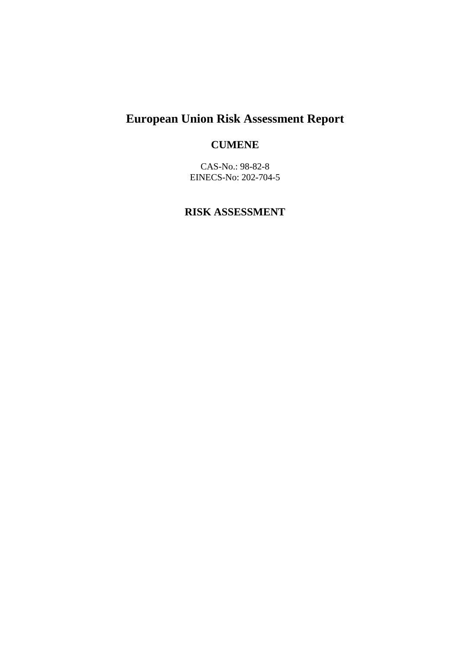## **European Union Risk Assessment Report**

### **CUMENE**

CAS-No.: 98-82-8 EINECS-No: 202-704-5

### **RISK ASSESSMENT**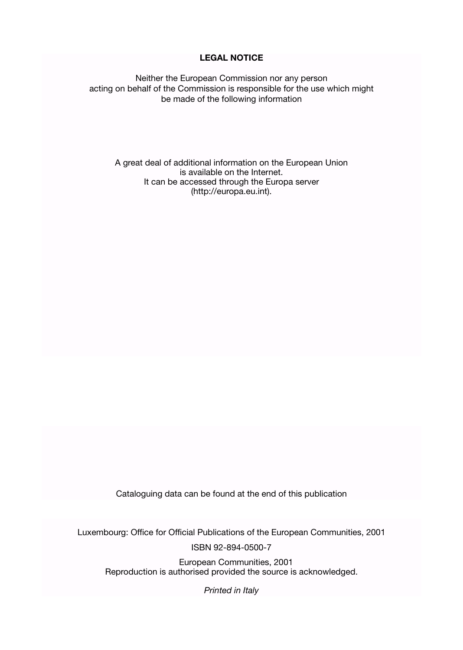### **LEGAL NOTICE**

Neither the European Commission nor any person acting on behalf of the Commission is responsible for the use which might be made of the following information

A great deal of additional information on the European Union is available on the Internet. It can be accessed through the Europa server (http://europa.eu.int).

Cataloguing data can be found at the end of this publication

Luxembourg: Office for Official Publications of the European Communities, 2001 ISBN 92-894-0500-7

 European Communities, 2001 Reproduction is authorised provided the source is acknowledged.

*Printed in Italy*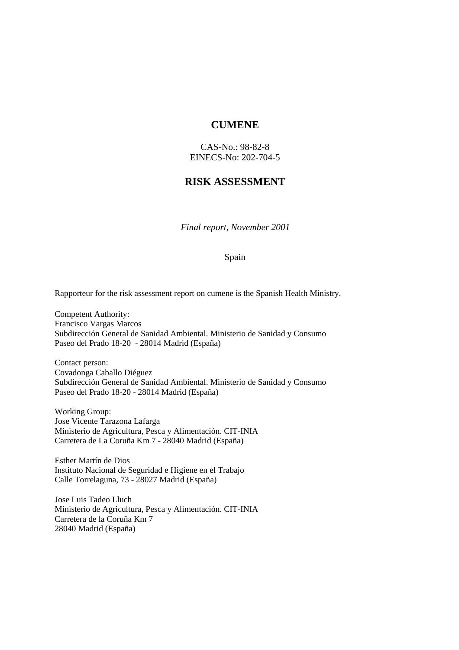### **CUMENE**

CAS-No.: 98-82-8 EINECS-No: 202-704-5

### **RISK ASSESSMENT**

*Final report, November 2001*

#### Spain

Rapporteur for the risk assessment report on cumene is the Spanish Health Ministry.

Competent Authority: Francisco Vargas Marcos Subdirección General de Sanidad Ambiental. Ministerio de Sanidad y Consumo Paseo del Prado 18-20 - 28014 Madrid (España)

Contact person: Covadonga Caballo Diéguez Subdirección General de Sanidad Ambiental. Ministerio de Sanidad y Consumo Paseo del Prado 18-20 - 28014 Madrid (España)

Working Group: Jose Vicente Tarazona Lafarga Ministerio de Agricultura, Pesca y Alimentación. CIT-INIA Carretera de La Coruña Km 7 - 28040 Madrid (España)

Esther Martín de Dios Instituto Nacional de Seguridad e Higiene en el Trabajo Calle Torrelaguna, 73 - 28027 Madrid (España)

Jose Luis Tadeo Lluch Ministerio de Agricultura, Pesca y Alimentación. CIT-INIA Carretera de la Coruña Km 7 28040 Madrid (España)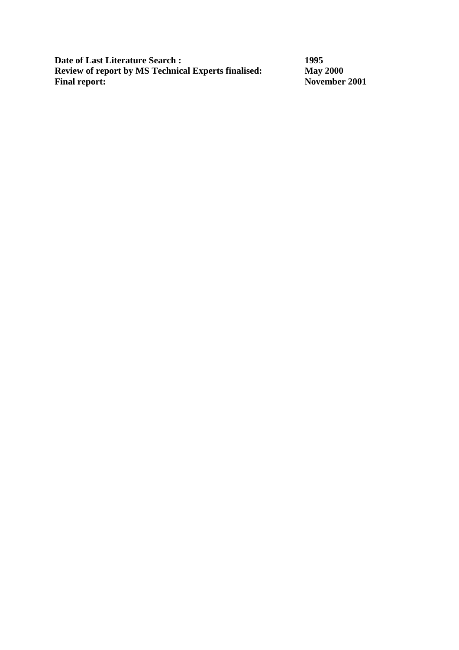**Date of Last Literature Search : 1995<br>
Review of report by MS Technical Experts finalised: 1995<br>
Final report: 1995<br>
November 2001 Review of report by MS Technical Experts finalised: May 2000**  Final report: November 2001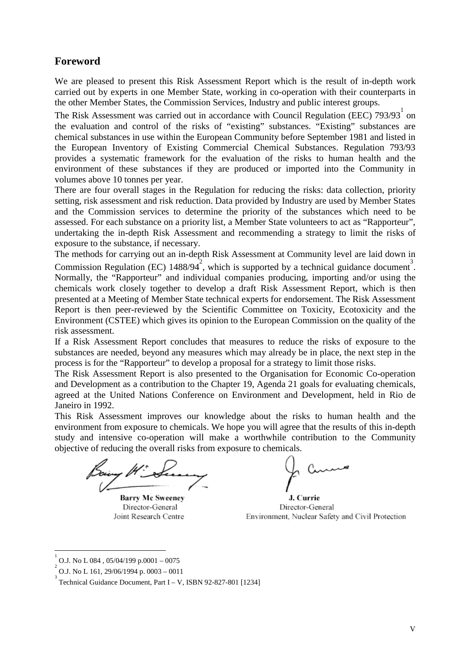### **Foreword**

We are pleased to present this Risk Assessment Report which is the result of in-depth work carried out by experts in one Member State, working in co-operation with their counterparts in the other Member States, the Commission Services, Industry and public interest groups.

The Risk Assessment was carried out in accordance with Council Regulation (EEC) 793/93<sup>1</sup> on the evaluation and control of the risks of "existing" substances. "Existing" substances are chemical substances in use within the European Community before September 1981 and listed in the European Inventory of Existing Commercial Chemical Substances. Regulation 793/93 provides a systematic framework for the evaluation of the risks to human health and the environment of these substances if they are produced or imported into the Community in volumes above 10 tonnes per year.

There are four overall stages in the Regulation for reducing the risks: data collection, priority setting, risk assessment and risk reduction. Data provided by Industry are used by Member States and the Commission services to determine the priority of the substances which need to be assessed. For each substance on a priority list, a Member State volunteers to act as "Rapporteur", undertaking the in-depth Risk Assessment and recommending a strategy to limit the risks of exposure to the substance, if necessary.

The methods for carrying out an in-depth Risk Assessment at Community level are laid down in Commission Regulation (EC)  $1488/94^2$ , which is supported by a technical guidance document<sup>3</sup>. Normally, the "Rapporteur" and individual companies producing, importing and/or using the chemicals work closely together to develop a draft Risk Assessment Report, which is then presented at a Meeting of Member State technical experts for endorsement. The Risk Assessment Report is then peer-reviewed by the Scientific Committee on Toxicity, Ecotoxicity and the Environment (CSTEE) which gives its opinion to the European Commission on the quality of the risk assessment.

If a Risk Assessment Report concludes that measures to reduce the risks of exposure to the substances are needed, beyond any measures which may already be in place, the next step in the process is for the "Rapporteur" to develop a proposal for a strategy to limit those risks.

The Risk Assessment Report is also presented to the Organisation for Economic Co-operation and Development as a contribution to the Chapter 19, Agenda 21 goals for evaluating chemicals, agreed at the United Nations Conference on Environment and Development, held in Rio de Janeiro in 1992.

This Risk Assessment improves our knowledge about the risks to human health and the environment from exposure to chemicals. We hope you will agree that the results of this in-depth study and intensive co-operation will make a worthwhile contribution to the Community objective of reducing the overall risks from exposure to chemicals.

**Barry Mc Sweeney** Director-General Joint Research Centre

J. Currie Director-General Environment, Nuclear Safety and Civil Protection

 $\overline{a}$ 

<sup>1</sup> O.J. No L 084 , 05/04/199 p.0001 – 0075

<sup>2</sup> O.J. No L 161, 29/06/1994 p. 0003 – 0011

<sup>3</sup> Technical Guidance Document, Part I – V, ISBN 92-827-801 [1234]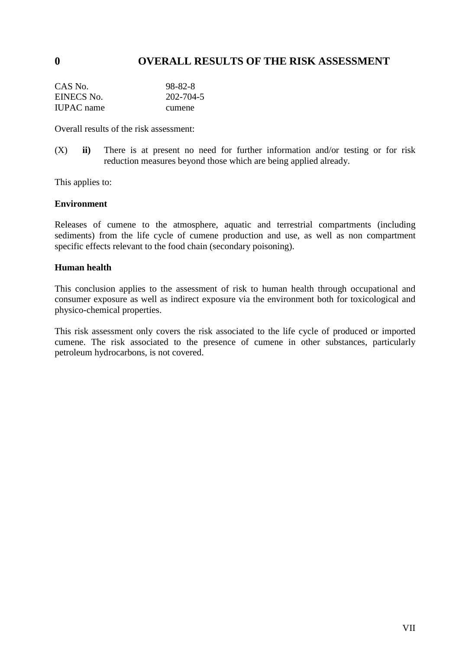### **0 OVERALL RESULTS OF THE RISK ASSESSMENT**

| CAS No.           | 98-82-8   |
|-------------------|-----------|
| EINECS No.        | 202-704-5 |
| <b>IUPAC</b> name | cumene    |

Overall results of the risk assessment:

(X) **ii)** There is at present no need for further information and/or testing or for risk reduction measures beyond those which are being applied already.

This applies to:

#### **Environment**

Releases of cumene to the atmosphere, aquatic and terrestrial compartments (including sediments) from the life cycle of cumene production and use, as well as non compartment specific effects relevant to the food chain (secondary poisoning).

### **Human health**

This conclusion applies to the assessment of risk to human health through occupational and consumer exposure as well as indirect exposure via the environment both for toxicological and physico-chemical properties.

This risk assessment only covers the risk associated to the life cycle of produced or imported cumene. The risk associated to the presence of cumene in other substances, particularly petroleum hydrocarbons, is not covered.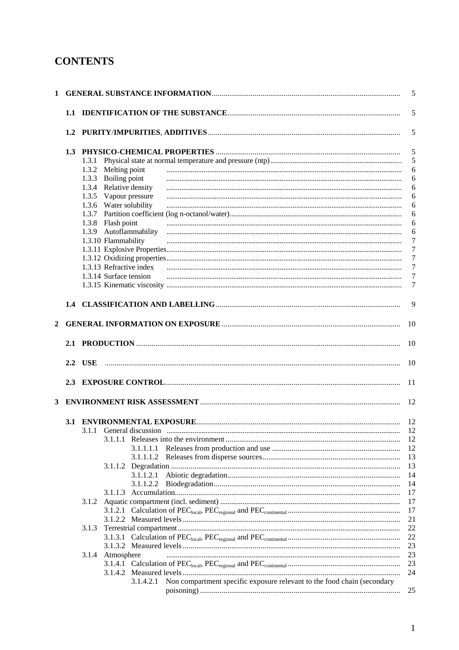### **CONTENTS**

| 1 |     |         |                                                                                      | 5              |
|---|-----|---------|--------------------------------------------------------------------------------------|----------------|
|   |     |         |                                                                                      | 5              |
|   |     |         |                                                                                      | 5              |
|   |     |         |                                                                                      | 5              |
|   |     | 1.3.1   |                                                                                      | 5              |
|   |     | 1.3.2   | Melting point                                                                        | 6              |
|   |     |         | 1.3.3 Boiling point                                                                  | 6              |
|   |     |         | 1.3.4 Relative density                                                               | 6              |
|   |     | 1.3.5   | Vapour pressure                                                                      | 6              |
|   |     |         | 1.3.6 Water solubility                                                               | 6              |
|   |     |         |                                                                                      | 6              |
|   |     | 1.3.8   | Flash point                                                                          | 6              |
|   |     |         | 1.3.9 Autoflammability<br>1.3.10 Flammability                                        | 6<br>7         |
|   |     |         |                                                                                      | $\overline{7}$ |
|   |     |         |                                                                                      | 7              |
|   |     |         | 1.3.13 Refractive index                                                              | 7              |
|   |     |         | 1.3.14 Surface tension                                                               | 7              |
|   |     |         |                                                                                      | 7              |
|   |     |         |                                                                                      |                |
|   |     |         |                                                                                      | 9              |
| 2 |     |         |                                                                                      | - 10           |
|   |     |         |                                                                                      |                |
|   |     |         |                                                                                      | 10             |
|   |     |         |                                                                                      |                |
|   |     | 2.2 USE |                                                                                      | 10             |
|   |     |         |                                                                                      | -11            |
| 3 |     |         |                                                                                      | - 12           |
|   |     |         |                                                                                      |                |
|   | 3.1 |         |                                                                                      | - 12           |
|   |     |         |                                                                                      | 12             |
|   |     |         |                                                                                      |                |
|   |     |         | 3.1.1.1.1                                                                            |                |
|   |     |         | 3.1.1.1.2                                                                            |                |
|   |     |         |                                                                                      | -13            |
|   |     |         | 3.1.1.2.1                                                                            | -14            |
|   |     |         | 3.1.1.2.2                                                                            | 14             |
|   |     |         |                                                                                      | 17             |
|   |     | 3.1.2   |                                                                                      | 17             |
|   |     |         |                                                                                      | 17<br>21       |
|   |     | 3.1.3   |                                                                                      | 22             |
|   |     |         |                                                                                      | 22             |
|   |     |         |                                                                                      | 23             |
|   |     |         | 3.1.4 Atmosphere                                                                     | 23             |
|   |     |         |                                                                                      |                |
|   |     |         |                                                                                      |                |
|   |     |         |                                                                                      | 23<br>24       |
|   |     |         | Non compartment specific exposure relevant to the food chain (secondary<br>3.1.4.2.1 |                |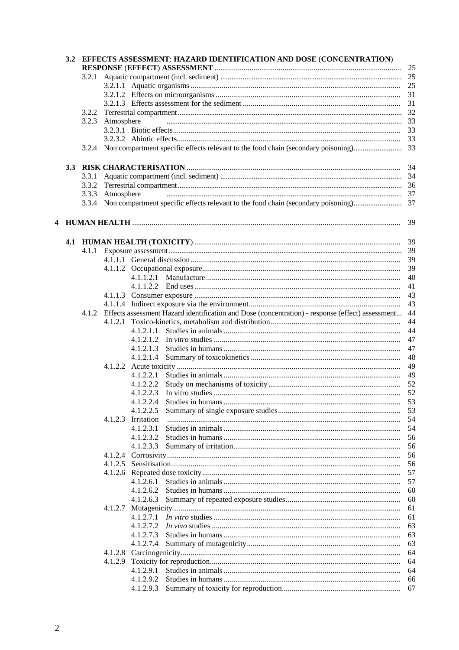|       |                    | 3.2 EFFECTS ASSESSMENT: HAZARD IDENTIFICATION AND DOSE (CONCENTRATION)                                 |  |
|-------|--------------------|--------------------------------------------------------------------------------------------------------|--|
|       |                    |                                                                                                        |  |
|       |                    |                                                                                                        |  |
|       |                    |                                                                                                        |  |
|       |                    |                                                                                                        |  |
|       |                    |                                                                                                        |  |
| 3.2.2 |                    |                                                                                                        |  |
| 3.2.3 | Atmosphere         |                                                                                                        |  |
|       |                    |                                                                                                        |  |
|       |                    |                                                                                                        |  |
|       |                    |                                                                                                        |  |
|       |                    |                                                                                                        |  |
| 3.3.1 |                    |                                                                                                        |  |
| 3.3.2 |                    |                                                                                                        |  |
| 3.3.3 | Atmosphere         |                                                                                                        |  |
|       |                    |                                                                                                        |  |
|       |                    |                                                                                                        |  |
|       |                    |                                                                                                        |  |
|       |                    |                                                                                                        |  |
|       |                    |                                                                                                        |  |
|       |                    |                                                                                                        |  |
|       |                    |                                                                                                        |  |
|       |                    |                                                                                                        |  |
|       |                    |                                                                                                        |  |
|       |                    |                                                                                                        |  |
|       |                    | 4.1.2 Effects assessment Hazard identification and Dose (concentration) - response (effect) assessment |  |
|       | 4.1.2.1            |                                                                                                        |  |
|       |                    | 4.1.2.1.1                                                                                              |  |
|       |                    | 4.1.2.1.2                                                                                              |  |
|       |                    | 4.1.2.1.3                                                                                              |  |
|       |                    | 4.1.2.1.4                                                                                              |  |
|       |                    |                                                                                                        |  |
|       |                    |                                                                                                        |  |
|       |                    | 4.1.2.2.2                                                                                              |  |
|       |                    | 4.1.2.2.3                                                                                              |  |
|       |                    | 4.1.2.2.4                                                                                              |  |
|       |                    |                                                                                                        |  |
|       | 4.1.2.3 Irritation |                                                                                                        |  |
|       |                    | 4.1.2.3.1                                                                                              |  |
|       |                    | 4.1.2.3.2                                                                                              |  |
|       |                    | 4.1.2.3.3                                                                                              |  |
|       | 4.1.2.4            |                                                                                                        |  |
|       |                    |                                                                                                        |  |
|       |                    |                                                                                                        |  |
|       |                    | 4.1.2.6.1                                                                                              |  |
|       |                    |                                                                                                        |  |
|       |                    | 4.1.2.6.3                                                                                              |  |
|       |                    |                                                                                                        |  |
|       |                    |                                                                                                        |  |
|       |                    |                                                                                                        |  |
|       |                    | 4.1.2.7.3                                                                                              |  |
|       |                    | 4.1.2.7.4                                                                                              |  |
|       |                    |                                                                                                        |  |
|       | 4.1.2.9            |                                                                                                        |  |
|       |                    | 4.1.2.9.1                                                                                              |  |
|       |                    | 4.1.2.9.2                                                                                              |  |
|       |                    | 4.1.2.9.3                                                                                              |  |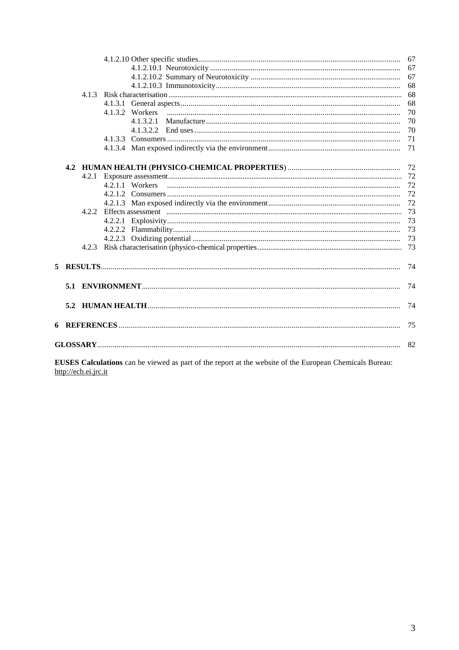|   |     |       |                                                                                                         | 67 |
|---|-----|-------|---------------------------------------------------------------------------------------------------------|----|
|   |     |       |                                                                                                         |    |
|   |     |       |                                                                                                         | 67 |
|   |     |       |                                                                                                         | 68 |
|   |     | 4.1.3 |                                                                                                         | 68 |
|   |     |       |                                                                                                         | 68 |
|   |     |       | 4.1.3.2 Workers                                                                                         | 70 |
|   |     |       |                                                                                                         | 70 |
|   |     |       |                                                                                                         | 70 |
|   |     |       | 4.1.3.3                                                                                                 | 71 |
|   |     |       |                                                                                                         | 71 |
|   | 4.2 |       |                                                                                                         | 72 |
|   |     | 4.2.1 |                                                                                                         | 72 |
|   |     |       | 4.2.1.1 Workers                                                                                         | 72 |
|   |     |       |                                                                                                         | 72 |
|   |     |       |                                                                                                         | 72 |
|   |     | 4.2.2 |                                                                                                         | 73 |
|   |     |       |                                                                                                         | 73 |
|   |     |       |                                                                                                         | 73 |
|   |     |       |                                                                                                         | 73 |
|   |     | 4.2.3 |                                                                                                         | 73 |
|   |     |       |                                                                                                         |    |
| 5 |     |       |                                                                                                         | 74 |
|   |     |       |                                                                                                         | 74 |
|   |     |       |                                                                                                         | 74 |
|   |     |       |                                                                                                         | 75 |
|   |     |       |                                                                                                         |    |
|   |     |       |                                                                                                         |    |
|   |     |       | EUSES Calculations can be viewed as part of the report at the website of the European Chemicals Bureau: |    |

 $http://ecb.ei.jrc.it$ </u>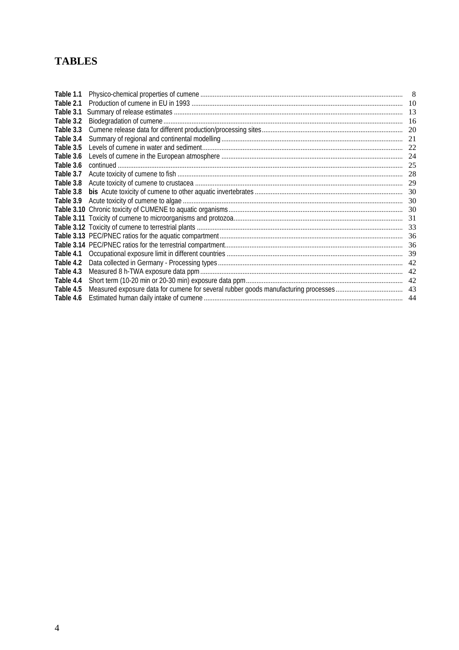### **TABLES**

| Table 1.1 | - 8 |
|-----------|-----|
| Table 2.1 |     |
| Table 3.1 |     |
| Table 3.2 |     |
| Table 3.3 |     |
| Table 3.4 |     |
| Table 3.5 |     |
| Table 3.6 |     |
| Table 3.6 |     |
| Table 3.7 |     |
| Table 3.8 |     |
| Table 3.8 |     |
| Table 3.9 |     |
|           |     |
|           |     |
|           |     |
|           |     |
|           |     |
| Table 4.1 |     |
| Table 4.2 |     |
| Table 4.3 |     |
| Table 4.4 |     |
| Table 4.5 |     |
| Table 4.6 |     |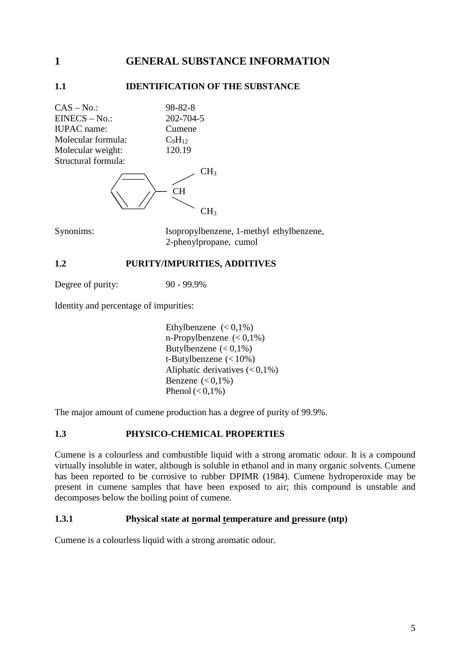### **1 GENERAL SUBSTANCE INFORMATION**

### **1.1 IDENTIFICATION OF THE SUBSTANCE**

 $CAS - No.$ : 98-82-8 EINECS – No.: 202-704-5 IUPAC name:Cumene Molecular formula:  $C_9H_{12}$ Molecular weight: 120.19 Structural formula:



Synonims: Isopropylbenzene, 1-methyl ethylbenzene, 2-phenylpropane, cumol

### **1.2 PURITY/IMPURITIES, ADDITIVES**

Degree of purity: 90 - 99.9%

Identity and percentage of impurities:

Ethylbenzene  $( $0.1\%$ )$ n-Propylbenzene  $( $0.1\%$ )$ Butylbenzene  $( $0.1\%$ )$ t-Butylbenzene  $(< 10\%)$ Aliphatic derivatives  $( $0.1\%$ )$ Benzene  $( $0.1\%$ )$ Phenol  $( $0,1\%$ )$ 

The major amount of cumene production has a degree of purity of 99.9%.

### **1.3 PHYSICO-CHEMICAL PROPERTIES**

Cumene is a colourless and combustible liquid with a strong aromatic odour. It is a compound virtually insoluble in water, although is soluble in ethanol and in many organic solvents. Cumene has been reported to be corrosive to rubber DPIMR (1984). Cumene hydroperoxide may be present in cumene samples that have been exposed to air; this compound is unstable and decomposes below the boiling point of cumene.

### **1.3.1 Physical state at normal temperature and pressure (ntp)**

Cumene is a colourless liquid with a strong aromatic odour.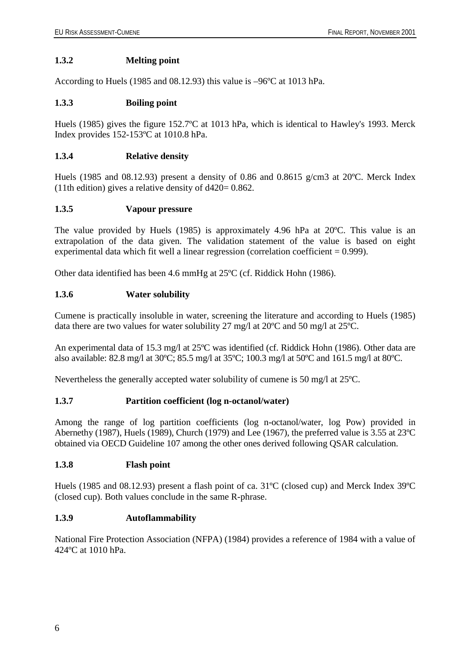### **1.3.2 Melting point**

According to Huels (1985 and 08.12.93) this value is –96ºC at 1013 hPa.

### **1.3.3 Boiling point**

Huels (1985) gives the figure 152.7ºC at 1013 hPa, which is identical to Hawley's 1993. Merck Index provides 152-153ºC at 1010.8 hPa.

#### **1.3.4 Relative density**

Huels (1985 and 08.12.93) present a density of 0.86 and 0.8615 g/cm3 at 20°C. Merck Index (11th edition) gives a relative density of d420= 0.862.

#### **1.3.5 Vapour pressure**

The value provided by Huels (1985) is approximately 4.96 hPa at 20ºC. This value is an extrapolation of the data given. The validation statement of the value is based on eight experimental data which fit well a linear regression (correlation coefficient  $= 0.999$ ).

Other data identified has been 4.6 mmHg at 25ºC (cf. Riddick Hohn (1986).

### **1.3.6 Water solubility**

Cumene is practically insoluble in water, screening the literature and according to Huels (1985) data there are two values for water solubility 27 mg/l at 20ºC and 50 mg/l at 25ºC.

An experimental data of 15.3 mg/l at 25°C was identified (cf. Riddick Hohn (1986). Other data are also available: 82.8 mg/l at 30ºC; 85.5 mg/l at 35ºC; 100.3 mg/l at 50ºC and 161.5 mg/l at 80ºC.

Nevertheless the generally accepted water solubility of cumene is 50 mg/l at 25ºC.

#### **1.3.7 Partition coefficient (log n-octanol/water)**

Among the range of log partition coefficients (log n-octanol/water, log Pow) provided in Abernethy (1987), Huels (1989), Church (1979) and Lee (1967), the preferred value is 3.55 at 23ºC obtained via OECD Guideline 107 among the other ones derived following QSAR calculation.

#### **1.3.8 Flash point**

Huels (1985 and 08.12.93) present a flash point of ca. 31ºC (closed cup) and Merck Index 39ºC (closed cup). Both values conclude in the same R-phrase.

#### **1.3.9 Autoflammability**

National Fire Protection Association (NFPA) (1984) provides a reference of 1984 with a value of 424ºC at 1010 hPa.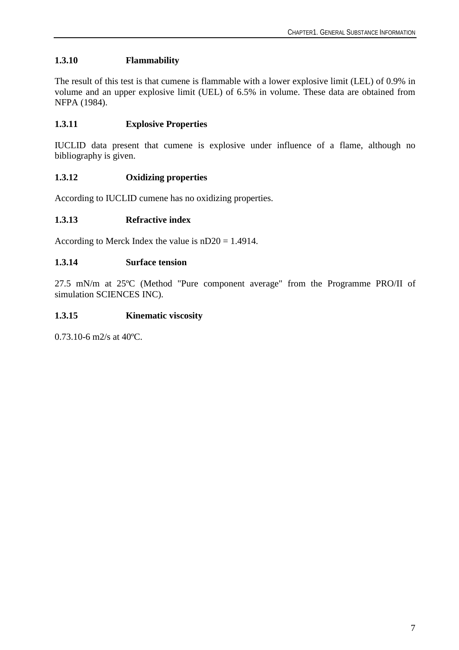### **1.3.10 Flammability**

The result of this test is that cumene is flammable with a lower explosive limit (LEL) of 0.9% in volume and an upper explosive limit (UEL) of 6.5% in volume. These data are obtained from NFPA (1984).

### **1.3.11 Explosive Properties**

IUCLID data present that cumene is explosive under influence of a flame, although no bibliography is given.

### **1.3.12 Oxidizing properties**

According to IUCLID cumene has no oxidizing properties.

### **1.3.13 Refractive index**

According to Merck Index the value is  $nD20 = 1.4914$ .

### **1.3.14 Surface tension**

27.5 mN/m at 25ºC (Method "Pure component average" from the Programme PRO/II of simulation SCIENCES INC).

### **1.3.15 Kinematic viscosity**

0.73.10-6 m2/s at 40ºC.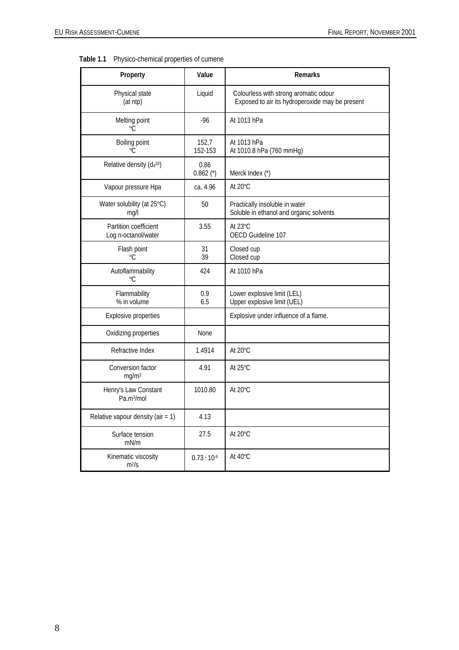| Property                                       | Value                | <b>Remarks</b>                                                                           |
|------------------------------------------------|----------------------|------------------------------------------------------------------------------------------|
| Physical state<br>(at ntp)                     | Liquid               | Colourless with strong aromatic odour<br>Exposed to air its hydroperoxide may be present |
| Melting point<br>°Č                            | $-96$                | At 1013 hPa                                                                              |
| <b>Boiling point</b><br>$\rm ^{o}C$            | 152,7<br>152-153     | At 1013 hPa<br>At 1010.8 hPa (760 mmHg)                                                  |
| Relative density (d <sub>420</sub> )           | 0.86<br>$0.862$ (*)  | Merck Index (*)                                                                          |
| Vapour pressure Hpa                            | ca. 4.96             | At 20°C                                                                                  |
| Water solubility (at 25°C)<br>mq/l             | 50                   | Practically insoluble in water<br>Soluble in ethanol and organic solvents                |
| Partition coefficient<br>Log n-octanol/water   | 3.55                 | At 23°C<br>OECD Guideline 107                                                            |
| Flash point<br>°C                              | 31<br>39             | Closed cup<br>Closed cup                                                                 |
| Autoflammability<br>°C                         | 424                  | At 1010 hPa                                                                              |
| Flammability<br>% in volume                    | 0.9<br>6.5           | Lower explosive limit (LEL)<br>Upper explosive limit (UEL)                               |
| <b>Explosive properties</b>                    |                      | Explosive under influence of a flame.                                                    |
| Oxidizing properties                           | None                 |                                                                                          |
| Refractive Index                               | 1.4914               | At 20°C                                                                                  |
| Conversion factor<br>mg/m <sup>3</sup>         | 4.91                 | At 25°C                                                                                  |
| Henry's Law Constant<br>Pa.m <sup>3</sup> /mol | 1010.80              | At 20°C                                                                                  |
| Relative vapour density (air = $1$ )           | 4.13                 |                                                                                          |
| Surface tension<br>mN/m                        | 27.5                 | At 20°C                                                                                  |
| Kinematic viscosity<br>$m^2/s$                 | $0.73 \cdot 10^{-6}$ | At 40°C                                                                                  |

|  |  | Table 1.1 Physico-chemical properties of cumene |
|--|--|-------------------------------------------------|
|--|--|-------------------------------------------------|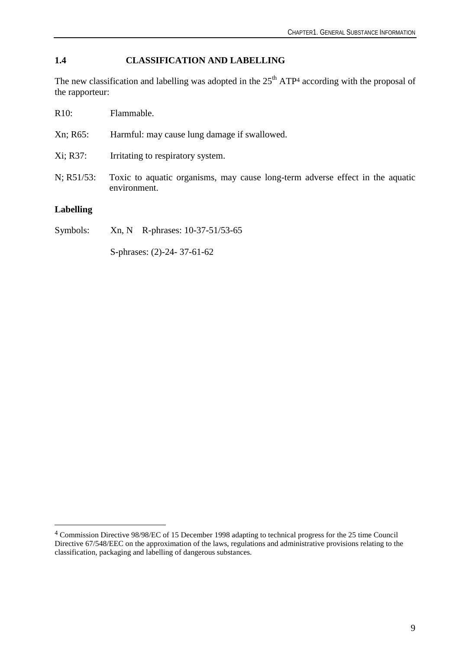### **1.4 CLASSIFICATION AND LABELLING**

The new classification and labelling was adopted in the  $25<sup>th</sup> ATP<sup>4</sup>$  according with the proposal of the rapporteur:

| R10:       | Flammable.                                                                                    |
|------------|-----------------------------------------------------------------------------------------------|
| Xn; R65:   | Harmful: may cause lung damage if swallowed.                                                  |
| Xi; R37:   | Irritating to respiratory system.                                                             |
| N; R51/53: | Toxic to aquatic organisms, may cause long-term adverse effect in the aquatic<br>environment. |
| I ahelling |                                                                                               |

#### **Labelling**

 $\overline{a}$ 

Symbols: Xn, N R-phrases: 10-37-51/53-65

S-phrases: (2)-24- 37-61-62

<sup>4</sup> Commission Directive 98/98/EC of 15 December 1998 adapting to technical progress for the 25 time Council Directive 67/548/EEC on the approximation of the laws, regulations and administrative provisions relating to the classification, packaging and labelling of dangerous substances.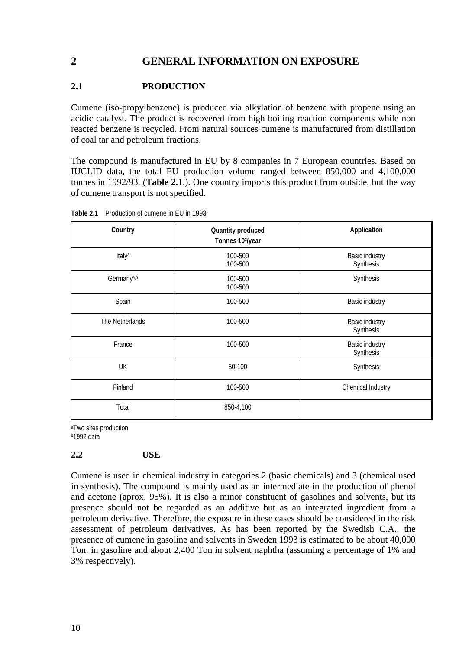### **2 GENERAL INFORMATION ON EXPOSURE**

### **2.1 PRODUCTION**

Cumene (iso-propylbenzene) is produced via alkylation of benzene with propene using an acidic catalyst. The product is recovered from high boiling reaction components while non reacted benzene is recycled. From natural sources cumene is manufactured from distillation of coal tar and petroleum fractions.

The compound is manufactured in EU by 8 companies in 7 European countries. Based on IUCLID data, the total EU production volume ranged between 850,000 and 4,100,000 tonnes in 1992/93. (**Table 2.1**.). One country imports this product from outside, but the way of cumene transport is not specified.

| Country                | <b>Quantity produced</b><br>Tonnes 103/year | Application                 |
|------------------------|---------------------------------------------|-----------------------------|
| Italya                 | 100-500<br>100-500                          | Basic industry<br>Synthesis |
| Germany <sup>a,b</sup> | 100-500<br>100-500                          | Synthesis                   |
| Spain                  | 100-500                                     | <b>Basic industry</b>       |
| The Netherlands        | 100-500                                     | Basic industry<br>Synthesis |
| France                 | 100-500                                     | Basic industry<br>Synthesis |
| UK                     | 50-100                                      | Synthesis                   |
| Finland                | 100-500                                     | Chemical Industry           |
| Total                  | 850-4,100                                   |                             |

**Table 2.1** Production of cumene in EU in 1993

aTwo sites production **b1992 data** 

### **2.2 USE**

Cumene is used in chemical industry in categories 2 (basic chemicals) and 3 (chemical used in synthesis). The compound is mainly used as an intermediate in the production of phenol and acetone (aprox. 95%). It is also a minor constituent of gasolines and solvents, but its presence should not be regarded as an additive but as an integrated ingredient from a petroleum derivative. Therefore, the exposure in these cases should be considered in the risk assessment of petroleum derivatives. As has been reported by the Swedish C.A., the presence of cumene in gasoline and solvents in Sweden 1993 is estimated to be about 40,000 Ton. in gasoline and about 2,400 Ton in solvent naphtha (assuming a percentage of 1% and 3% respectively).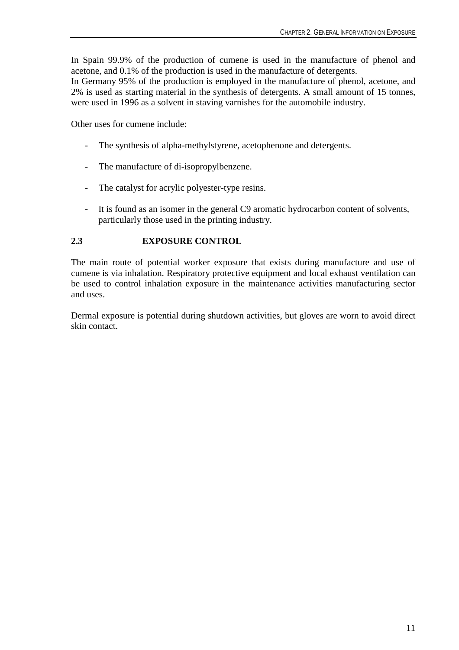In Spain 99.9% of the production of cumene is used in the manufacture of phenol and acetone, and 0.1% of the production is used in the manufacture of detergents.

In Germany 95% of the production is employed in the manufacture of phenol, acetone, and 2% is used as starting material in the synthesis of detergents. A small amount of 15 tonnes, were used in 1996 as a solvent in staving varnishes for the automobile industry.

Other uses for cumene include:

- The synthesis of alpha-methylstyrene, acetophenone and detergents.
- The manufacture of di-isopropylbenzene.
- The catalyst for acrylic polyester-type resins.
- It is found as an isomer in the general C9 aromatic hydrocarbon content of solvents, particularly those used in the printing industry.

### **2.3 EXPOSURE CONTROL**

The main route of potential worker exposure that exists during manufacture and use of cumene is via inhalation. Respiratory protective equipment and local exhaust ventilation can be used to control inhalation exposure in the maintenance activities manufacturing sector and uses.

Dermal exposure is potential during shutdown activities, but gloves are worn to avoid direct skin contact.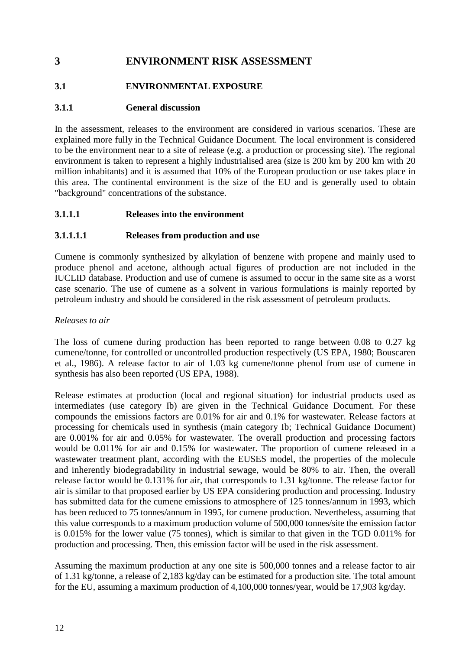### **3 ENVIRONMENT RISK ASSESSMENT**

### **3.1 ENVIRONMENTAL EXPOSURE**

### **3.1.1 General discussion**

In the assessment, releases to the environment are considered in various scenarios. These are explained more fully in the Technical Guidance Document. The local environment is considered to be the environment near to a site of release (e.g. a production or processing site). The regional environment is taken to represent a highly industrialised area (size is 200 km by 200 km with 20 million inhabitants) and it is assumed that 10% of the European production or use takes place in this area. The continental environment is the size of the EU and is generally used to obtain "background" concentrations of the substance.

### **3.1.1.1 Releases into the environment**

### **3.1.1.1.1 Releases from production and use**

Cumene is commonly synthesized by alkylation of benzene with propene and mainly used to produce phenol and acetone, although actual figures of production are not included in the IUCLID database. Production and use of cumene is assumed to occur in the same site as a worst case scenario. The use of cumene as a solvent in various formulations is mainly reported by petroleum industry and should be considered in the risk assessment of petroleum products.

#### *Releases to air*

The loss of cumene during production has been reported to range between 0.08 to 0.27 kg cumene/tonne, for controlled or uncontrolled production respectively (US EPA, 1980; Bouscaren et al., 1986). A release factor to air of 1.03 kg cumene/tonne phenol from use of cumene in synthesis has also been reported (US EPA, 1988).

Release estimates at production (local and regional situation) for industrial products used as intermediates (use category Ib) are given in the Technical Guidance Document. For these compounds the emissions factors are 0.01% for air and 0.1% for wastewater. Release factors at processing for chemicals used in synthesis (main category Ib; Technical Guidance Document) are 0.001% for air and 0.05% for wastewater. The overall production and processing factors would be 0.011% for air and 0.15% for wastewater. The proportion of cumene released in a wastewater treatment plant, according with the EUSES model, the properties of the molecule and inherently biodegradability in industrial sewage, would be 80% to air. Then, the overall release factor would be 0.131% for air, that corresponds to 1.31 kg/tonne. The release factor for air is similar to that proposed earlier by US EPA considering production and processing. Industry has submitted data for the cumene emissions to atmosphere of 125 tonnes/annum in 1993, which has been reduced to 75 tonnes/annum in 1995, for cumene production. Nevertheless, assuming that this value corresponds to a maximum production volume of 500,000 tonnes/site the emission factor is 0.015% for the lower value (75 tonnes), which is similar to that given in the TGD 0.011% for production and processing. Then, this emission factor will be used in the risk assessment.

Assuming the maximum production at any one site is 500,000 tonnes and a release factor to air of 1.31 kg/tonne, a release of 2,183 kg/day can be estimated for a production site. The total amount for the EU, assuming a maximum production of 4,100,000 tonnes/year, would be 17,903 kg/day.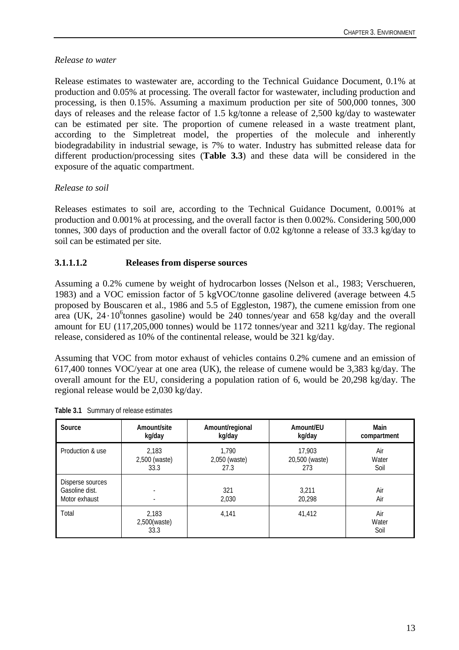### *Release to water*

Release estimates to wastewater are, according to the Technical Guidance Document, 0.1% at production and 0.05% at processing. The overall factor for wastewater, including production and processing, is then 0.15%. Assuming a maximum production per site of 500,000 tonnes, 300 days of releases and the release factor of 1.5 kg/tonne a release of 2,500 kg/day to wastewater can be estimated per site. The proportion of cumene released in a waste treatment plant, according to the Simpletreat model, the properties of the molecule and inherently biodegradability in industrial sewage, is 7% to water. Industry has submitted release data for different production/processing sites (**Table 3.3**) and these data will be considered in the exposure of the aquatic compartment.

### *Release to soil*

Releases estimates to soil are, according to the Technical Guidance Document, 0.001% at production and 0.001% at processing, and the overall factor is then 0.002%. Considering 500,000 tonnes, 300 days of production and the overall factor of 0.02 kg/tonne a release of 33.3 kg/day to soil can be estimated per site.

### **3.1.1.1.2 Releases from disperse sources**

Assuming a 0.2% cumene by weight of hydrocarbon losses (Nelson et al., 1983; Verschueren, 1983) and a VOC emission factor of 5 kgVOC/tonne gasoline delivered (average between 4.5 proposed by Bouscaren et al., 1986 and 5.5 of Eggleston, 1987), the cumene emission from one area (UK,  $24 \cdot 10^6$ tonnes gasoline) would be 240 tonnes/year and 658 kg/day and the overall amount for EU (117,205,000 tonnes) would be 1172 tonnes/year and 3211 kg/day. The regional release, considered as 10% of the continental release, would be 321 kg/day.

Assuming that VOC from motor exhaust of vehicles contains 0.2% cumene and an emission of 617,400 tonnes VOC/year at one area (UK), the release of cumene would be 3,383 kg/day. The overall amount for the EU, considering a population ration of 6, would be 20,298 kg/day. The regional release would be 2,030 kg/day.

| Source                                              | Amount/site                   | Amount/regional | Amount/EU       | Main                 |
|-----------------------------------------------------|-------------------------------|-----------------|-----------------|----------------------|
|                                                     | kg/day                        | kg/day          | kg/day          | compartment          |
| Production & use                                    | 2.183                         | 1.790           | 17,903          | Air                  |
|                                                     | 2,500 (waste)                 | 2,050 (waste)   | 20,500 (waste)  | Water                |
|                                                     | 33.3                          | 27.3            | 273             | Soil                 |
| Disperse sources<br>Gasoline dist.<br>Motor exhaust |                               | 321<br>2,030    | 3,211<br>20,298 | Air<br>Air           |
| Total                                               | 2.183<br>2,500(waste)<br>33.3 | 4,141           | 41,412          | Air<br>Water<br>Soil |

**Table 3.1** Summary of release estimates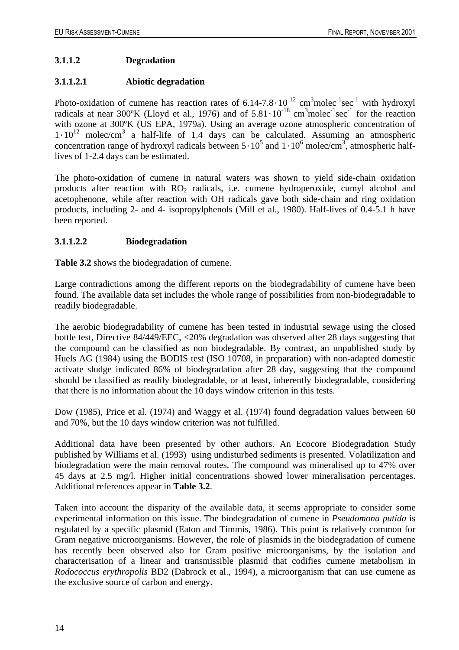### **3.1.1.2 Degradation**

### **3.1.1.2.1 Abiotic degradation**

Photo-oxidation of cumene has reaction rates of  $6.14$ -7.8 $\cdot 10^{-12}$  cm<sup>3</sup>molec<sup>-1</sup>sec<sup>-1</sup> with hydroxyl radicals at near 300°K (Lloyd et al., 1976) and of  $5.81 \cdot 10^{-18}$  cm<sup>3</sup>molec<sup>-1</sup>sec<sup>-1</sup> for the reaction with ozone at 300°K (US EPA, 1979a). Using an average ozone atmospheric concentration of  $1 \cdot 10^{12}$  molec/cm<sup>3</sup> a half-life of 1.4 days can be calculated. Assuming an atmospheric concentration range of hydroxyl radicals between  $5 \cdot 10^5$  and  $1 \cdot 10^6$  molec/cm<sup>3</sup>, atmospheric halflives of 1-2.4 days can be estimated.

The photo-oxidation of cumene in natural waters was shown to yield side-chain oxidation products after reaction with  $RO<sub>2</sub>$  radicals, i.e. cumene hydroperoxide, cumyl alcohol and acetophenone, while after reaction with OH radicals gave both side-chain and ring oxidation products, including 2- and 4- isopropylphenols (Mill et al., 1980). Half-lives of 0.4-5.1 h have been reported.

### **3.1.1.2.2 Biodegradation**

**Table 3.2** shows the biodegradation of cumene.

Large contradictions among the different reports on the biodegradability of cumene have been found. The available data set includes the whole range of possibilities from non-biodegradable to readily biodegradable.

The aerobic biodegradability of cumene has been tested in industrial sewage using the closed bottle test, Directive 84/449/EEC, <20% degradation was observed after 28 days suggesting that the compound can be classified as non biodegradable. By contrast, an unpublished study by Huels AG (1984) using the BODIS test (ISO 10708, in preparation) with non-adapted domestic activate sludge indicated 86% of biodegradation after 28 day, suggesting that the compound should be classified as readily biodegradable, or at least, inherently biodegradable, considering that there is no information about the 10 days window criterion in this tests.

Dow (1985), Price et al. (1974) and Waggy et al. (1974) found degradation values between 60 and 70%, but the 10 days window criterion was not fulfilled.

Additional data have been presented by other authors. An Ecocore Biodegradation Study published by Williams et al. (1993) using undisturbed sediments is presented. Volatilization and biodegradation were the main removal routes. The compound was mineralised up to 47% over 45 days at 2.5 mg/l. Higher initial concentrations showed lower mineralisation percentages. Additional references appear in **Table 3.2**.

Taken into account the disparity of the available data, it seems appropriate to consider some experimental information on this issue. The biodegradation of cumene in *Pseudomona putida* is regulated by a specific plasmid (Eaton and Timmis, 1986). This point is relatively common for Gram negative microorganisms. However, the role of plasmids in the biodegradation of cumene has recently been observed also for Gram positive microorganisms, by the isolation and characterisation of a linear and transmissible plasmid that codifies cumene metabolism in *Rodococcus erythropolis* BD2 (Dabrock et al., 1994), a microorganism that can use cumene as the exclusive source of carbon and energy.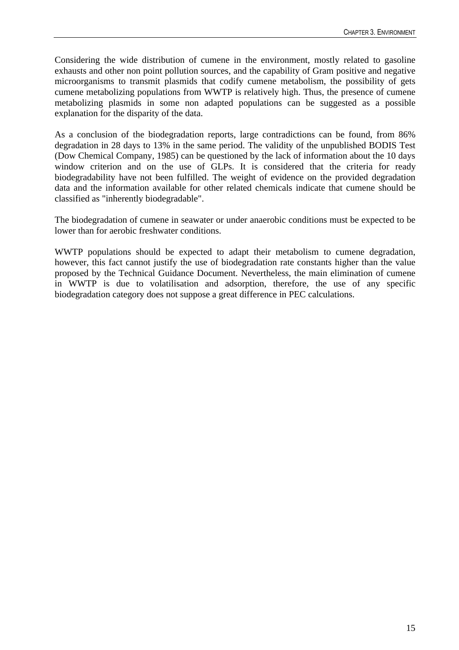Considering the wide distribution of cumene in the environment, mostly related to gasoline exhausts and other non point pollution sources, and the capability of Gram positive and negative microorganisms to transmit plasmids that codify cumene metabolism, the possibility of gets cumene metabolizing populations from WWTP is relatively high. Thus, the presence of cumene metabolizing plasmids in some non adapted populations can be suggested as a possible explanation for the disparity of the data.

As a conclusion of the biodegradation reports, large contradictions can be found, from 86% degradation in 28 days to 13% in the same period. The validity of the unpublished BODIS Test (Dow Chemical Company, 1985) can be questioned by the lack of information about the 10 days window criterion and on the use of GLPs. It is considered that the criteria for ready biodegradability have not been fulfilled. The weight of evidence on the provided degradation data and the information available for other related chemicals indicate that cumene should be classified as "inherently biodegradable".

The biodegradation of cumene in seawater or under anaerobic conditions must be expected to be lower than for aerobic freshwater conditions.

WWTP populations should be expected to adapt their metabolism to cumene degradation, however, this fact cannot justify the use of biodegradation rate constants higher than the value proposed by the Technical Guidance Document. Nevertheless, the main elimination of cumene in WWTP is due to volatilisation and adsorption, therefore, the use of any specific biodegradation category does not suppose a great difference in PEC calculations.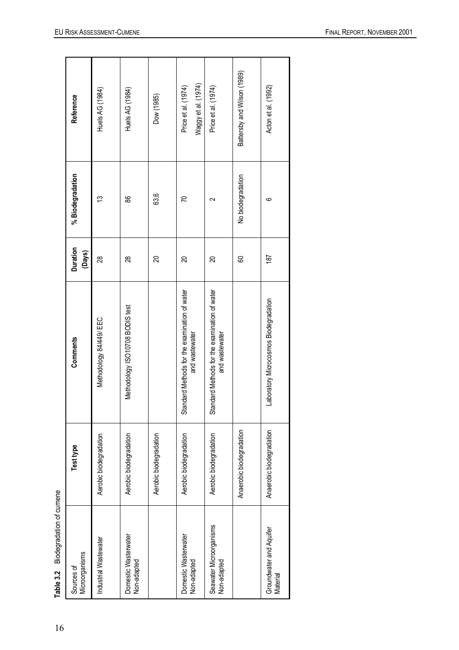| Reference                    | Huels AG (1984)        | Huels AG (1984)                     | Dow (1985)             | Waggy et al. (1974)<br>Price et al. (1974)                      | Price et al. (1974)                                             | Battersby and Wilson (1989) | Acton et al. (1992)                   |
|------------------------------|------------------------|-------------------------------------|------------------------|-----------------------------------------------------------------|-----------------------------------------------------------------|-----------------------------|---------------------------------------|
|                              |                        |                                     |                        |                                                                 |                                                                 |                             |                                       |
| % Biodegradation             | చ                      | 88                                  | 63,6                   | 70                                                              | 2                                                               | No biodegradation           | ဖ                                     |
| Duration<br>(Days)           | 28                     | 28                                  | S                      | 20                                                              | 20                                                              | 8                           | 187                                   |
| Comments                     | Methodology 84/449/EEC | Methodology ISO10708 BODIS test     |                        | Standard Methods for the examination of water<br>and wastewater | Standard Methods for the examination of water<br>and wastewater |                             | Laboratory Microcosmos Biodegradation |
| Test type                    | Aerobic biodegradation | Aerobic biodegradation              | Aerobic biodegradation | Aerobic biodegradation                                          | Aerobic biodegradation                                          | Anaerobic biodegradation    | Anaerobic biodegradation              |
| Microorganisms<br>Sources of | Industrial Wastewater  | Domestic Wasterwater<br>Non-adapted |                        | Domestic Wasterwater<br>Non-adapted                             | Seawater Microorganisms<br>Non-adapted                          |                             | Groundwater and Aquifer<br>Material   |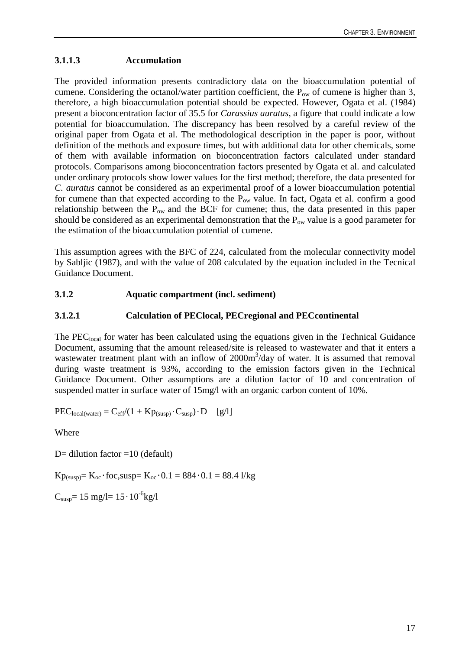### **3.1.1.3 Accumulation**

The provided information presents contradictory data on the bioaccumulation potential of cumene. Considering the octanol/water partition coefficient, the  $P_{ow}$  of cumene is higher than 3, therefore, a high bioaccumulation potential should be expected. However, Ogata et al. (1984) present a bioconcentration factor of 35.5 for *Carassius auratus*, a figure that could indicate a low potential for bioaccumulation. The discrepancy has been resolved by a careful review of the original paper from Ogata et al. The methodological description in the paper is poor, without definition of the methods and exposure times, but with additional data for other chemicals, some of them with available information on bioconcentration factors calculated under standard protocols. Comparisons among bioconcentration factors presented by Ogata et al. and calculated under ordinary protocols show lower values for the first method; therefore, the data presented for *C. auratus* cannot be considered as an experimental proof of a lower bioaccumulation potential for cumene than that expected according to the  $P_{ow}$  value. In fact, Ogata et al. confirm a good relationship between the  $P_{\text{ow}}$  and the BCF for cumene; thus, the data presented in this paper should be considered as an experimental demonstration that the  $P_{ow}$  value is a good parameter for the estimation of the bioaccumulation potential of cumene.

This assumption agrees with the BFC of 224, calculated from the molecular connectivity model by Sabljic (1987), and with the value of 208 calculated by the equation included in the Tecnical Guidance Document.

### **3.1.2 Aquatic compartment (incl. sediment)**

### **3.1.2.1 Calculation of PEClocal, PECregional and PECcontinental**

The PEC<sub>local</sub> for water has been calculated using the equations given in the Technical Guidance Document, assuming that the amount released/site is released to wastewater and that it enters a wastewater treatment plant with an inflow of 2000m<sup>3</sup>/day of water. It is assumed that removal during waste treatment is 93%, according to the emission factors given in the Technical Guidance Document. Other assumptions are a dilution factor of 10 and concentration of suspended matter in surface water of 15mg/l with an organic carbon content of 10%.

 $PEC_{local(water)} = C_{eff}/(1 + Kp_{(susp)} \cdot C_{susp}) \cdot D$  [g/l]

Where

D= dilution factor =10 (default)

 $Kp_{(susp)}= K_{oc}$  foc,susp=  $K_{oc} \cdot 0.1 = 884 \cdot 0.1 = 88.4$  l/kg

 $C_{\text{susp}}$ = 15 mg/l= 15 · 10<sup>-6</sup>kg/l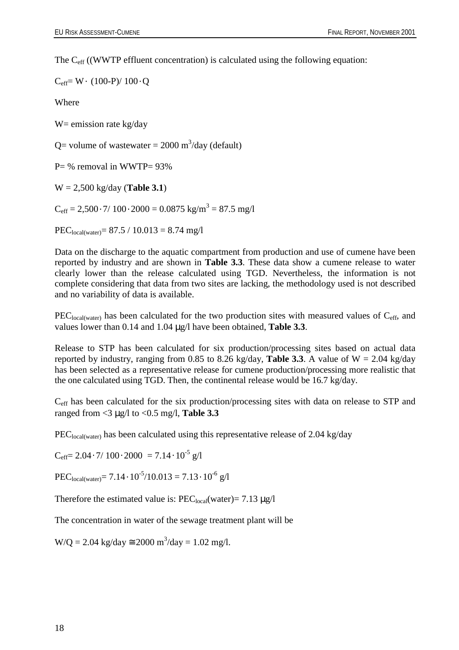The  $C_{\text{eff}}$  ((WWTP effluent concentration) is calculated using the following equation:

 $C_{\text{eff}} = W \cdot (100-P)/100 \cdot Q$ 

Where

 $W =$  emission rate kg/day

Q = volume of wastewater =  $2000 \text{ m}^3/\text{day}$  (default)

 $P=$  % removal in WWTP= 93%

W = 2,500 kg/day (**Table 3.1**)

 $C_{\text{eff}} = 2{,}500 \cdot 7/ 100 \cdot 2000 = 0.0875 \text{ kg/m}^3 = 87.5 \text{ mg/l}$ 

 $PEC_{local(water)} = 87.5 / 10.013 = 8.74$  mg/l

Data on the discharge to the aquatic compartment from production and use of cumene have been reported by industry and are shown in **Table 3.3**. These data show a cumene release to water clearly lower than the release calculated using TGD. Nevertheless, the information is not complete considering that data from two sites are lacking, the methodology used is not described and no variability of data is available.

 $PEC<sub>local(water)</sub>$  has been calculated for the two production sites with measured values of  $C<sub>eff</sub>$ , and values lower than 0.14 and 1.04 µg/l have been obtained, **Table 3.3**.

Release to STP has been calculated for six production/processing sites based on actual data reported by industry, ranging from 0.85 to 8.26 kg/day, **Table 3.3**. A value of  $W = 2.04$  kg/day has been selected as a representative release for cumene production/processing more realistic that the one calculated using TGD. Then, the continental release would be 16.7 kg/day.

Ceff has been calculated for the six production/processing sites with data on release to STP and ranged from <3 µg/l to <0.5 mg/l, **Table 3.3** 

PEC<sub>local(water)</sub> has been calculated using this representative release of 2.04 kg/day

 $C_{\text{eff}}$  = 2.04  $\cdot$  7/ 100  $\cdot$  2000 = 7.14  $\cdot$  10<sup>-5</sup> g/l

 $PEC<sub>local(water)</sub> = 7.14 \cdot 10^{-5}/10.013 = 7.13 \cdot 10^{-6}$  g/l

Therefore the estimated value is:  $PEC_{local}(water) = 7.13 \mu g/l$ 

The concentration in water of the sewage treatment plant will be

 $W/Q = 2.04$  kg/day  $\approx 2000$  m<sup>3</sup>/day  $= 1.02$  mg/l.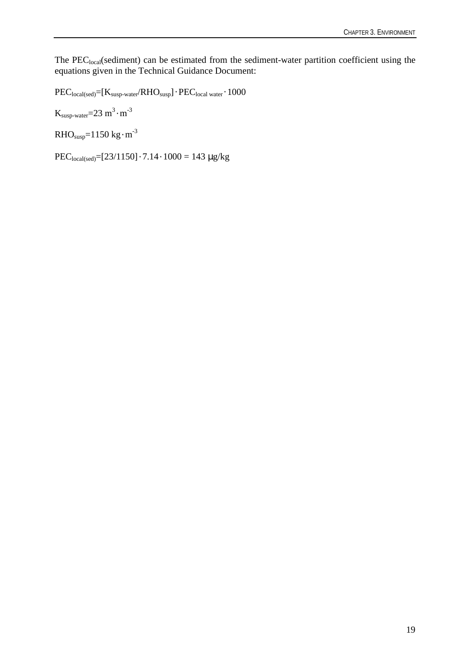The PEC<sub>local</sub>(sediment) can be estimated from the sediment-water partition coefficient using the equations given in the Technical Guidance Document:

 $PEC_{local(sed)}=[K_{susp-water}/RHO_{susp}]\cdot PEC_{local\ water}\cdot1000$  $K_{susp-water}=23 m^3\cdot m^{-3}$  $RHO<sub>susp</sub>=1150 kg·m<sup>-3</sup>$ 

 $PEC_{local(sed)} = [23/1150] \cdot 7.14 \cdot 1000 = 143 \mu g/kg$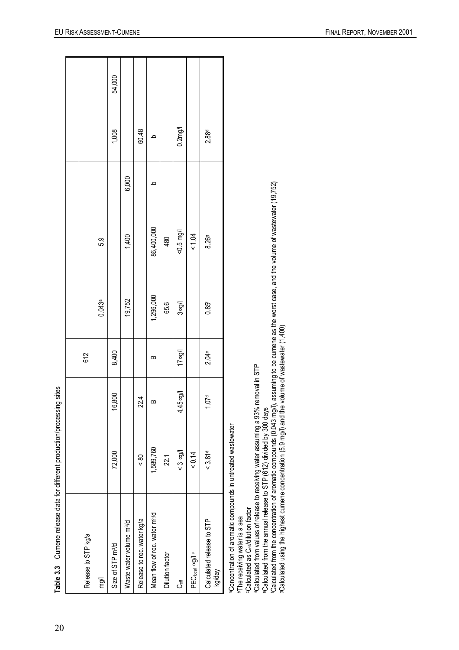| Release to STP kg/a                      |                     |                   | 612               |            |              |       |            |        |
|------------------------------------------|---------------------|-------------------|-------------------|------------|--------------|-------|------------|--------|
| $\overline{g}$                           |                     |                   |                   | 0.043a     | 5.9          |       |            |        |
| Size of STP m <sup>3/d</sup>             | 72,000              | 16,800            | 8,400             |            |              |       | 1,008      | 54,000 |
| Waste water volume m <sup>3/d</sup>      |                     |                   |                   | 19,752     | 1,400        | 6,000 |            |        |
| Release to rec. water kg/a               | $\frac{80}{5}$      | 224               |                   |            |              |       | 60.48      |        |
| Mean flow of rec. water m <sup>3/d</sup> | 1,589,760           | $\mathbf{a}$      | $\mathbf{\Omega}$ | 1,296,000  | 86,400,000   | ام    | م          |        |
| <b>Dilution factor</b>                   | 22.1                |                   |                   | 65.6       | 480          |       |            |        |
| ∜م                                       | $< 3$ ag/l          | $4.45 - q/$       | $1/1$ og/l        | $3$ egil   | $< 0.5$ mg/l |       | $0.2$ mg/l |        |
| PEC <sub>local</sub> «g/l c              | 14                  |                   |                   |            | 1.04         |       |            |        |
| Calculated release to STP<br>kg/day      | < 3.81 <sup>d</sup> | 1.07 <sup>d</sup> | 2.04e             | $0.85^{f}$ | 8.269        |       | 2.88       |        |
|                                          |                     |                   |                   |            |              |       |            |        |

Table 3.3 Cumene release data for different production/processing sites 20**Table 3.3** Cumene release data for different production/processing sites

<sup>e</sup>Concentration of aromatic compounds in untreated wastewater aConcentration of aromatic compounds in untreated wastewater

<sup>c</sup>Calculated as C<sub>eff</sub>/dilution factor **The receiving water is a sea** *pThe receiving water is a sea* 

cCalculated as Ceff/dilution factor

<sup>d</sup>Calculated from values of release to receiving water assuming a 93% removal in STP dCalculated from values of release to receiving water assuming a 93% removal in STP

eCalculated from the annual release to STP (612) divided by 300 days

∘Calculated from the annual release to STP (612) divided by 300 days<br>'Calculated from the concentration of aromatic compounds (0.043 mg/l), assuming to be cumene as the worst case, and the volume of wastewater (19,752)<br>∘ fCalculated from the concentration of aromatic compounds (0.043 mg/l), assuming to be cumene as the worst case, and the volume of wastewater (19,752) gCalculated using the highest cumene concentration (5.9 mg/l) and the volume of wastewater (1,400)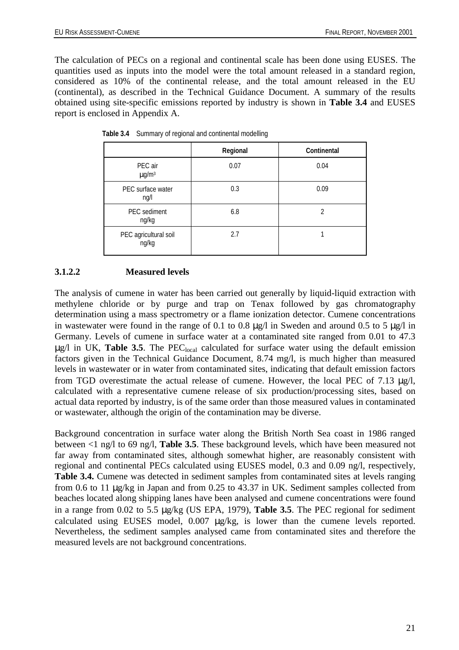The calculation of PECs on a regional and continental scale has been done using EUSES. The quantities used as inputs into the model were the total amount released in a standard region, considered as 10% of the continental release, and the total amount released in the EU (continental), as described in the Technical Guidance Document. A summary of the results obtained using site-specific emissions reported by industry is shown in **Table 3.4** and EUSES report is enclosed in Appendix A.

|                                   | Regional | Continental |
|-----------------------------------|----------|-------------|
| PEC air<br>$\mu$ g/m <sup>3</sup> | 0.07     | 0.04        |
| PEC surface water<br>ng/l         | 0.3      | 0.09        |
| <b>PEC</b> sediment<br>ng/kg      | 6.8      | 2           |
| PEC agricultural soil<br>ng/kg    | 2.7      |             |

 **Table 3.4** Summary of regional and continental modelling

### **3.1.2.2 Measured levels**

The analysis of cumene in water has been carried out generally by liquid-liquid extraction with methylene chloride or by purge and trap on Tenax followed by gas chromatography determination using a mass spectrometry or a flame ionization detector. Cumene concentrations in wastewater were found in the range of 0.1 to 0.8  $\mu$ g/l in Sweden and around 0.5 to 5  $\mu$ g/l in Germany. Levels of cumene in surface water at a contaminated site ranged from 0.01 to 47.3  $\mu$ g/l in UK, **Table 3.5**. The PEC<sub>local</sub> calculated for surface water using the default emission factors given in the Technical Guidance Document, 8.74 mg/l, is much higher than measured levels in wastewater or in water from contaminated sites, indicating that default emission factors from TGD overestimate the actual release of cumene. However, the local PEC of 7.13 µg/l, calculated with a representative cumene release of six production/processing sites, based on actual data reported by industry, is of the same order than those measured values in contaminated or wastewater, although the origin of the contamination may be diverse.

Background concentration in surface water along the British North Sea coast in 1986 ranged between <1 ng/l to 69 ng/l, **Table 3.5**. These background levels, which have been measured not far away from contaminated sites, although somewhat higher, are reasonably consistent with regional and continental PECs calculated using EUSES model, 0.3 and 0.09 ng/l, respectively, **Table 3.4.** Cumene was detected in sediment samples from contaminated sites at levels ranging from 0.6 to 11 µg/kg in Japan and from 0.25 to 43.37 in UK. Sediment samples collected from beaches located along shipping lanes have been analysed and cumene concentrations were found in a range from 0.02 to 5.5 µg/kg (US EPA, 1979), **Table 3.5**. The PEC regional for sediment calculated using EUSES model, 0.007 µg/kg, is lower than the cumene levels reported. Nevertheless, the sediment samples analysed came from contaminated sites and therefore the measured levels are not background concentrations.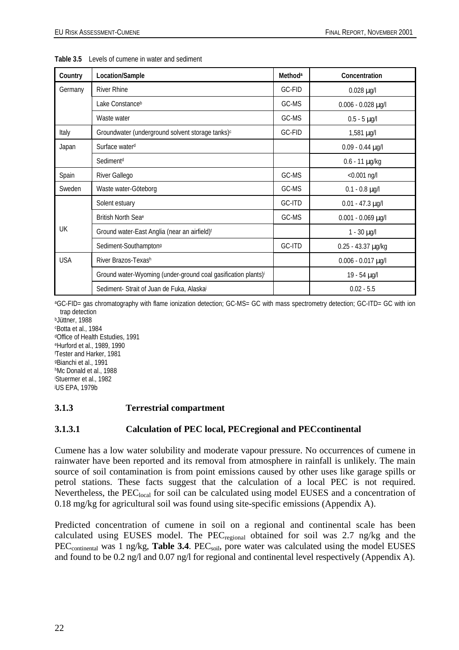| Country    | Location/Sample                                               | Method <sup>a</sup> | Concentration           |
|------------|---------------------------------------------------------------|---------------------|-------------------------|
| Germany    | <b>River Rhine</b>                                            | GC-FID              | $0.028 \mu g/l$         |
|            | Lake Constance <sup>b</sup>                                   | GC-MS               | $0.006 - 0.028$ µg/l    |
|            | Waste water                                                   | GC-MS               | $0.5 - 5 \mu g/l$       |
| Italy      | Groundwater (underground solvent storage tanks) <sup>c</sup>  | GC-FID              | $1,581 \mu g/l$         |
| Japan      | Surface water <sup>d</sup>                                    |                     | $0.09 - 0.44 \mu g/l$   |
|            | Sediment <sup>d</sup>                                         |                     | $0.6 - 11 \mu g/kg$     |
| Spain      | <b>River Gallego</b>                                          | GC-MS               | $< 0.001$ ng/l          |
| Sweden     | Waste water-Göteborg                                          | GC-MS               | $0.1 - 0.8 \mu g/l$     |
| UK.        | Solent estuary                                                | GC-ITD              | $0.01 - 47.3 \,\mu g/l$ |
|            | British North Sea <sup>e</sup>                                | GC-MS               | $0.001 - 0.069$ µg/l    |
|            | Ground water-East Anglia (near an airfield)f                  |                     | $1 - 30 \mu g/l$        |
|            | Sediment-Southampton <sup>9</sup>                             | GC-ITD              | $0.25 - 43.37 \mu g/kg$ |
| <b>USA</b> | River Brazos-Texash                                           |                     | $0.006 - 0.017$ µg/l    |
|            | Ground water-Wyoming (under-ground coal gasification plants)i |                     | $19 - 54 \mu g/l$       |
|            | Sediment- Strait of Juan de Fuka, Alaska                      |                     | $0.02 - 5.5$            |

**Table 3.5** Levels of cumene in water and sediment

aGC-FID= gas chromatography with flame ionization detection; GC-MS= GC with mass spectrometry detection; GC-ITD= GC with ion trap detection

bJüttner, 1988 cBotta et al., 1984 dOffice of Health Estudies, 1991 eHurford et al., 1989, 1990 f Tester and Harker, 1981 gBianchi et al., 1991 hMc Donald et al., 1988 i Stuermer et al., 1982 j US EPA, 1979b

### **3.1.3 Terrestrial compartment**

### **3.1.3.1 Calculation of PEC local, PECregional and PECcontinental**

Cumene has a low water solubility and moderate vapour pressure. No occurrences of cumene in rainwater have been reported and its removal from atmosphere in rainfall is unlikely. The main source of soil contamination is from point emissions caused by other uses like garage spills or petrol stations. These facts suggest that the calculation of a local PEC is not required. Nevertheless, the PEC<sub>local</sub> for soil can be calculated using model EUSES and a concentration of 0.18 mg/kg for agricultural soil was found using site-specific emissions (Appendix A).

Predicted concentration of cumene in soil on a regional and continental scale has been calculated using EUSES model. The PECregional obtained for soil was 2.7 ng/kg and the PEC<sub>continental</sub> was 1 ng/kg, **Table 3.4**. PEC<sub>soil</sub>, pore water was calculated using the model EUSES and found to be 0.2 ng/l and 0.07 ng/l for regional and continental level respectively (Appendix A).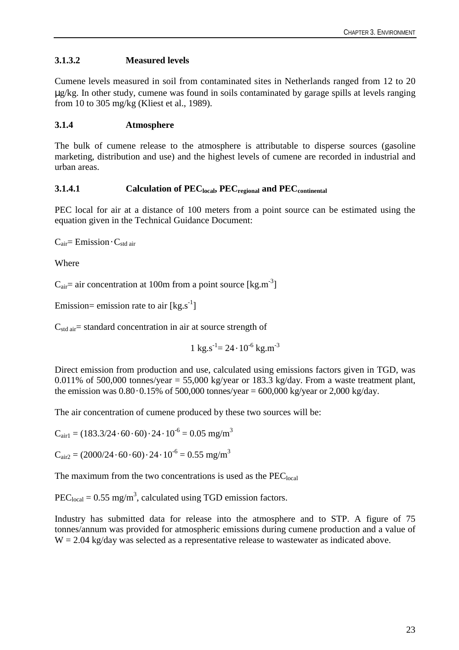### **3.1.3.2 Measured levels**

Cumene levels measured in soil from contaminated sites in Netherlands ranged from 12 to 20 µg/kg. In other study, cumene was found in soils contaminated by garage spills at levels ranging from 10 to 305 mg/kg (Kliest et al., 1989).

### **3.1.4 Atmosphere**

The bulk of cumene release to the atmosphere is attributable to disperse sources (gasoline marketing, distribution and use) and the highest levels of cumene are recorded in industrial and urban areas.

### **3.1.4.1** Calculation of PEC<sub>local</sub>, PEC<sub>regional</sub> and PEC<sub>continental</sub>

PEC local for air at a distance of 100 meters from a point source can be estimated using the equation given in the Technical Guidance Document:

 $C_{\text{air}}$ = Emission  $\cdot$  C<sub>std air</sub>

Where

 $C_{air}$  air concentration at 100m from a point source [kg.m<sup>-3</sup>]

Emission= emission rate to air  $[kg.s^{-1}]$ 

 $C_{std air}$ = standard concentration in air at source strength of

 $1 \text{ kg.s}^{-1} = 24 \cdot 10^{-6} \text{ kg.m}^{-3}$ 

Direct emission from production and use, calculated using emissions factors given in TGD, was 0.011% of 500,000 tonnes/year = 55,000 kg/year or 183.3 kg/day. From a waste treatment plant, the emission was  $0.80 \cdot 0.15\%$  of 500,000 tonnes/year = 600,000 kg/year or 2,000 kg/day.

The air concentration of cumene produced by these two sources will be:

 $C_{\text{air1}} = (183.3/24.60.60) \cdot 24.10^{-6} = 0.05 \text{ mg/m}^3$ 

 $C_{\text{air2}} = (2000/24.60.60) \cdot 24.10^{-6} = 0.55 \text{ mg/m}^3$ 

The maximum from the two concentrations is used as the  $PEC<sub>local</sub>$ 

 $PEC<sub>local</sub> = 0.55 mg/m<sup>3</sup>$ , calculated using TGD emission factors.

Industry has submitted data for release into the atmosphere and to STP. A figure of 75 tonnes/annum was provided for atmospheric emissions during cumene production and a value of  $W = 2.04$  kg/day was selected as a representative release to wastewater as indicated above.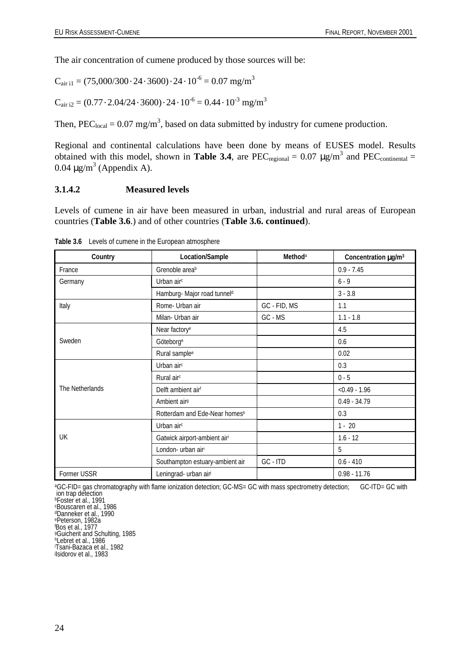The air concentration of cumene produced by those sources will be:

$$
C_{air\;i1} = (75,000/300\cdot 24\cdot 3600)\cdot 24\cdot 10^{-6} = 0.07\; mg/m^3
$$

 $C_{air\, i2} = (0.77 \cdot 2.04/24 \cdot 3600) \cdot 24 \cdot 10^{-6} = 0.44 \cdot 10^{-3} \text{ mg/m}^3$ 

Then, PEC<sub>local</sub> = 0.07 mg/m<sup>3</sup>, based on data submitted by industry for cumene production.

Regional and continental calculations have been done by means of EUSES model. Results obtained with this model, shown in **Table 3.4**, are  $PEC_{\text{regional}} = 0.07 \mu g/m^3$  and  $PEC_{\text{continental}} =$ 0.04  $\mu$ g/m<sup>3</sup> (Appendix A).

### **3.1.4.2 Measured levels**

Levels of cumene in air have been measured in urban, industrial and rural areas of European countries (**Table 3.6**.) and of other countries (**Table 3.6. continued**).

| Country         | Location/Sample                         | Method <sup>a</sup> | Concentration µg/m <sup>3</sup> |
|-----------------|-----------------------------------------|---------------------|---------------------------------|
| France          | Grenoble area <sup>b</sup>              |                     | $0.9 - 7.45$                    |
| Germany         | Urban airc                              |                     | $6 - 9$                         |
|                 | Hamburg- Major road tunnel <sup>d</sup> |                     | $3 - 3.8$                       |
| Italy           | Rome- Urban air                         | GC - FID, MS        | 1.1                             |
|                 | Milan- Urban air                        | GC - MS             | $1.1 - 1.8$                     |
| Sweden          | Near factory <sup>e</sup>               |                     | 4.5                             |
|                 | Göteborge                               |                     | 0.6                             |
|                 | Rural sample <sup>e</sup>               |                     | 0.02                            |
| The Netherlands | Urban airc                              |                     | 0.3                             |
|                 | Rural air <sup>c</sup>                  |                     | $0 - 5$                         |
|                 | Delft ambient airf                      |                     | $< 0.49 - 1.96$                 |
|                 | Ambient air <sup>g</sup>                |                     | $0.49 - 34.79$                  |
|                 | Rotterdam and Ede-Near homesh           |                     | 0.3                             |
| UK              | Urban airc                              |                     | $1 - 20$                        |
|                 | Gatwick airport-ambient airi            |                     | $1.6 - 12$                      |
|                 | London- urban airi                      |                     | 5                               |
|                 | Southampton estuary-ambient air         | GC - ITD            | $0.6 - 410$                     |
| Former USSR     | Leningrad- urban airi                   |                     | $0.98 - 11.76$                  |

**Table 3.6** Levels of cumene in the European atmosphere

aGC-FID= gas chromatography with flame ionization detection; GC-MS= GC with mass spectrometry detection; GC-ITD= GC with ion trap detection

bFoster et al., 1991 cBouscaren et al., 1986 dDanneker et al., 1990 ePeterson, 1982a f Bos et al., 1977 gGuicherit and Schulting, 1985 hLebret et al., 1986 i Tsani-Bazaca et al., 1982 j Isidorov et al., 1983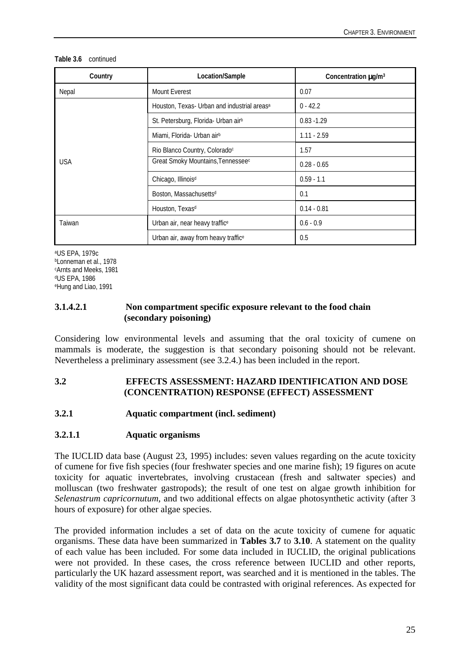| Country    | Location/Sample                                         | Concentration $\mu$ g/m <sup>3</sup> |
|------------|---------------------------------------------------------|--------------------------------------|
| Nepal      | <b>Mount Everest</b>                                    | 0.07                                 |
| <b>USA</b> | Houston, Texas- Urban and industrial areas <sup>a</sup> | $0 - 42.2$                           |
|            | St. Petersburg, Florida- Urban air <sup>b</sup>         | $0.83 - 1.29$                        |
|            | Miami, Florida- Urban air <sup>b</sup>                  | $1.11 - 2.59$                        |
|            | Rio Blanco Country, Colorado <sup>c</sup>               | 1.57                                 |
|            | Great Smoky Mountains, Tennessee <sup>c</sup>           | $0.28 - 0.65$                        |
|            | Chicago, Illinois <sup>d</sup>                          | $0.59 - 1.1$                         |
|            | Boston, Massachusetts <sup>d</sup>                      | 0.1                                  |
|            | Houston, Texas <sup>d</sup>                             | $0.14 - 0.81$                        |
| Taiwan     | Urban air, near heavy traffice                          | $0.6 - 0.9$                          |
|            | Urban air, away from heavy traffice                     | 0.5                                  |

#### **Table 3.6** continued

aUS EPA, 1979c bLonneman et al., 1978 cArnts and Meeks, 1981 dUS EPA, 1986 eHung and Liao, 1991

### **3.1.4.2.1 Non compartment specific exposure relevant to the food chain (secondary poisoning)**

Considering low environmental levels and assuming that the oral toxicity of cumene on mammals is moderate, the suggestion is that secondary poisoning should not be relevant. Nevertheless a preliminary assessment (see 3.2.4.) has been included in the report.

### **3.2 EFFECTS ASSESSMENT: HAZARD IDENTIFICATION AND DOSE (CONCENTRATION) RESPONSE (EFFECT) ASSESSMENT**

### **3.2.1 Aquatic compartment (incl. sediment)**

### **3.2.1.1 Aquatic organisms**

The IUCLID data base (August 23, 1995) includes: seven values regarding on the acute toxicity of cumene for five fish species (four freshwater species and one marine fish); 19 figures on acute toxicity for aquatic invertebrates, involving crustacean (fresh and saltwater species) and molluscan (two freshwater gastropods); the result of one test on algae growth inhibition for *Selenastrum capricornutum*, and two additional effects on algae photosynthetic activity (after 3 hours of exposure) for other algae species.

The provided information includes a set of data on the acute toxicity of cumene for aquatic organisms. These data have been summarized in **Tables 3.7** to **3.10**. A statement on the quality of each value has been included. For some data included in IUCLID, the original publications were not provided. In these cases, the cross reference between IUCLID and other reports, particularly the UK hazard assessment report, was searched and it is mentioned in the tables. The validity of the most significant data could be contrasted with original references. As expected for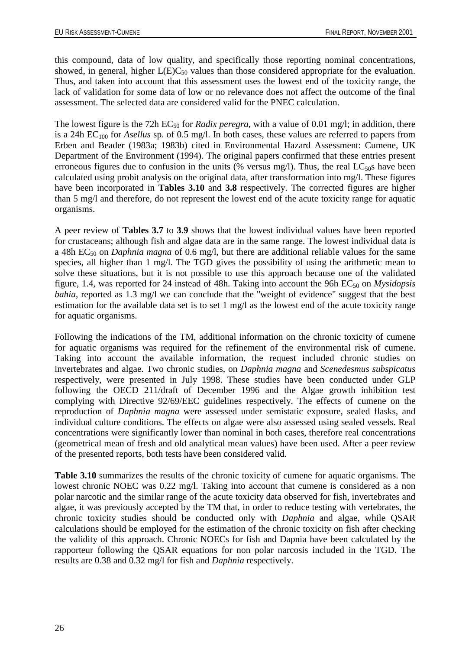this compound, data of low quality, and specifically those reporting nominal concentrations, showed, in general, higher  $L(E)C_{50}$  values than those considered appropriate for the evaluation. Thus, and taken into account that this assessment uses the lowest end of the toxicity range, the lack of validation for some data of low or no relevance does not affect the outcome of the final assessment. The selected data are considered valid for the PNEC calculation.

The lowest figure is the 72h  $EC_{50}$  for *Radix peregra*, with a value of 0.01 mg/l; in addition, there is a 24h  $EC_{100}$  for *Asellus* sp. of 0.5 mg/l. In both cases, these values are referred to papers from Erben and Beader (1983a; 1983b) cited in Environmental Hazard Assessment: Cumene, UK Department of the Environment (1994). The original papers confirmed that these entries present erroneous figures due to confusion in the units (% versus mg/l). Thus, the real  $LC_{50}$ s have been calculated using probit analysis on the original data, after transformation into mg/l. These figures have been incorporated in **Tables 3.10** and **3.8** respectively. The corrected figures are higher than 5 mg/l and therefore, do not represent the lowest end of the acute toxicity range for aquatic organisms.

A peer review of **Tables 3.7** to **3.9** shows that the lowest individual values have been reported for crustaceans; although fish and algae data are in the same range. The lowest individual data is a 48h EC<sub>50</sub> on *Daphnia magna* of 0.6 mg/l, but there are additional reliable values for the same species, all higher than 1 mg/l. The TGD gives the possibility of using the arithmetic mean to solve these situations, but it is not possible to use this approach because one of the validated figure, 1.4, was reported for 24 instead of 48h. Taking into account the 96h  $EC_{50}$  on *Mysidopsis bahia*, reported as 1.3 mg/l we can conclude that the "weight of evidence" suggest that the best estimation for the available data set is to set 1 mg/l as the lowest end of the acute toxicity range for aquatic organisms.

Following the indications of the TM, additional information on the chronic toxicity of cumene for aquatic organisms was required for the refinement of the environmental risk of cumene. Taking into account the available information, the request included chronic studies on invertebrates and algae. Two chronic studies, on *Daphnia magna* and *Scenedesmus subspicatus* respectively, were presented in July 1998. These studies have been conducted under GLP following the OECD 211/draft of December 1996 and the Algae growth inhibition test complying with Directive 92/69/EEC guidelines respectively. The effects of cumene on the reproduction of *Daphnia magna* were assessed under semistatic exposure, sealed flasks, and individual culture conditions. The effects on algae were also assessed using sealed vessels. Real concentrations were significantly lower than nominal in both cases, therefore real concentrations (geometrical mean of fresh and old analytical mean values) have been used. After a peer review of the presented reports, both tests have been considered valid.

**Table 3.10** summarizes the results of the chronic toxicity of cumene for aquatic organisms. The lowest chronic NOEC was 0.22 mg/l. Taking into account that cumene is considered as a non polar narcotic and the similar range of the acute toxicity data observed for fish, invertebrates and algae, it was previously accepted by the TM that, in order to reduce testing with vertebrates, the chronic toxicity studies should be conducted only with *Daphnia* and algae, while QSAR calculations should be employed for the estimation of the chronic toxicity on fish after checking the validity of this approach. Chronic NOECs for fish and Dapnia have been calculated by the rapporteur following the QSAR equations for non polar narcosis included in the TGD. The results are 0.38 and 0.32 mg/l for fish and *Daphnia* respectively.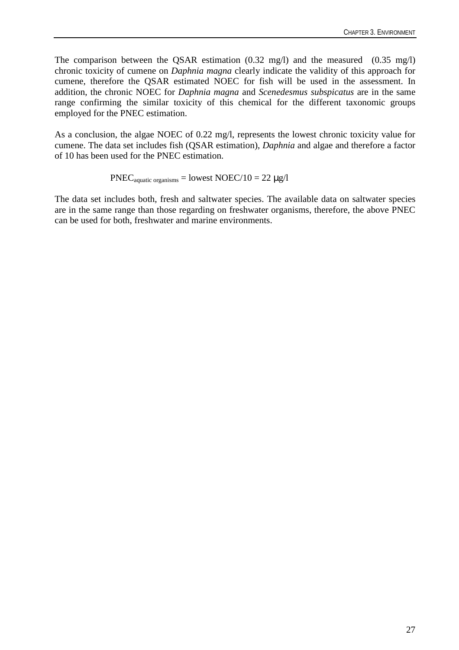The comparison between the QSAR estimation (0.32 mg/l) and the measured (0.35 mg/l) chronic toxicity of cumene on *Daphnia magna* clearly indicate the validity of this approach for cumene, therefore the QSAR estimated NOEC for fish will be used in the assessment. In addition, the chronic NOEC for *Daphnia magna* and *Scenedesmus subspicatus* are in the same range confirming the similar toxicity of this chemical for the different taxonomic groups employed for the PNEC estimation.

As a conclusion, the algae NOEC of 0.22 mg/l, represents the lowest chronic toxicity value for cumene. The data set includes fish (QSAR estimation), *Daphnia* and algae and therefore a factor of 10 has been used for the PNEC estimation.

 $PNEC_{\text{aquatic organisms}} =$  lowest NOEC/10 = 22  $\mu$ g/l

The data set includes both, fresh and saltwater species. The available data on saltwater species are in the same range than those regarding on freshwater organisms, therefore, the above PNEC can be used for both, freshwater and marine environments.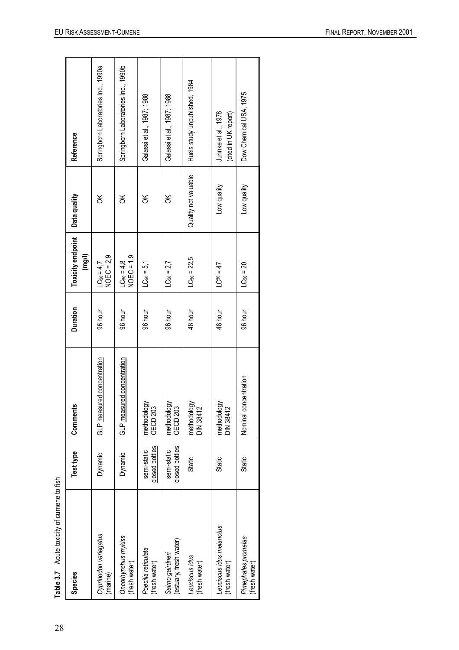| <b>Species</b>                            | Test type                     | Comments                       | Duration | <b>Toxicity endpoint</b><br>(mg/l) | Data quality         | Reference                                   |
|-------------------------------------------|-------------------------------|--------------------------------|----------|------------------------------------|----------------------|---------------------------------------------|
| Cyprinodon variegatus<br>(marine)         | Dynamic                       | red concentration<br>GLP measu | 96 hour  | $NOEC = 2.9$<br>$LC_{50} = 4.7$    | š                    | Springborn Laboratories Inc., 1990a         |
| Oncorhynchus mykiss<br>fresh water)       | Dynamic                       | red concentration<br>GLP measu | 96 hour  | $NOEC = 1.9$<br>$LC_{50} = 4.8$    | š                    | Springborn Laboratories Inc., 1990b         |
| Poecilia reticulata<br>fresh water)       | closed bottles<br>semi-static | methodology<br>OECD 203        | 96 hour  | $LC_{50} = 5,1$                    | š                    | Galassi et al., 1987; 1988                  |
| (estuary, fresh water)<br>Salmo gairdneri | closed bottles<br>semi-static | methodology<br>OECD 203        | 96 hour  | $LC_{50} = 2.7$                    | š                    | Galassi et al., 1987; 1988                  |
| Leuciscus idus<br>fresh water)            | <b>Static</b>                 | methodolog<br>DIN 38412        | 48 hour  | $LC_{50} = 22,5$                   | Quality not valuable | Huels study unpublished, 1984               |
| Leuciscus idus melanotus<br>fresh water)  | Static                        | methodology<br>DIN 38412       | 48 hour  | $LC^{50} = 47$                     | Low quality          | Juhnke et al., 1978<br>(cited in UK report) |
| Pimephales promelas<br>(fresh water       | <b>Static</b>                 | Nominal concentration          | 96 hour  | $LC_{50} = 20$                     | Low quality          | Dow Chemical USA, 1975                      |
|                                           |                               |                                |          |                                    |                      |                                             |

| ្ទ្រ<br>٦<br>of cumene<br>toxicity<br><b>Fancy</b> |
|----------------------------------------------------|
| ś<br>cable 3                                       |
| 28                                                 |

28

T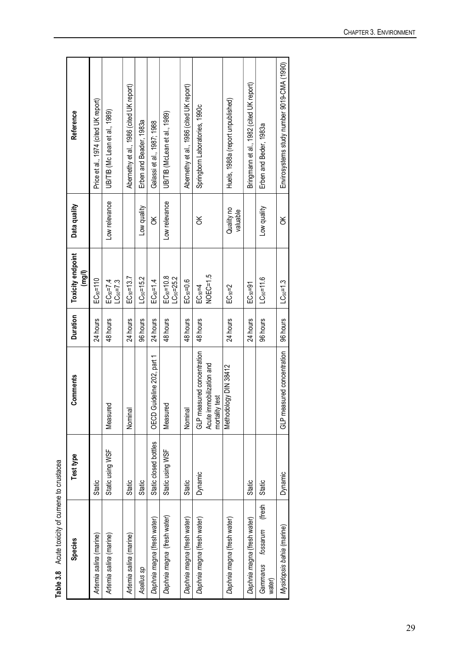| Table 3.8 Acute toxicity of cumene to crustacea |                       |                                                                          |                 |                                                |                        |                                            |
|-------------------------------------------------|-----------------------|--------------------------------------------------------------------------|-----------------|------------------------------------------------|------------------------|--------------------------------------------|
| <b>Species</b>                                  | Test type             | Comments                                                                 | <b>Duration</b> | <b>Toxicity endpoint</b><br>(mg/l)             | Data quality           | Reference                                  |
| Artemia salina (marine)                         | Static                |                                                                          | 24 hours        | $EC50=110$                                     |                        | Price et al., 1974 (cited UK report)       |
| Artemia salina (marine)                         | Static using WSF      | Measured                                                                 | 48 hours        | EC <sub>50</sub> =7.4<br>LC <sub>50</sub> =7.3 | Low relevance          | UB/TIB (Mc Lean et al., 1989)              |
| Artemia salina (marine)                         | Static                | Nominal                                                                  | 24 hours        | $EC_{50} = 13.7$                               |                        | Abernethy et al., 1986 (cited UK report)   |
| Asellus sp                                      | Static                |                                                                          | 96 hours        | $LC_{50} = 15.2$                               | Low quality            | Erben and Beader, 1983a                    |
| Daphnia magna (fresh water)                     | Static closed bottles | OECD Guideline 202, part 1                                               | 24 hours        | $EC_{50}$ =1.4                                 | ¥                      | Galassi et al., 1987; 1988                 |
| Daphnia magna (fresh water)                     | Static using WSF      | Measured                                                                 | 48 hours        | $EC_{50} = 10.8$<br>$LC_{50} = 25.2$           | Low relevance          | UB/TIB (McLean et al., 1989)               |
| Daphnia magna (fresh water)                     | Static                | Nominal                                                                  | 48 hours        | $EC_{50}$ =0.6                                 |                        | Abernethy et al., 1986 (cited UK report)   |
| Daphnia magna (fresh water)                     | Dynamic               | GLP measured concentration<br>Acute immobilization and<br>mortality test | 48 hours        | NOEC=1.5<br>$EC_{50}$ =4                       | š                      | Springborn Laboratories, 1990c             |
| Daphnia magna (fresh water)                     |                       | Methodology DIN 38412                                                    | 24 hours        | $EC50=2$                                       | Quality no<br>valuable | Huels, 1988a (report unpublished)          |
| Daphnia magna (fresh water)                     | Static                |                                                                          | 24 hours        | $EC50=91$                                      |                        | Bringmann et al., 1982 (cited UK report)   |
| (fresh<br>fossarum<br>Gammarus<br>water)        | Static                |                                                                          | 96 hours        | $LC_{50} = 11.6$                               | Low quality            | Erben and Beder, 1983a                     |
| Mysidopsis bahia (marine)                       | Dynamic               | GLP measured concentration                                               | 96 hours        | $LC_{50}$ =1.3                                 | š                      | Envirosystems study number 9019-CMA (1990) |

| ֧֞ <u>֓</u> |
|-------------|
| ؟<br>ì      |
| Š<br>Ē      |
|             |
| í           |
|             |
| ı           |
|             |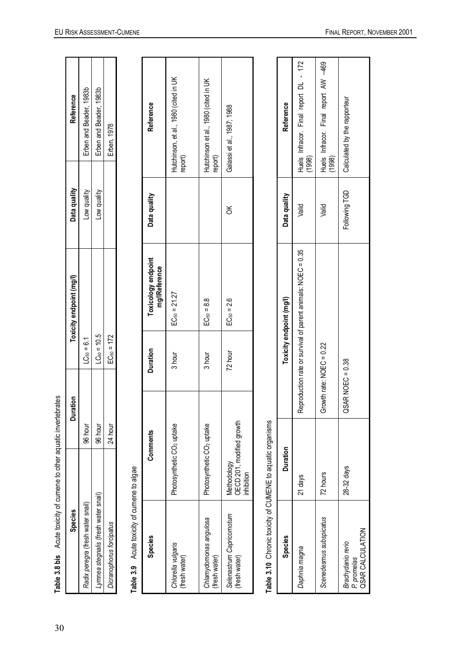| ŕ<br>ś<br>aughte in<br>.<br>.<br>.<br>.<br>.<br>$\mathcal{L}^{\text{max}}_{\text{max}}$ and $\mathcal{L}^{\text{max}}_{\text{max}}$ and $\mathcal{L}^{\text{max}}_{\text{max}}$<br>$\frac{1}{2}$<br>i |  |
|-------------------------------------------------------------------------------------------------------------------------------------------------------------------------------------------------------|--|
| e 3.8 bis<br>Talala o                                                                                                                                                                                 |  |
| $30^{\circ}$<br>i                                                                                                                                                                                     |  |

| <b>Species</b>                     | ς<br>Juratio | Toxicity endpoint (mg/l) | Data quality | Reference               |
|------------------------------------|--------------|--------------------------|--------------|-------------------------|
| Radix peregra (fresh water snall)  | Joque        | $C_{50} = 6.1$           | Low quality  | Erben and Beader, 1983b |
| ymnea stegnalis (fresh water snail | hour         | $LC_{50} = 10.5$         | Low quality  | Erben and Beader, 1983b |
| cranophorus forcipatus             | uour         | $EC_{50} = 172$          |              | Erben, 1978             |

Table 3.9 Acute toxicity of cumene to algae **Table 3.9** Acute toxicity of cumene to algae

| <b>Species</b>                             | Comments                                              | Duration | Toxicology endpoint<br>mg/IReference | Data quality | Reference                                        |
|--------------------------------------------|-------------------------------------------------------|----------|--------------------------------------|--------------|--------------------------------------------------|
| Chlorella vulgaris<br>(fresh water)        | Photosynthetic CO <sub>2</sub> uptake                 | 3 hour   | $EC_{50} = 21.27$                    |              | Hutchinson, et al., 1980 (cited in UK<br>report) |
| Chlamydomonas angulosa<br>(fresh water)    | Photosynthetic CO <sub>2</sub> uptake                 | 3 hour   | $EC_{50} = 8.8$                      |              | Hutchinson et al., 1980 (cited in UK<br>report)  |
| Selenastrum Capricornotum<br>(fresh water) | Methodology<br>OECD 201, modified growth<br>nhibition | 72 hour  | $EC_{50} = 2.6$                      | ă            | Galassi et al., 1987; 1988                       |

Table 3.10 Chronic toxicity of CUMENE to aquatic organisms **Table 3.10** Chronic toxicity of CUMENE to aquatic organisms

| <b>Species</b>                                       | <b>Duration</b> | Toxicity endpoint (mg/l)                                     | Data quality  | Reference                                       |
|------------------------------------------------------|-----------------|--------------------------------------------------------------|---------------|-------------------------------------------------|
| Daphnia magna                                        | 21 days         | Reproduction rate or survival of parent animals: NOEC = 0.35 | Valid         | Huels Infracor. Final report DL - 172<br>(1998) |
| Scenedesmus subspicatus                              | 72 hours        | owth rate: $NOEC = 0.22$<br>Č                                | Valid         | Huels Infracor. Final report AW -469<br>(1998)  |
| Brachydanio rerio<br>P. promelas<br>QSAR CALCULATION | $28-32$ days    | QSAR NOEC = 0.38                                             | Following TGD | Calculated by the rapporteur                    |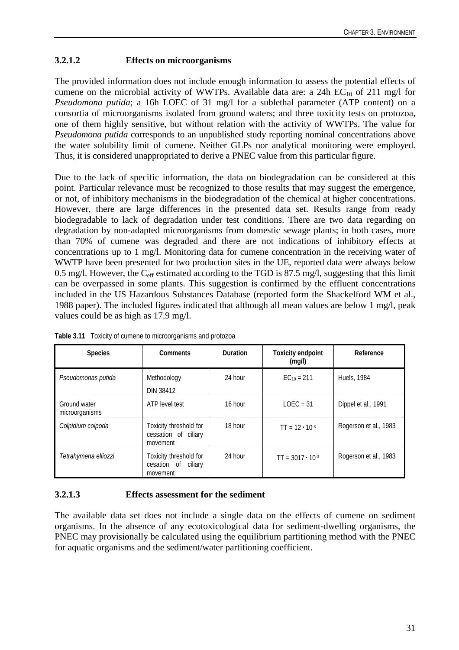## **3.2.1.2 Effects on microorganisms**

The provided information does not include enough information to assess the potential effects of cumene on the microbial activity of WWTPs. Available data are: a 24h  $EC_{10}$  of 211 mg/l for *Pseudomona putida*; a 16h LOEC of 31 mg/l for a sublethal parameter (ATP content) on a consortia of microorganisms isolated from ground waters; and three toxicity tests on protozoa, one of them highly sensitive, but without relation with the activity of WWTPs. The value for *Pseudomona putida* corresponds to an unpublished study reporting nominal concentrations above the water solubility limit of cumene. Neither GLPs nor analytical monitoring were employed. Thus, it is considered unappropriated to derive a PNEC value from this particular figure.

Due to the lack of specific information, the data on biodegradation can be considered at this point. Particular relevance must be recognized to those results that may suggest the emergence, or not, of inhibitory mechanisms in the biodegradation of the chemical at higher concentrations. However, there are large differences in the presented data set. Results range from ready biodegradable to lack of degradation under test conditions. There are two data regarding on degradation by non-adapted microorganisms from domestic sewage plants; in both cases, more than 70% of cumene was degraded and there are not indications of inhibitory effects at concentrations up to 1 mg/l. Monitoring data for cumene concentration in the receiving water of WWTP have been presented for two production sites in the UE, reported data were always below 0.5 mg/l. However, the C<sub>eff</sub> estimated according to the TGD is 87.5 mg/l, suggesting that this limit can be overpassed in some plants. This suggestion is confirmed by the effluent concentrations included in the US Hazardous Substances Database (reported form the Shackelford WM et al., 1988 paper). The included figures indicated that although all mean values are below 1 mg/l, peak values could be as high as 17.9 mg/l.

| <b>Species</b>                 | <b>Comments</b>                                            | <b>Duration</b> | <b>Toxicity endpoint</b><br>(mg/l) | Reference             |
|--------------------------------|------------------------------------------------------------|-----------------|------------------------------------|-----------------------|
| Pseudomonas putida             | Methodology<br><b>DIN 38412</b>                            | 24 hour         | $EC_{10} = 211$                    | Huels, 1984           |
| Ground water<br>microorganisms | ATP level test                                             | 16 hour         | $LOEC = 31$                        | Dippel et al., 1991   |
| Colpidium colpoda              | Toxicity threshold for<br>cessation of ciliary<br>movement | 18 hour         | $TT = 12 \cdot 10^{-3}$            | Rogerson et al., 1983 |
| Tetrahymena elliozzi           | Toxicity threshold for<br>cesation of ciliary<br>movement  | 24 hour         | $TT = 3017 \cdot 10^{-3}$          | Rogerson et al., 1983 |

**Table 3.11** Toxicity of cumene to microorganisms and protozoa

## **3.2.1.3 Effects assessment for the sediment**

The available data set does not include a single data on the effects of cumene on sediment organisms. In the absence of any ecotoxicological data for sediment-dwelling organisms, the PNEC may provisionally be calculated using the equilibrium partitioning method with the PNEC for aquatic organisms and the sediment/water partitioning coefficient.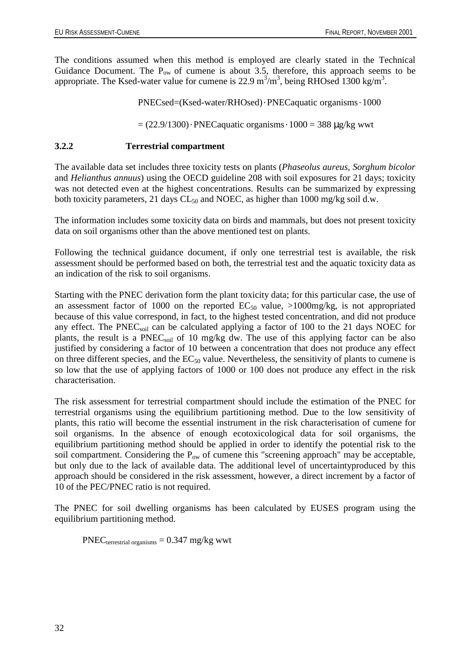The conditions assumed when this method is employed are clearly stated in the Technical Guidance Document. The  $P_{ow}$  of cumene is about 3.5, therefore, this approach seems to be appropriate. The Ksed-water value for cumene is 22.9  $m^3/m^3$ , being RHOsed 1300 kg/m<sup>3</sup>.

PNECsed=(Ksed-water/RHOsed).PNECaquatic organisms.1000

 $= (22.9/1300) \cdot PNEC$ aquatic organisms $\cdot 1000 = 388 \mu g/kg$  wwt

## **3.2.2 Terrestrial compartment**

The available data set includes three toxicity tests on plants (*Phaseolus aureus, Sorghum bicolor* and *Helianthus annuus*) using the OECD guideline 208 with soil exposures for 21 days; toxicity was not detected even at the highest concentrations. Results can be summarized by expressing both toxicity parameters, 21 days  $CL_{50}$  and NOEC, as higher than 1000 mg/kg soil d.w.

The information includes some toxicity data on birds and mammals, but does not present toxicity data on soil organisms other than the above mentioned test on plants.

Following the technical guidance document, if only one terrestrial test is available, the risk assessment should be performed based on both, the terrestrial test and the aquatic toxicity data as an indication of the risk to soil organisms.

Starting with the PNEC derivation form the plant toxicity data; for this particular case, the use of an assessment factor of 1000 on the reported  $EC_{50}$  value, >1000mg/kg, is not appropriated because of this value correspond, in fact, to the highest tested concentration, and did not produce any effect. The PNEC<sub>soil</sub> can be calculated applying a factor of  $100$  to the 21 days NOEC for plants, the result is a PNEC<sub>soil</sub> of 10 mg/kg dw. The use of this applying factor can be also justified by considering a factor of 10 between a concentration that does not produce any effect on three different species, and the EC<sub>50</sub> value. Nevertheless, the sensitivity of plants to cumene is so low that the use of applying factors of 1000 or 100 does not produce any effect in the risk characterisation.

The risk assessment for terrestrial compartment should include the estimation of the PNEC for terrestrial organisms using the equilibrium partitioning method. Due to the low sensitivity of plants, this ratio will become the essential instrument in the risk characterisation of cumene for soil organisms. In the absence of enough ecotoxicological data for soil organisms, the equilibrium partitioning method should be applied in order to identify the potential risk to the soil compartment. Considering the  $P_{ow}$  of cumene this "screening approach" may be acceptable, but only due to the lack of available data. The additional level of uncertaintyproduced by this approach should be considered in the risk assessment, however, a direct increment by a factor of 10 of the PEC/PNEC ratio is not required.

The PNEC for soil dwelling organisms has been calculated by EUSES program using the equilibrium partitioning method.

 $PNEC$ <sub>terrestrial organisms</sub> = 0.347 mg/kg wwt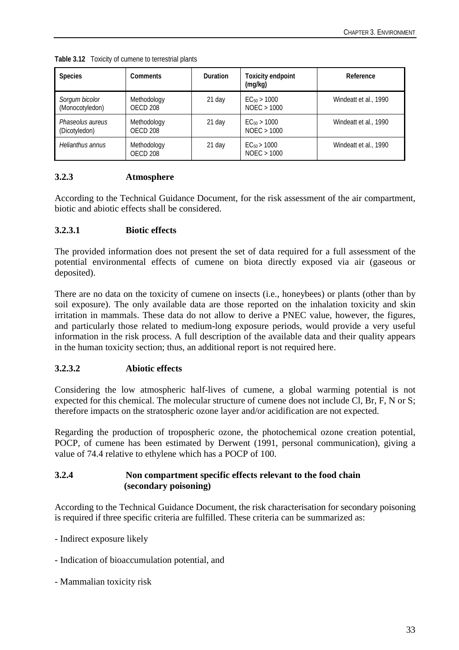| <b>Species</b>                    | <b>Comments</b>                    | <b>Duration</b> | <b>Toxicity endpoint</b><br>(mg/kg) | Reference             |
|-----------------------------------|------------------------------------|-----------------|-------------------------------------|-----------------------|
| Sorgum bicolor<br>(Monocotyledon) | Methodology<br>OECD <sub>208</sub> | 21 day          | $EC_{50} > 1000$<br>NOEC > 1000     | Windeatt et al., 1990 |
| Phaseolus aureus<br>(Dicotyledon) | Methodology<br>OECD <sub>208</sub> | 21 day          | $EC_{50} > 1000$<br>NOEC > 1000     | Windeatt et al., 1990 |
| Helianthus annus                  | Methodology<br>OECD <sub>208</sub> | 21 day          | $EC_{50}$ > 1000<br>NOEC > 1000     | Windeatt et al., 1990 |

**Table 3.12** Toxicity of cumene to terrestrial plants

## **3.2.3 Atmosphere**

According to the Technical Guidance Document, for the risk assessment of the air compartment, biotic and abiotic effects shall be considered.

## **3.2.3.1 Biotic effects**

The provided information does not present the set of data required for a full assessment of the potential environmental effects of cumene on biota directly exposed via air (gaseous or deposited).

There are no data on the toxicity of cumene on insects (i.e., honeybees) or plants (other than by soil exposure). The only available data are those reported on the inhalation toxicity and skin irritation in mammals. These data do not allow to derive a PNEC value, however, the figures, and particularly those related to medium-long exposure periods, would provide a very useful information in the risk process. A full description of the available data and their quality appears in the human toxicity section; thus, an additional report is not required here.

## **3.2.3.2 Abiotic effects**

Considering the low atmospheric half-lives of cumene, a global warming potential is not expected for this chemical. The molecular structure of cumene does not include Cl, Br, F, N or S; therefore impacts on the stratospheric ozone layer and/or acidification are not expected.

Regarding the production of tropospheric ozone, the photochemical ozone creation potential, POCP, of cumene has been estimated by Derwent (1991, personal communication), giving a value of 74.4 relative to ethylene which has a POCP of 100.

## **3.2.4 Non compartment specific effects relevant to the food chain (secondary poisoning)**

According to the Technical Guidance Document, the risk characterisation for secondary poisoning is required if three specific criteria are fulfilled. These criteria can be summarized as:

- Indirect exposure likely
- Indication of bioaccumulation potential, and
- Mammalian toxicity risk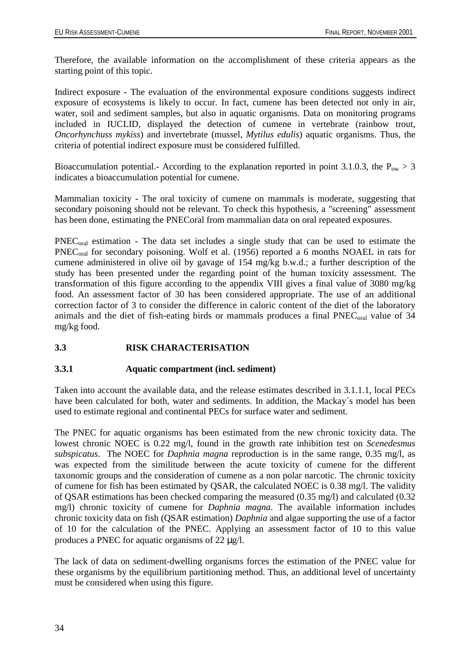Therefore, the available information on the accomplishment of these criteria appears as the starting point of this topic.

Indirect exposure - The evaluation of the environmental exposure conditions suggests indirect exposure of ecosystems is likely to occur. In fact, cumene has been detected not only in air, water, soil and sediment samples, but also in aquatic organisms. Data on monitoring programs included in IUCLID, displayed the detection of cumene in vertebrate (rainbow trout, *Oncorhynchuss mykiss*) and invertebrate (mussel, *Mytilus edulis*) aquatic organisms. Thus, the criteria of potential indirect exposure must be considered fulfilled.

Bioaccumulation potential.- According to the explanation reported in point 3.1.0.3, the  $P_{\text{ow}} > 3$ indicates a bioaccumulation potential for cumene.

Mammalian toxicity - The oral toxicity of cumene on mammals is moderate, suggesting that secondary poisoning should not be relevant. To check this hypothesis, a "screening" assessment has been done, estimating the PNECoral from mammalian data on oral repeated exposures.

PNEC<sub>oral</sub> estimation - The data set includes a single study that can be used to estimate the PNEC<sub>oral</sub> for secondary poisoning. Wolf et al. (1956) reported a 6 months NOAEL in rats for cumene administered in olive oil by gavage of 154 mg/kg b.w.d.; a further description of the study has been presented under the regarding point of the human toxicity assessment. The transformation of this figure according to the appendix VIII gives a final value of 3080 mg/kg food. An assessment factor of 30 has been considered appropriate. The use of an additional correction factor of 3 to consider the difference in caloric content of the diet of the laboratory animals and the diet of fish-eating birds or mammals produces a final  $PNEC<sub>oral</sub>$  value of 34 mg/kg food.

## **3.3 RISK CHARACTERISATION**

## **3.3.1 Aquatic compartment (incl. sediment)**

Taken into account the available data, and the release estimates described in 3.1.1.1, local PECs have been calculated for both, water and sediments. In addition, the Mackay´s model has been used to estimate regional and continental PECs for surface water and sediment.

The PNEC for aquatic organisms has been estimated from the new chronic toxicity data. The lowest chronic NOEC is 0.22 mg/l, found in the growth rate inhibition test on *Scenedesmus subspicatus*. The NOEC for *Daphnia magna* reproduction is in the same range, 0.35 mg/l, as was expected from the similitude between the acute toxicity of cumene for the different taxonomic groups and the consideration of cumene as a non polar narcotic. The chronic toxicity of cumene for fish has been estimated by QSAR, the calculated NOEC is 0.38 mg/l. The validity of QSAR estimations has been checked comparing the measured (0.35 mg/l) and calculated (0.32 mg/l) chronic toxicity of cumene for *Daphnia magna*. The available information includes chronic toxicity data on fish (QSAR estimation) *Daphnia* and algae supporting the use of a factor of 10 for the calculation of the PNEC. Applying an assessment factor of 10 to this value produces a PNEC for aquatic organisms of 22 µg/l.

The lack of data on sediment-dwelling organisms forces the estimation of the PNEC value for these organisms by the equilibrium partitioning method. Thus, an additional level of uncertainty must be considered when using this figure.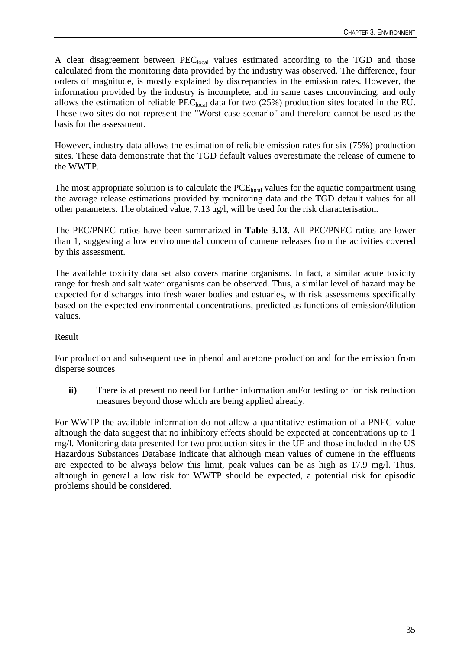A clear disagreement between PEC<sub>local</sub> values estimated according to the TGD and those calculated from the monitoring data provided by the industry was observed. The difference, four orders of magnitude, is mostly explained by discrepancies in the emission rates. However, the information provided by the industry is incomplete, and in same cases unconvincing, and only allows the estimation of reliable  $PEC_{local}$  data for two (25%) production sites located in the EU. These two sites do not represent the "Worst case scenario" and therefore cannot be used as the basis for the assessment.

However, industry data allows the estimation of reliable emission rates for six (75%) production sites. These data demonstrate that the TGD default values overestimate the release of cumene to the WWTP.

The most appropriate solution is to calculate the PCE<sub>local</sub> values for the aquatic compartment using the average release estimations provided by monitoring data and the TGD default values for all other parameters. The obtained value, 7.13 ug/l, will be used for the risk characterisation.

The PEC/PNEC ratios have been summarized in **Table 3.13**. All PEC/PNEC ratios are lower than 1, suggesting a low environmental concern of cumene releases from the activities covered by this assessment.

The available toxicity data set also covers marine organisms. In fact, a similar acute toxicity range for fresh and salt water organisms can be observed. Thus, a similar level of hazard may be expected for discharges into fresh water bodies and estuaries, with risk assessments specifically based on the expected environmental concentrations, predicted as functions of emission/dilution values.

## Result

For production and subsequent use in phenol and acetone production and for the emission from disperse sources

**ii)** There is at present no need for further information and/or testing or for risk reduction measures beyond those which are being applied already.

For WWTP the available information do not allow a quantitative estimation of a PNEC value although the data suggest that no inhibitory effects should be expected at concentrations up to 1 mg/l. Monitoring data presented for two production sites in the UE and those included in the US Hazardous Substances Database indicate that although mean values of cumene in the effluents are expected to be always below this limit, peak values can be as high as 17.9 mg/l. Thus, although in general a low risk for WWTP should be expected, a potential risk for episodic problems should be considered.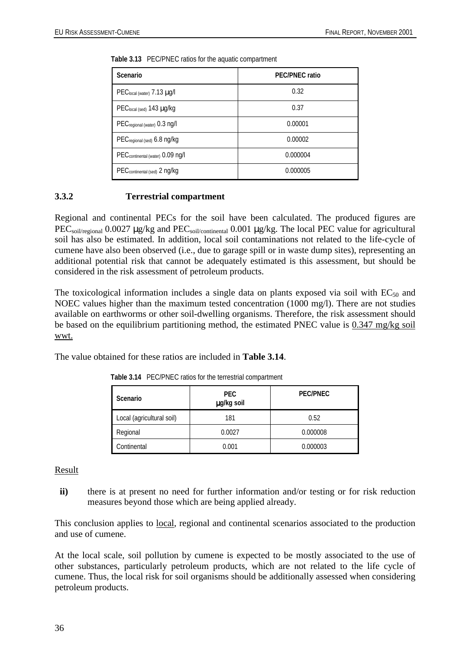| <b>Scenario</b>                              | <b>PEC/PNEC ratio</b> |
|----------------------------------------------|-----------------------|
| $PEC_{local (water)}$ 7.13 $\mu$ g/l         | 0.32                  |
| $PEC_{local (sed)}$ 143 $\mu$ g/kg           | 0.37                  |
| PEC <sub>regional (water</sub> ) 0.3 ng/l    | 0.00001               |
| PEC <sub>regional (sed)</sub> 6.8 ng/kg      | 0.00002               |
| PEC <sub>continental</sub> (water) 0.09 ng/l | 0.000004              |
| PEC <sub>continental (sed)</sub> 2 ng/kg     | 0.000005              |

**Table 3.13** PEC/PNEC ratios for the aquatic compartment

## **3.3.2 Terrestrial compartment**

Regional and continental PECs for the soil have been calculated. The produced figures are PEC<sub>soil/regional</sub> 0.0027  $\mu$ g/kg and PEC<sub>soil/continental</sub> 0.001  $\mu$ g/kg. The local PEC value for agricultural soil has also be estimated. In addition, local soil contaminations not related to the life-cycle of cumene have also been observed (i.e., due to garage spill or in waste dump sites), representing an additional potential risk that cannot be adequately estimated is this assessment, but should be considered in the risk assessment of petroleum products.

The toxicological information includes a single data on plants exposed via soil with  $EC_{50}$  and NOEC values higher than the maximum tested concentration (1000 mg/l). There are not studies available on earthworms or other soil-dwelling organisms. Therefore, the risk assessment should be based on the equilibrium partitioning method, the estimated PNEC value is 0.347 mg/kg soil wwt.

The value obtained for these ratios are included in **Table 3.14**.

| Scenario                  | <b>PEC</b><br>µg/kg soil | <b>PEC/PNEC</b> |
|---------------------------|--------------------------|-----------------|
| Local (agricultural soil) | 181                      | 0.52            |
| Regional                  | 0.0027                   | 0.000008        |
| Continental               | 0.001                    | 0.000003        |

**Table 3.14** PEC/PNEC ratios for the terrestrial compartment

Result

**ii)** there is at present no need for further information and/or testing or for risk reduction measures beyond those which are being applied already.

This conclusion applies to local, regional and continental scenarios associated to the production and use of cumene.

At the local scale, soil pollution by cumene is expected to be mostly associated to the use of other substances, particularly petroleum products, which are not related to the life cycle of cumene. Thus, the local risk for soil organisms should be additionally assessed when considering petroleum products.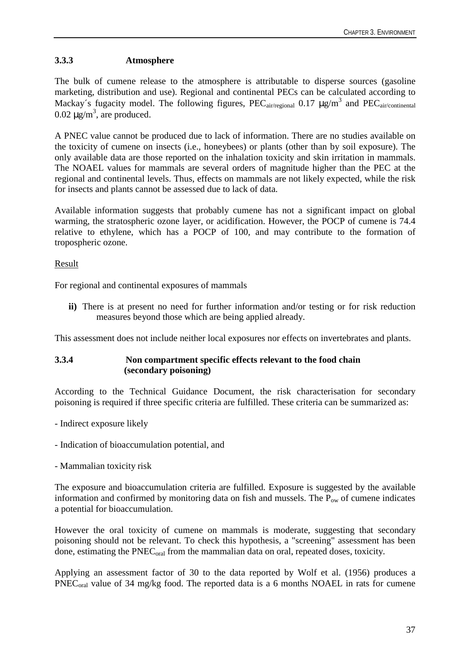## **3.3.3 Atmosphere**

The bulk of cumene release to the atmosphere is attributable to disperse sources (gasoline marketing, distribution and use). Regional and continental PECs can be calculated according to Mackay's fugacity model. The following figures,  $PEC_{air/regional}$  0.17  $\mu g/m^3$  and  $PEC_{air/continental}$  $0.02 \mu\text{g/m}^3$ , are produced.

A PNEC value cannot be produced due to lack of information. There are no studies available on the toxicity of cumene on insects (i.e., honeybees) or plants (other than by soil exposure). The only available data are those reported on the inhalation toxicity and skin irritation in mammals. The NOAEL values for mammals are several orders of magnitude higher than the PEC at the regional and continental levels. Thus, effects on mammals are not likely expected, while the risk for insects and plants cannot be assessed due to lack of data.

Available information suggests that probably cumene has not a significant impact on global warming, the stratospheric ozone layer, or acidification. However, the POCP of cumene is 74.4 relative to ethylene, which has a POCP of 100, and may contribute to the formation of tropospheric ozone.

## Result

For regional and continental exposures of mammals

**ii)** There is at present no need for further information and/or testing or for risk reduction measures beyond those which are being applied already.

This assessment does not include neither local exposures nor effects on invertebrates and plants.

#### **3.3.4 Non compartment specific effects relevant to the food chain (secondary poisoning)**

According to the Technical Guidance Document, the risk characterisation for secondary poisoning is required if three specific criteria are fulfilled. These criteria can be summarized as:

- Indirect exposure likely
- Indication of bioaccumulation potential, and
- Mammalian toxicity risk

The exposure and bioaccumulation criteria are fulfilled. Exposure is suggested by the available information and confirmed by monitoring data on fish and mussels. The  $P_{ow}$  of cumene indicates a potential for bioaccumulation.

However the oral toxicity of cumene on mammals is moderate, suggesting that secondary poisoning should not be relevant. To check this hypothesis, a "screening" assessment has been done, estimating the PNEC<sub>oral</sub> from the mammalian data on oral, repeated doses, toxicity.

Applying an assessment factor of 30 to the data reported by Wolf et al. (1956) produces a PNEC<sub>oral</sub> value of 34 mg/kg food. The reported data is a 6 months NOAEL in rats for cumene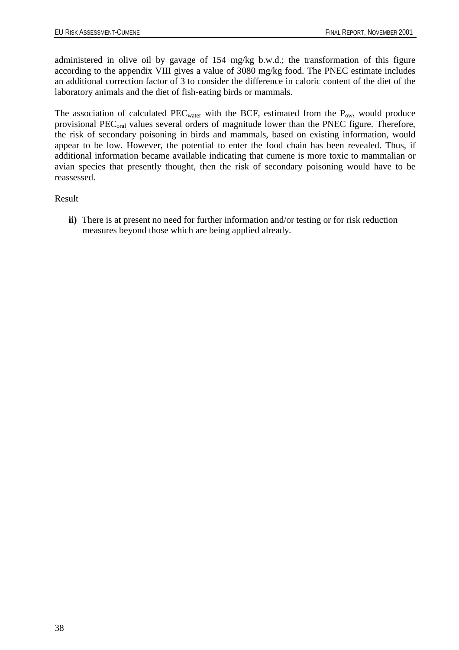administered in olive oil by gavage of 154 mg/kg b.w.d.; the transformation of this figure according to the appendix VIII gives a value of 3080 mg/kg food. The PNEC estimate includes an additional correction factor of 3 to consider the difference in caloric content of the diet of the laboratory animals and the diet of fish-eating birds or mammals.

The association of calculated  $PEC_{water}$  with the BCF, estimated from the  $P_{ow}$ , would produce provisional PECoral values several orders of magnitude lower than the PNEC figure. Therefore, the risk of secondary poisoning in birds and mammals, based on existing information, would appear to be low. However, the potential to enter the food chain has been revealed. Thus, if additional information became available indicating that cumene is more toxic to mammalian or avian species that presently thought, then the risk of secondary poisoning would have to be reassessed.

## Result

**ii)** There is at present no need for further information and/or testing or for risk reduction measures beyond those which are being applied already.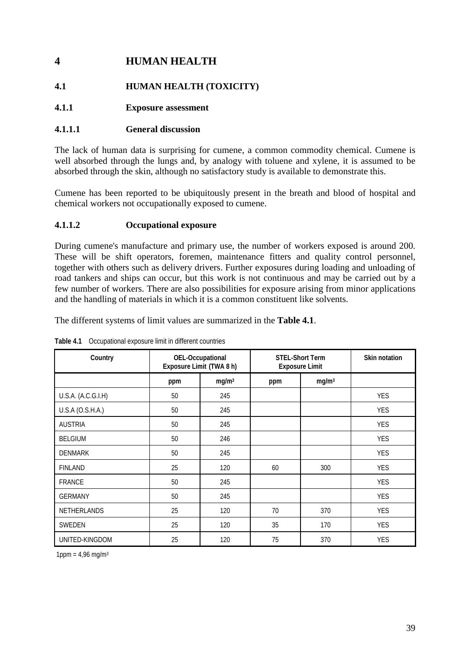# **4 HUMAN HEALTH**

## **4.1 HUMAN HEALTH (TOXICITY)**

## **4.1.1 Exposure assessment**

## **4.1.1.1 General discussion**

The lack of human data is surprising for cumene, a common commodity chemical. Cumene is well absorbed through the lungs and, by analogy with toluene and xylene, it is assumed to be absorbed through the skin, although no satisfactory study is available to demonstrate this.

Cumene has been reported to be ubiquitously present in the breath and blood of hospital and chemical workers not occupationally exposed to cumene.

## **4.1.1.2 Occupational exposure**

During cumene's manufacture and primary use, the number of workers exposed is around 200. These will be shift operators, foremen, maintenance fitters and quality control personnel, together with others such as delivery drivers. Further exposures during loading and unloading of road tankers and ships can occur, but this work is not continuous and may be carried out by a few number of workers. There are also possibilities for exposure arising from minor applications and the handling of materials in which it is a common constituent like solvents.

The different systems of limit values are summarized in the **Table 4.1**.

| Country            | <b>OEL-Occupational</b><br>Exposure Limit (TWA 8 h) |                   | <b>STEL-Short Term</b><br><b>Exposure Limit</b> |                   | <b>Skin notation</b> |
|--------------------|-----------------------------------------------------|-------------------|-------------------------------------------------|-------------------|----------------------|
|                    | ppm                                                 | mg/m <sup>3</sup> | ppm                                             | mg/m <sup>3</sup> |                      |
| U.S.A. (A.C.G.I.H) | 50                                                  | 245               |                                                 |                   | <b>YES</b>           |
| U.S.A (O.S.H.A.)   | 50                                                  | 245               |                                                 |                   | <b>YES</b>           |
| <b>AUSTRIA</b>     | 50                                                  | 245               |                                                 |                   | <b>YES</b>           |
| <b>BELGIUM</b>     | 50                                                  | 246               |                                                 |                   | <b>YES</b>           |
| <b>DENMARK</b>     | 50                                                  | 245               |                                                 |                   | <b>YES</b>           |
| <b>FINLAND</b>     | 25                                                  | 120               | 60                                              | 300               | <b>YES</b>           |
| <b>FRANCE</b>      | 50                                                  | 245               |                                                 |                   | <b>YES</b>           |
| <b>GERMANY</b>     | 50                                                  | 245               |                                                 |                   | <b>YES</b>           |
| NETHERLANDS        | 25                                                  | 120               | 70                                              | 370               | <b>YES</b>           |
| SWEDEN             | 25                                                  | 120               | 35                                              | 170               | <b>YES</b>           |
| UNITED-KINGDOM     | 25                                                  | 120               | 75                                              | 370               | <b>YES</b>           |

**Table 4.1** Occupational exposure limit in different countries

 $1$ ppm =  $4,96$  mg/m<sup>3</sup>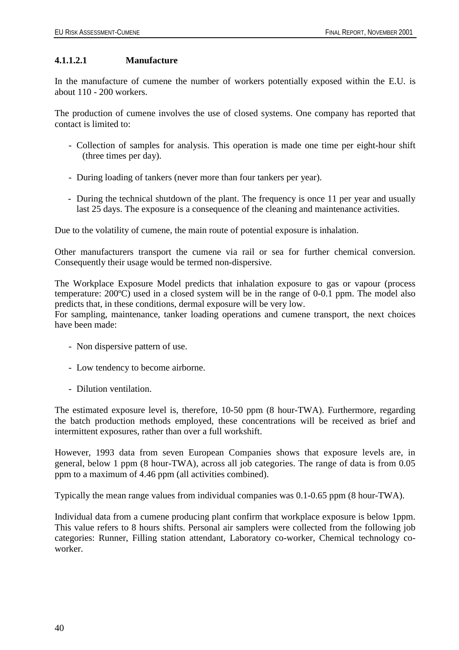#### **4.1.1.2.1 Manufacture**

In the manufacture of cumene the number of workers potentially exposed within the E.U. is about 110 - 200 workers.

The production of cumene involves the use of closed systems. One company has reported that contact is limited to:

- Collection of samples for analysis. This operation is made one time per eight-hour shift (three times per day).
- During loading of tankers (never more than four tankers per year).
- During the technical shutdown of the plant. The frequency is once 11 per year and usually last 25 days. The exposure is a consequence of the cleaning and maintenance activities.

Due to the volatility of cumene, the main route of potential exposure is inhalation.

Other manufacturers transport the cumene via rail or sea for further chemical conversion. Consequently their usage would be termed non-dispersive.

The Workplace Exposure Model predicts that inhalation exposure to gas or vapour (process temperature: 200ºC) used in a closed system will be in the range of 0-0.1 ppm. The model also predicts that, in these conditions, dermal exposure will be very low.

For sampling, maintenance, tanker loading operations and cumene transport, the next choices have been made:

- Non dispersive pattern of use.
- Low tendency to become airborne.
- Dilution ventilation.

The estimated exposure level is, therefore, 10-50 ppm (8 hour-TWA). Furthermore, regarding the batch production methods employed, these concentrations will be received as brief and intermittent exposures, rather than over a full workshift.

However, 1993 data from seven European Companies shows that exposure levels are, in general, below 1 ppm (8 hour-TWA), across all job categories. The range of data is from 0.05 ppm to a maximum of 4.46 ppm (all activities combined).

Typically the mean range values from individual companies was 0.1-0.65 ppm (8 hour-TWA).

Individual data from a cumene producing plant confirm that workplace exposure is below 1ppm. This value refers to 8 hours shifts. Personal air samplers were collected from the following job categories: Runner, Filling station attendant, Laboratory co-worker, Chemical technology coworker.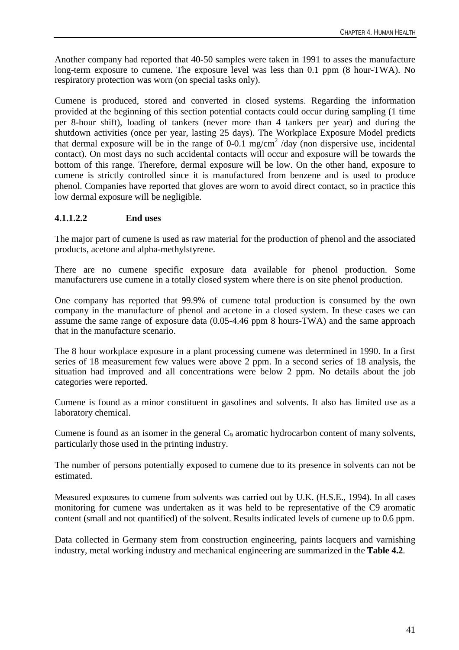Another company had reported that 40-50 samples were taken in 1991 to asses the manufacture long-term exposure to cumene. The exposure level was less than 0.1 ppm (8 hour-TWA). No respiratory protection was worn (on special tasks only).

Cumene is produced, stored and converted in closed systems. Regarding the information provided at the beginning of this section potential contacts could occur during sampling (1 time per 8-hour shift), loading of tankers (never more than 4 tankers per year) and during the shutdown activities (once per year, lasting 25 days). The Workplace Exposure Model predicts that dermal exposure will be in the range of 0-0.1 mg/cm<sup>2</sup> /day (non dispersive use, incidental contact). On most days no such accidental contacts will occur and exposure will be towards the bottom of this range. Therefore, dermal exposure will be low. On the other hand, exposure to cumene is strictly controlled since it is manufactured from benzene and is used to produce phenol. Companies have reported that gloves are worn to avoid direct contact, so in practice this low dermal exposure will be negligible.

#### **4.1.1.2.2 End uses**

The major part of cumene is used as raw material for the production of phenol and the associated products, acetone and alpha-methylstyrene.

There are no cumene specific exposure data available for phenol production. Some manufacturers use cumene in a totally closed system where there is on site phenol production.

One company has reported that 99.9% of cumene total production is consumed by the own company in the manufacture of phenol and acetone in a closed system. In these cases we can assume the same range of exposure data (0.05-4.46 ppm 8 hours-TWA) and the same approach that in the manufacture scenario.

The 8 hour workplace exposure in a plant processing cumene was determined in 1990. In a first series of 18 measurement few values were above 2 ppm. In a second series of 18 analysis, the situation had improved and all concentrations were below 2 ppm. No details about the job categories were reported.

Cumene is found as a minor constituent in gasolines and solvents. It also has limited use as a laboratory chemical.

Cumene is found as an isomer in the general  $C_9$  aromatic hydrocarbon content of many solvents, particularly those used in the printing industry.

The number of persons potentially exposed to cumene due to its presence in solvents can not be estimated.

Measured exposures to cumene from solvents was carried out by U.K. (H.S.E., 1994). In all cases monitoring for cumene was undertaken as it was held to be representative of the C9 aromatic content (small and not quantified) of the solvent. Results indicated levels of cumene up to 0.6 ppm.

Data collected in Germany stem from construction engineering, paints lacquers and varnishing industry, metal working industry and mechanical engineering are summarized in the **Table 4.2**.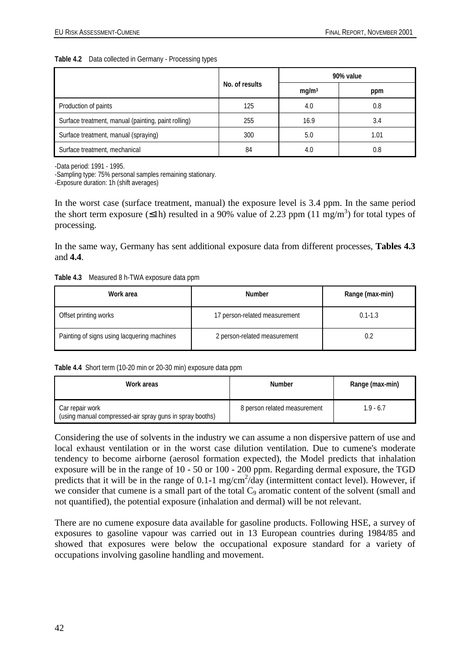#### **Table 4.2** Data collected in Germany - Processing types

|                                                     |                | 90% value         |      |  |
|-----------------------------------------------------|----------------|-------------------|------|--|
|                                                     | No. of results | mg/m <sup>3</sup> | ppm  |  |
| Production of paints                                | 125            | 4.0               | 0.8  |  |
| Surface treatment, manual (painting, paint rolling) | 255            | 16.9              | 3.4  |  |
| Surface treatment, manual (spraying)                | 300            | 5.0               | 1.01 |  |
| Surface treatment, mechanical                       | 84             | 4.0               | 0.8  |  |

-Data period: 1991 - 1995.

-Sampling type: 75% personal samples remaining stationary.

-Exposure duration: 1h (shift averages)

In the worst case (surface treatment, manual) the exposure level is 3.4 ppm. In the same period the short term exposure ( $\leq 1$ h) resulted in a 90% value of 2.23 ppm (11 mg/m<sup>3</sup>) for total types of processing.

In the same way, Germany has sent additional exposure data from different processes, **Tables 4.3** and **4.4**.

| Work area                                   | <b>Number</b>                 | Range (max-min) |  |
|---------------------------------------------|-------------------------------|-----------------|--|
| Offset printing works                       | 17 person-related measurement | $0.1 - 1.3$     |  |
| Painting of signs using lacquering machines | 2 person-related measurement  |                 |  |

**Table 4.4** Short term (10-20 min or 20-30 min) exposure data ppm

| Work areas                                                                  | <b>Number</b>                | Range (max-min) |
|-----------------------------------------------------------------------------|------------------------------|-----------------|
| Car repair work<br>(using manual compressed-air spray guns in spray booths) | 8 person related measurement | $1.9 - 6.7$     |

Considering the use of solvents in the industry we can assume a non dispersive pattern of use and local exhaust ventilation or in the worst case dilution ventilation. Due to cumene's moderate tendency to become airborne (aerosol formation expected), the Model predicts that inhalation exposure will be in the range of 10 - 50 or 100 - 200 ppm. Regarding dermal exposure, the TGD predicts that it will be in the range of 0.1-1 mg/cm<sup>2</sup>/day (intermittent contact level). However, if we consider that cumene is a small part of the total  $C_9$  aromatic content of the solvent (small and not quantified), the potential exposure (inhalation and dermal) will be not relevant.

There are no cumene exposure data available for gasoline products. Following HSE, a survey of exposures to gasoline vapour was carried out in 13 European countries during 1984/85 and showed that exposures were below the occupational exposure standard for a variety of occupations involving gasoline handling and movement.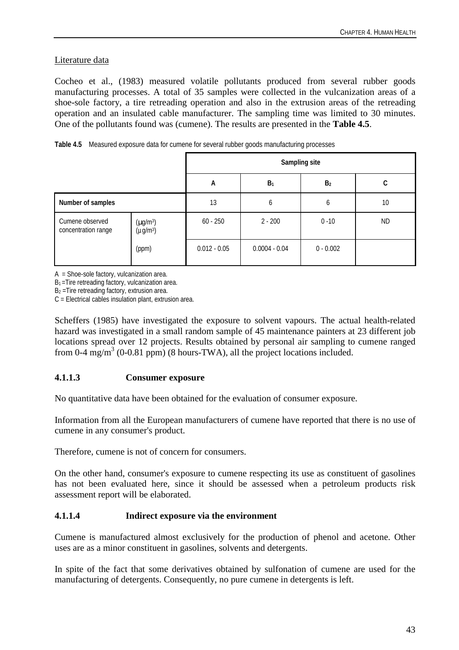## Literature data

Cocheo et al., (1983) measured volatile pollutants produced from several rubber goods manufacturing processes. A total of 35 samples were collected in the vulcanization areas of a shoe-sole factory, a tire retreading operation and also in the extrusion areas of the retreading operation and an insulated cable manufacturer. The sampling time was limited to 30 minutes. One of the pollutants found was (cumene). The results are presented in the **Table 4.5**.

|  |  |  |  |  | Table 4.5 Measured exposure data for cumene for several rubber goods manufacturing processes |
|--|--|--|--|--|----------------------------------------------------------------------------------------------|
|--|--|--|--|--|----------------------------------------------------------------------------------------------|

|                                        |                                | Sampling site  |                 |                |           |
|----------------------------------------|--------------------------------|----------------|-----------------|----------------|-----------|
|                                        |                                | A              | B <sub>1</sub>  | B <sub>2</sub> | C         |
| Number of samples                      |                                | 13             | 6               | 6              | 10        |
| Cumene observed<br>concentration range | $(\mu g/m^3)$<br>$(\mu g/m^3)$ | $60 - 250$     | $2 - 200$       | $0 - 10$       | <b>ND</b> |
|                                        | (ppm)                          | $0.012 - 0.05$ | $0.0004 - 0.04$ | $0 - 0.002$    |           |

A = Shoe-sole factory, vulcanization area.

 $B_1$  = Tire retreading factory, vulcanization area.

 $B_2$  =Tire retreading factory, extrusion area.

 $C =$  Electrical cables insulation plant, extrusion area.

Scheffers (1985) have investigated the exposure to solvent vapours. The actual health-related hazard was investigated in a small random sample of 45 maintenance painters at 23 different job locations spread over 12 projects. Results obtained by personal air sampling to cumene ranged from 0-4 mg/m<sup>3</sup> (0-0.81 ppm) (8 hours-TWA), all the project locations included.

## **4.1.1.3 Consumer exposure**

No quantitative data have been obtained for the evaluation of consumer exposure.

Information from all the European manufacturers of cumene have reported that there is no use of cumene in any consumer's product.

Therefore, cumene is not of concern for consumers.

On the other hand, consumer's exposure to cumene respecting its use as constituent of gasolines has not been evaluated here, since it should be assessed when a petroleum products risk assessment report will be elaborated.

## **4.1.1.4 Indirect exposure via the environment**

Cumene is manufactured almost exclusively for the production of phenol and acetone. Other uses are as a minor constituent in gasolines, solvents and detergents.

In spite of the fact that some derivatives obtained by sulfonation of cumene are used for the manufacturing of detergents. Consequently, no pure cumene in detergents is left.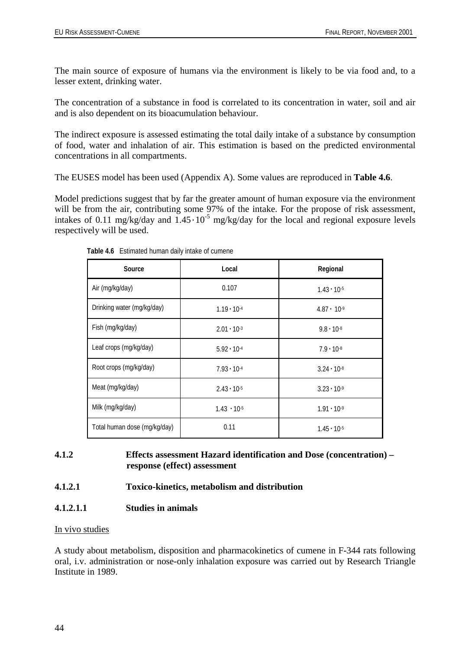The main source of exposure of humans via the environment is likely to be via food and, to a lesser extent, drinking water.

The concentration of a substance in food is correlated to its concentration in water, soil and air and is also dependent on its bioacumulation behaviour.

The indirect exposure is assessed estimating the total daily intake of a substance by consumption of food, water and inhalation of air. This estimation is based on the predicted environmental concentrations in all compartments.

The EUSES model has been used (Appendix A). Some values are reproduced in **Table 4.6**.

Model predictions suggest that by far the greater amount of human exposure via the environment will be from the air, contributing some 97% of the intake. For the propose of risk assessment, intakes of 0.11 mg/kg/day and  $1.45 \cdot 10^{-5}$  mg/kg/day for the local and regional exposure levels respectively will be used.

| Source                       | Local                | Regional             |
|------------------------------|----------------------|----------------------|
| Air (mg/kg/day)              | 0.107                | $1.43 \cdot 10^{-5}$ |
| Drinking water (mg/kg/day)   | $1.19 \cdot 10^{-4}$ | $4.87 \cdot 10^{-9}$ |
| Fish (mg/kg/day)             | $2.01 \cdot 10^{-3}$ | $9.8 \cdot 10^{-8}$  |
| Leaf crops (mg/kg/day)       | $5.92 \cdot 10^{-4}$ | $7.9 \cdot 10^{-8}$  |
| Root crops (mg/kg/day)       | $7.93 \cdot 10^{-4}$ | $3.24 \cdot 10^{-8}$ |
| Meat (mg/kg/day)             | $2.43 \cdot 10^{-5}$ | $3.23 \cdot 10^{-9}$ |
| Milk (mg/kg/day)             | $1.43 \cdot 10^{-5}$ | $1.91 \cdot 10^{-9}$ |
| Total human dose (mg/kg/day) | 0.11                 | $1.45 \cdot 10^{-5}$ |

**Table 4.6** Estimated human daily intake of cumene

## **4.1.2 Effects assessment Hazard identification and Dose (concentration) – response (effect) assessment**

#### **4.1.2.1 Toxico-kinetics, metabolism and distribution**

## **4.1.2.1.1 Studies in animals**

#### In vivo studies

A study about metabolism, disposition and pharmacokinetics of cumene in F-344 rats following oral, i.v. administration or nose-only inhalation exposure was carried out by Research Triangle Institute in 1989.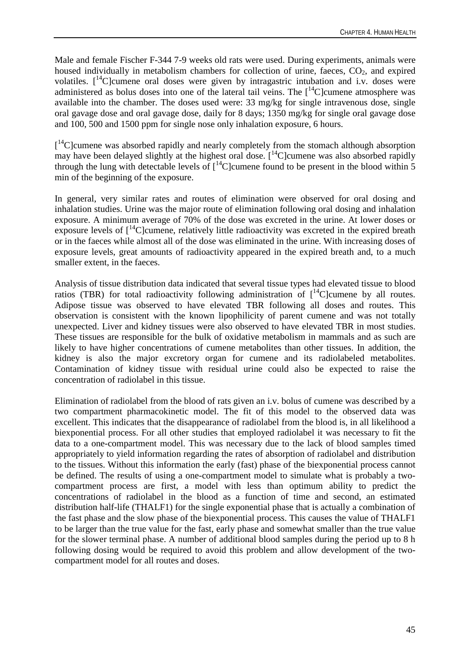Male and female Fischer F-344 7-9 weeks old rats were used. During experiments, animals were housed individually in metabolism chambers for collection of urine, faeces,  $CO<sub>2</sub>$ , and expired volatiles.  $1^{14}$ C cumene oral doses were given by intragastric intubation and i.v. doses were administered as bolus doses into one of the lateral tail veins. The  $[{}^{14}C]$ cumene atmosphere was available into the chamber. The doses used were: 33 mg/kg for single intravenous dose, single oral gavage dose and oral gavage dose, daily for 8 days; 1350 mg/kg for single oral gavage dose and 100, 500 and 1500 ppm for single nose only inhalation exposure, 6 hours.

 $[$ <sup>14</sup>C]cumene was absorbed rapidly and nearly completely from the stomach although absorption may have been delayed slightly at the highest oral dose.  $[$ <sup>14</sup>C]cumene was also absorbed rapidly through the lung with detectable levels of  $\int_0^{14}$ C cumene found to be present in the blood within 5 min of the beginning of the exposure.

In general, very similar rates and routes of elimination were observed for oral dosing and inhalation studies. Urine was the major route of elimination following oral dosing and inhalation exposure. A minimum average of 70% of the dose was excreted in the urine. At lower doses or exposure levels of  $\int_0^{14}$ C cumene, relatively little radioactivity was excreted in the expired breath or in the faeces while almost all of the dose was eliminated in the urine. With increasing doses of exposure levels, great amounts of radioactivity appeared in the expired breath and, to a much smaller extent, in the faeces.

Analysis of tissue distribution data indicated that several tissue types had elevated tissue to blood ratios (TBR) for total radioactivity following administration of  $\int_0^{14}C$  cumene by all routes. Adipose tissue was observed to have elevated TBR following all doses and routes. This observation is consistent with the known lipophilicity of parent cumene and was not totally unexpected. Liver and kidney tissues were also observed to have elevated TBR in most studies. These tissues are responsible for the bulk of oxidative metabolism in mammals and as such are likely to have higher concentrations of cumene metabolites than other tissues. In addition, the kidney is also the major excretory organ for cumene and its radiolabeled metabolites. Contamination of kidney tissue with residual urine could also be expected to raise the concentration of radiolabel in this tissue.

Elimination of radiolabel from the blood of rats given an i.v. bolus of cumene was described by a two compartment pharmacokinetic model. The fit of this model to the observed data was excellent. This indicates that the disappearance of radiolabel from the blood is, in all likelihood a biexponential process. For all other studies that employed radiolabel it was necessary to fit the data to a one-compartment model. This was necessary due to the lack of blood samples timed appropriately to yield information regarding the rates of absorption of radiolabel and distribution to the tissues. Without this information the early (fast) phase of the biexponential process cannot be defined. The results of using a one-compartment model to simulate what is probably a twocompartment process are first, a model with less than optimum ability to predict the concentrations of radiolabel in the blood as a function of time and second, an estimated distribution half-life (THALF1) for the single exponential phase that is actually a combination of the fast phase and the slow phase of the biexponential process. This causes the value of THALF1 to be larger than the true value for the fast, early phase and somewhat smaller than the true value for the slower terminal phase. A number of additional blood samples during the period up to 8 h following dosing would be required to avoid this problem and allow development of the twocompartment model for all routes and doses.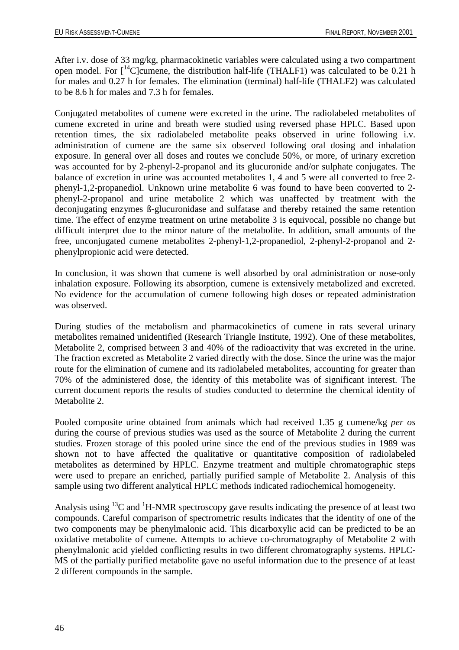After i.v. dose of 33 mg/kg, pharmacokinetic variables were calculated using a two compartment open model. For  $1^{14}$ C cumene, the distribution half-life (THALF1) was calculated to be 0.21 h for males and 0.27 h for females. The elimination (terminal) half-life (THALF2) was calculated to be 8.6 h for males and 7.3 h for females.

Conjugated metabolites of cumene were excreted in the urine. The radiolabeled metabolites of cumene excreted in urine and breath were studied using reversed phase HPLC. Based upon retention times, the six radiolabeled metabolite peaks observed in urine following i.v. administration of cumene are the same six observed following oral dosing and inhalation exposure. In general over all doses and routes we conclude 50%, or more, of urinary excretion was accounted for by 2-phenyl-2-propanol and its glucuronide and/or sulphate conjugates. The balance of excretion in urine was accounted metabolites 1, 4 and 5 were all converted to free 2 phenyl-1,2-propanediol. Unknown urine metabolite 6 was found to have been converted to 2 phenyl-2-propanol and urine metabolite 2 which was unaffected by treatment with the deconjugating enzymes ß-glucuronidase and sulfatase and thereby retained the same retention time. The effect of enzyme treatment on urine metabolite 3 is equivocal, possible no change but difficult interpret due to the minor nature of the metabolite. In addition, small amounts of the free, unconjugated cumene metabolites 2-phenyl-1,2-propanediol, 2-phenyl-2-propanol and 2 phenylpropionic acid were detected.

In conclusion, it was shown that cumene is well absorbed by oral administration or nose-only inhalation exposure. Following its absorption, cumene is extensively metabolized and excreted. No evidence for the accumulation of cumene following high doses or repeated administration was observed.

During studies of the metabolism and pharmacokinetics of cumene in rats several urinary metabolites remained unidentified (Research Triangle Institute, 1992). One of these metabolites, Metabolite 2, comprised between 3 and 40% of the radioactivity that was excreted in the urine. The fraction excreted as Metabolite 2 varied directly with the dose. Since the urine was the major route for the elimination of cumene and its radiolabeled metabolites, accounting for greater than 70% of the administered dose, the identity of this metabolite was of significant interest. The current document reports the results of studies conducted to determine the chemical identity of Metabolite 2.

Pooled composite urine obtained from animals which had received 1.35 g cumene/kg *per os* during the course of previous studies was used as the source of Metabolite 2 during the current studies. Frozen storage of this pooled urine since the end of the previous studies in 1989 was shown not to have affected the qualitative or quantitative composition of radiolabeled metabolites as determined by HPLC. Enzyme treatment and multiple chromatographic steps were used to prepare an enriched, partially purified sample of Metabolite 2. Analysis of this sample using two different analytical HPLC methods indicated radiochemical homogeneity.

Analysis using  $^{13}$ C and  $^{1}$ H-NMR spectroscopy gave results indicating the presence of at least two compounds. Careful comparison of spectrometric results indicates that the identity of one of the two components may be phenylmalonic acid. This dicarboxylic acid can be predicted to be an oxidative metabolite of cumene. Attempts to achieve co-chromatography of Metabolite 2 with phenylmalonic acid yielded conflicting results in two different chromatography systems. HPLC-MS of the partially purified metabolite gave no useful information due to the presence of at least 2 different compounds in the sample.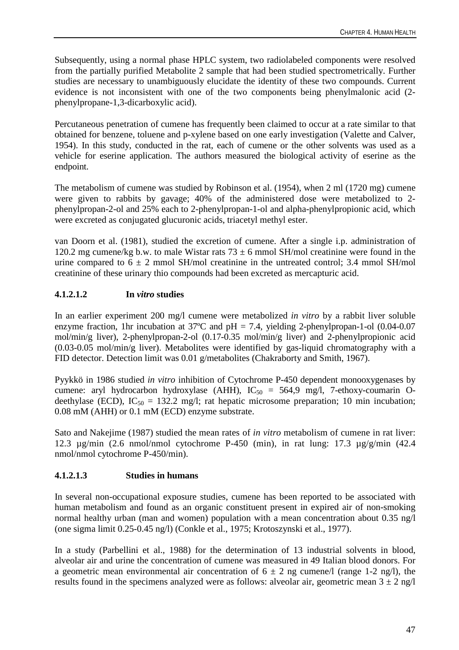Subsequently, using a normal phase HPLC system, two radiolabeled components were resolved from the partially purified Metabolite 2 sample that had been studied spectrometrically. Further studies are necessary to unambiguously elucidate the identity of these two compounds. Current evidence is not inconsistent with one of the two components being phenylmalonic acid (2 phenylpropane-1,3-dicarboxylic acid).

Percutaneous penetration of cumene has frequently been claimed to occur at a rate similar to that obtained for benzene, toluene and p-xylene based on one early investigation (Valette and Calver, 1954). In this study, conducted in the rat, each of cumene or the other solvents was used as a vehicle for eserine application. The authors measured the biological activity of eserine as the endpoint.

The metabolism of cumene was studied by Robinson et al. (1954), when 2 ml (1720 mg) cumene were given to rabbits by gavage; 40% of the administered dose were metabolized to 2 phenylpropan-2-ol and 25% each to 2-phenylpropan-1-ol and alpha-phenylpropionic acid, which were excreted as conjugated glucuronic acids, triacetyl methyl ester.

van Doorn et al. (1981), studied the excretion of cumene. After a single i.p. administration of 120.2 mg cumene/kg b.w. to male Wistar rats  $73 \pm 6$  mmol SH/mol creatinine were found in the urine compared to  $6 \pm 2$  mmol SH/mol creatinine in the untreated control; 3.4 mmol SH/mol creatinine of these urinary thio compounds had been excreted as mercapturic acid.

## **4.1.2.1.2 In** *vitro* **studies**

In an earlier experiment 200 mg/l cumene were metabolized *in vitro* by a rabbit liver soluble enzyme fraction, 1hr incubation at  $37^{\circ}$ C and  $pH = 7.4$ , yielding 2-phenylpropan-1-ol (0.04-0.07 mol/min/g liver), 2-phenylpropan-2-ol (0.17-0.35 mol/min/g liver) and 2-phenylpropionic acid (0.03-0.05 mol/min/g liver). Metabolites were identified by gas-liquid chromatography with a FID detector. Detection limit was 0.01 g/metabolites (Chakraborty and Smith, 1967).

Pyykkö in 1986 studied *in vitro* inhibition of Cytochrome P-450 dependent monooxygenases by cumene: aryl hydrocarbon hydroxylase (AHH),  $IC_{50} = 564.9$  mg/l, 7-ethoxy-coumarin Odeethylase (ECD),  $IC_{50} = 132.2$  mg/l; rat hepatic microsome preparation; 10 min incubation; 0.08 mM (AHH) or 0.1 mM (ECD) enzyme substrate.

Sato and Nakejime (1987) studied the mean rates of *in vitro* metabolism of cumene in rat liver: 12.3 µg/min (2.6 nmol/nmol cytochrome P-450 (min), in rat lung: 17.3 µg/g/min (42.4 nmol/nmol cytochrome P-450/min).

## **4.1.2.1.3 Studies in humans**

In several non-occupational exposure studies, cumene has been reported to be associated with human metabolism and found as an organic constituent present in expired air of non-smoking normal healthy urban (man and women) population with a mean concentration about 0.35 ng/l (one sigma limit 0.25-0.45 ng/l) (Conkle et al., 1975; Krotoszynski et al., 1977).

In a study (Parbellini et al., 1988) for the determination of 13 industrial solvents in blood, alveolar air and urine the concentration of cumene was measured in 49 Italian blood donors. For a geometric mean environmental air concentration of  $6 \pm 2$  ng cumene/l (range 1-2 ng/l), the results found in the specimens analyzed were as follows: alveolar air, geometric mean  $3 \pm 2$  ng/l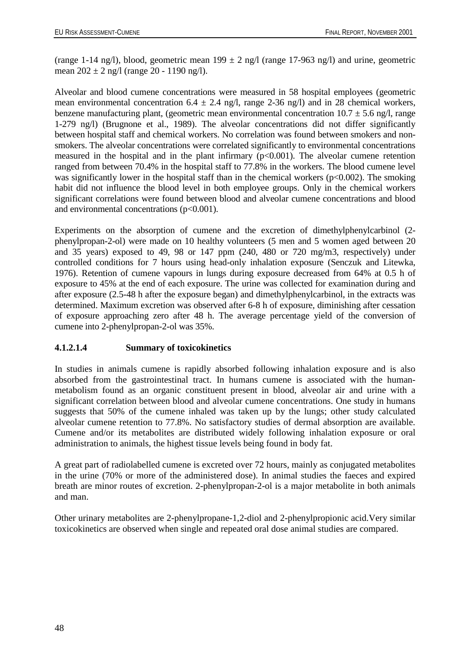(range 1-14 ng/l), blood, geometric mean  $199 \pm 2$  ng/l (range 17-963 ng/l) and urine, geometric mean  $202 \pm 2$  ng/l (range 20 - 1190 ng/l).

Alveolar and blood cumene concentrations were measured in 58 hospital employees (geometric mean environmental concentration  $6.4 \pm 2.4$  ng/l, range 2-36 ng/l) and in 28 chemical workers, benzene manufacturing plant, (geometric mean environmental concentration  $10.7 \pm 5.6$  ng/l, range 1-279 ng/l) (Brugnone et al., 1989). The alveolar concentrations did not differ significantly between hospital staff and chemical workers. No correlation was found between smokers and nonsmokers. The alveolar concentrations were correlated significantly to environmental concentrations measured in the hospital and in the plant infirmary  $(p<0.001)$ . The alveolar cumene retention ranged from between 70.4% in the hospital staff to 77.8% in the workers. The blood cumene level was significantly lower in the hospital staff than in the chemical workers  $(p<0.002)$ . The smoking habit did not influence the blood level in both employee groups. Only in the chemical workers significant correlations were found between blood and alveolar cumene concentrations and blood and environmental concentrations  $(p<0.001)$ .

Experiments on the absorption of cumene and the excretion of dimethylphenylcarbinol (2 phenylpropan-2-ol) were made on 10 healthy volunteers (5 men and 5 women aged between 20 and 35 years) exposed to 49, 98 or 147 ppm (240, 480 or 720 mg/m3, respectively) under controlled conditions for 7 hours using head-only inhalation exposure (Senczuk and Litewka, 1976). Retention of cumene vapours in lungs during exposure decreased from 64% at 0.5 h of exposure to 45% at the end of each exposure. The urine was collected for examination during and after exposure (2.5-48 h after the exposure began) and dimethylphenylcarbinol, in the extracts was determined. Maximum excretion was observed after 6-8 h of exposure, diminishing after cessation of exposure approaching zero after 48 h. The average percentage yield of the conversion of cumene into 2-phenylpropan-2-ol was 35%.

## **4.1.2.1.4 Summary of toxicokinetics**

In studies in animals cumene is rapidly absorbed following inhalation exposure and is also absorbed from the gastrointestinal tract. In humans cumene is associated with the humanmetabolism found as an organic constituent present in blood, alveolar air and urine with a significant correlation between blood and alveolar cumene concentrations. One study in humans suggests that 50% of the cumene inhaled was taken up by the lungs; other study calculated alveolar cumene retention to 77.8%. No satisfactory studies of dermal absorption are available. Cumene and/or its metabolites are distributed widely following inhalation exposure or oral administration to animals, the highest tissue levels being found in body fat.

A great part of radiolabelled cumene is excreted over 72 hours, mainly as conjugated metabolites in the urine (70% or more of the administered dose). In animal studies the faeces and expired breath are minor routes of excretion. 2-phenylpropan-2-ol is a major metabolite in both animals and man.

Other urinary metabolites are 2-phenylpropane-1,2-diol and 2-phenylpropionic acid.Very similar toxicokinetics are observed when single and repeated oral dose animal studies are compared.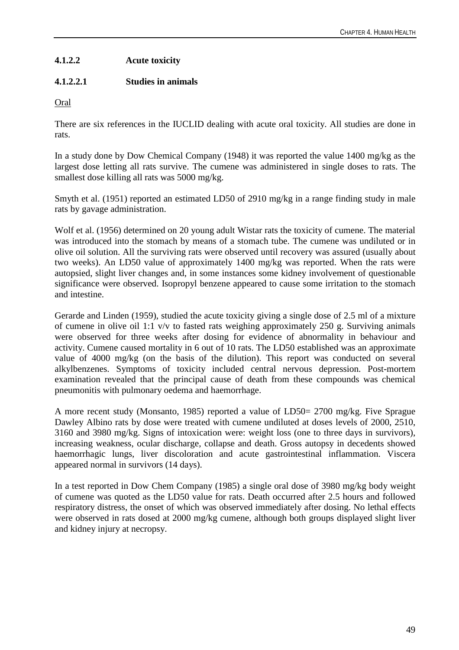## **4.1.2.2 Acute toxicity**

## **4.1.2.2.1 Studies in animals**

Oral

There are six references in the IUCLID dealing with acute oral toxicity. All studies are done in rats.

In a study done by Dow Chemical Company (1948) it was reported the value 1400 mg/kg as the largest dose letting all rats survive. The cumene was administered in single doses to rats. The smallest dose killing all rats was 5000 mg/kg.

Smyth et al. (1951) reported an estimated LD50 of 2910 mg/kg in a range finding study in male rats by gavage administration.

Wolf et al. (1956) determined on 20 young adult Wistar rats the toxicity of cumene. The material was introduced into the stomach by means of a stomach tube. The cumene was undiluted or in olive oil solution. All the surviving rats were observed until recovery was assured (usually about two weeks). An LD50 value of approximately 1400 mg/kg was reported. When the rats were autopsied, slight liver changes and, in some instances some kidney involvement of questionable significance were observed. Isopropyl benzene appeared to cause some irritation to the stomach and intestine.

Gerarde and Linden (1959), studied the acute toxicity giving a single dose of 2.5 ml of a mixture of cumene in olive oil 1:1 v/v to fasted rats weighing approximately 250 g. Surviving animals were observed for three weeks after dosing for evidence of abnormality in behaviour and activity. Cumene caused mortality in 6 out of 10 rats. The LD50 established was an approximate value of 4000 mg/kg (on the basis of the dilution). This report was conducted on several alkylbenzenes. Symptoms of toxicity included central nervous depression. Post-mortem examination revealed that the principal cause of death from these compounds was chemical pneumonitis with pulmonary oedema and haemorrhage.

A more recent study (Monsanto, 1985) reported a value of LD50= 2700 mg/kg. Five Sprague Dawley Albino rats by dose were treated with cumene undiluted at doses levels of 2000, 2510, 3160 and 3980 mg/kg. Signs of intoxication were: weight loss (one to three days in survivors), increasing weakness, ocular discharge, collapse and death. Gross autopsy in decedents showed haemorrhagic lungs, liver discoloration and acute gastrointestinal inflammation. Viscera appeared normal in survivors (14 days).

In a test reported in Dow Chem Company (1985) a single oral dose of 3980 mg/kg body weight of cumene was quoted as the LD50 value for rats. Death occurred after 2.5 hours and followed respiratory distress, the onset of which was observed immediately after dosing. No lethal effects were observed in rats dosed at 2000 mg/kg cumene, although both groups displayed slight liver and kidney injury at necropsy.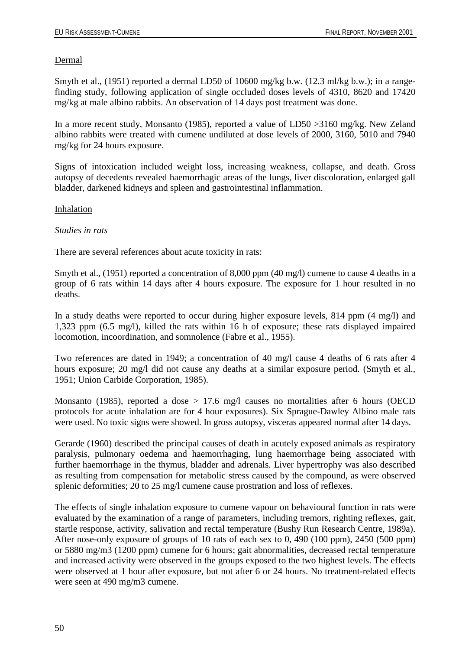## Dermal

Smyth et al., (1951) reported a dermal LD50 of 10600 mg/kg b.w. (12.3 ml/kg b.w.); in a rangefinding study, following application of single occluded doses levels of 4310, 8620 and 17420 mg/kg at male albino rabbits. An observation of 14 days post treatment was done.

In a more recent study, Monsanto (1985), reported a value of LD50 >3160 mg/kg. New Zeland albino rabbits were treated with cumene undiluted at dose levels of 2000, 3160, 5010 and 7940 mg/kg for 24 hours exposure.

Signs of intoxication included weight loss, increasing weakness, collapse, and death. Gross autopsy of decedents revealed haemorrhagic areas of the lungs, liver discoloration, enlarged gall bladder, darkened kidneys and spleen and gastrointestinal inflammation.

#### Inhalation

#### *Studies in rats*

There are several references about acute toxicity in rats:

Smyth et al., (1951) reported a concentration of 8,000 ppm (40 mg/l) cumene to cause 4 deaths in a group of 6 rats within 14 days after 4 hours exposure. The exposure for 1 hour resulted in no deaths.

In a study deaths were reported to occur during higher exposure levels, 814 ppm (4 mg/l) and 1,323 ppm (6.5 mg/l), killed the rats within 16 h of exposure; these rats displayed impaired locomotion, incoordination, and somnolence (Fabre et al., 1955).

Two references are dated in 1949; a concentration of 40 mg/l cause 4 deaths of 6 rats after 4 hours exposure; 20 mg/l did not cause any deaths at a similar exposure period. (Smyth et al., 1951; Union Carbide Corporation, 1985).

Monsanto (1985), reported a dose  $> 17.6$  mg/l causes no mortalities after 6 hours (OECD protocols for acute inhalation are for 4 hour exposures). Six Sprague-Dawley Albino male rats were used. No toxic signs were showed. In gross autopsy, visceras appeared normal after 14 days.

Gerarde (1960) described the principal causes of death in acutely exposed animals as respiratory paralysis, pulmonary oedema and haemorrhaging, lung haemorrhage being associated with further haemorrhage in the thymus, bladder and adrenals. Liver hypertrophy was also described as resulting from compensation for metabolic stress caused by the compound, as were observed splenic deformities; 20 to 25 mg/l cumene cause prostration and loss of reflexes.

The effects of single inhalation exposure to cumene vapour on behavioural function in rats were evaluated by the examination of a range of parameters, including tremors, righting reflexes, gait, startle response, activity, salivation and rectal temperature (Bushy Run Research Centre, 1989a). After nose-only exposure of groups of 10 rats of each sex to 0, 490 (100 ppm), 2450 (500 ppm) or 5880 mg/m3 (1200 ppm) cumene for 6 hours; gait abnormalities, decreased rectal temperature and increased activity were observed in the groups exposed to the two highest levels. The effects were observed at 1 hour after exposure, but not after 6 or 24 hours. No treatment-related effects were seen at 490 mg/m3 cumene.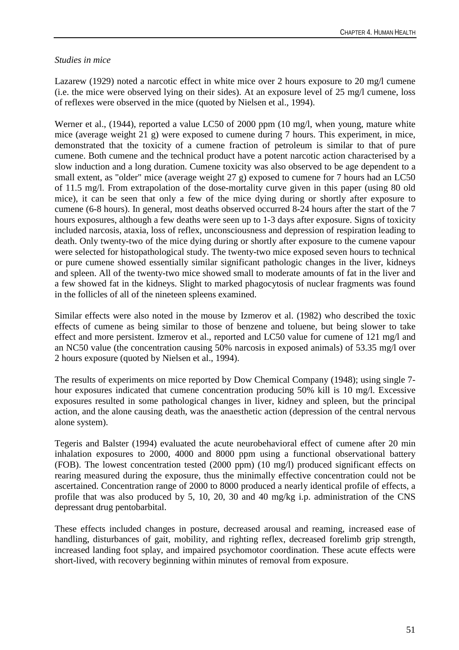#### *Studies in mice*

Lazarew (1929) noted a narcotic effect in white mice over 2 hours exposure to 20 mg/l cumene (i.e. the mice were observed lying on their sides). At an exposure level of 25 mg/l cumene, loss of reflexes were observed in the mice (quoted by Nielsen et al., 1994).

Werner et al., (1944), reported a value LC50 of 2000 ppm (10 mg/l, when young, mature white mice (average weight 21 g) were exposed to cumene during 7 hours. This experiment, in mice, demonstrated that the toxicity of a cumene fraction of petroleum is similar to that of pure cumene. Both cumene and the technical product have a potent narcotic action characterised by a slow induction and a long duration. Cumene toxicity was also observed to be age dependent to a small extent, as "older" mice (average weight 27 g) exposed to cumene for 7 hours had an LC50 of 11.5 mg/l. From extrapolation of the dose-mortality curve given in this paper (using 80 old mice), it can be seen that only a few of the mice dying during or shortly after exposure to cumene (6-8 hours). In general, most deaths observed occurred 8-24 hours after the start of the 7 hours exposures, although a few deaths were seen up to 1-3 days after exposure. Signs of toxicity included narcosis, ataxia, loss of reflex, unconsciousness and depression of respiration leading to death. Only twenty-two of the mice dying during or shortly after exposure to the cumene vapour were selected for histopathological study. The twenty-two mice exposed seven hours to technical or pure cumene showed essentially similar significant pathologic changes in the liver, kidneys and spleen. All of the twenty-two mice showed small to moderate amounts of fat in the liver and a few showed fat in the kidneys. Slight to marked phagocytosis of nuclear fragments was found in the follicles of all of the nineteen spleens examined.

Similar effects were also noted in the mouse by Izmerov et al. (1982) who described the toxic effects of cumene as being similar to those of benzene and toluene, but being slower to take effect and more persistent. Izmerov et al., reported and LC50 value for cumene of 121 mg/l and an NC50 value (the concentration causing 50% narcosis in exposed animals) of 53.35 mg/l over 2 hours exposure (quoted by Nielsen et al., 1994).

The results of experiments on mice reported by Dow Chemical Company (1948); using single 7 hour exposures indicated that cumene concentration producing 50% kill is 10 mg/l. Excessive exposures resulted in some pathological changes in liver, kidney and spleen, but the principal action, and the alone causing death, was the anaesthetic action (depression of the central nervous alone system).

Tegeris and Balster (1994) evaluated the acute neurobehavioral effect of cumene after 20 min inhalation exposures to 2000, 4000 and 8000 ppm using a functional observational battery (FOB). The lowest concentration tested (2000 ppm) (10 mg/l) produced significant effects on rearing measured during the exposure, thus the minimally effective concentration could not be ascertained. Concentration range of 2000 to 8000 produced a nearly identical profile of effects, a profile that was also produced by 5, 10, 20, 30 and 40 mg/kg i.p. administration of the CNS depressant drug pentobarbital.

These effects included changes in posture, decreased arousal and reaming, increased ease of handling, disturbances of gait, mobility, and righting reflex, decreased forelimb grip strength, increased landing foot splay, and impaired psychomotor coordination. These acute effects were short-lived, with recovery beginning within minutes of removal from exposure.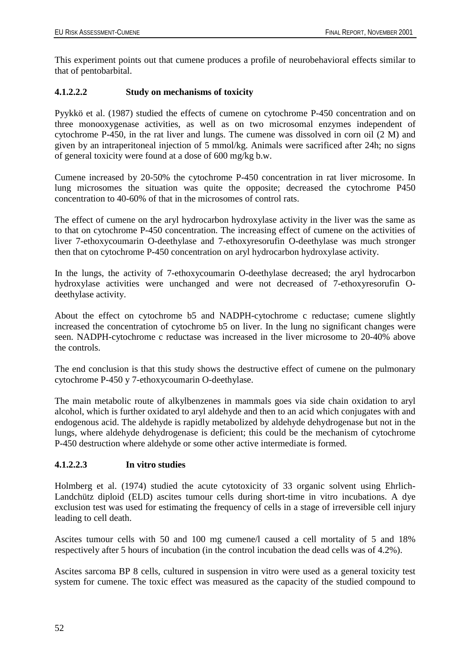This experiment points out that cumene produces a profile of neurobehavioral effects similar to that of pentobarbital.

## **4.1.2.2.2 Study on mechanisms of toxicity**

Pyykkö et al. (1987) studied the effects of cumene on cytochrome P-450 concentration and on three monooxygenase activities, as well as on two microsomal enzymes independent of cytochrome P-450, in the rat liver and lungs. The cumene was dissolved in corn oil (2 M) and given by an intraperitoneal injection of 5 mmol/kg. Animals were sacrificed after 24h; no signs of general toxicity were found at a dose of 600 mg/kg b.w.

Cumene increased by 20-50% the cytochrome P-450 concentration in rat liver microsome. In lung microsomes the situation was quite the opposite; decreased the cytochrome P450 concentration to 40-60% of that in the microsomes of control rats.

The effect of cumene on the aryl hydrocarbon hydroxylase activity in the liver was the same as to that on cytochrome P-450 concentration. The increasing effect of cumene on the activities of liver 7-ethoxycoumarin O-deethylase and 7-ethoxyresorufin O-deethylase was much stronger then that on cytochrome P-450 concentration on aryl hydrocarbon hydroxylase activity.

In the lungs, the activity of 7-ethoxycoumarin O-deethylase decreased; the aryl hydrocarbon hydroxylase activities were unchanged and were not decreased of 7-ethoxyresorufin Odeethylase activity.

About the effect on cytochrome b5 and NADPH-cytochrome c reductase; cumene slightly increased the concentration of cytochrome b5 on liver. In the lung no significant changes were seen. NADPH-cytochrome c reductase was increased in the liver microsome to 20-40% above the controls.

The end conclusion is that this study shows the destructive effect of cumene on the pulmonary cytochrome P-450 y 7-ethoxycoumarin O-deethylase.

The main metabolic route of alkylbenzenes in mammals goes via side chain oxidation to aryl alcohol, which is further oxidated to aryl aldehyde and then to an acid which conjugates with and endogenous acid. The aldehyde is rapidly metabolized by aldehyde dehydrogenase but not in the lungs, where aldehyde dehydrogenase is deficient; this could be the mechanism of cytochrome P-450 destruction where aldehyde or some other active intermediate is formed.

## **4.1.2.2.3 In vitro studies**

Holmberg et al. (1974) studied the acute cytotoxicity of 33 organic solvent using Ehrlich-Landchütz diploid (ELD) ascites tumour cells during short-time in vitro incubations. A dye exclusion test was used for estimating the frequency of cells in a stage of irreversible cell injury leading to cell death.

Ascites tumour cells with 50 and 100 mg cumene/l caused a cell mortality of 5 and 18% respectively after 5 hours of incubation (in the control incubation the dead cells was of 4.2%).

Ascites sarcoma BP 8 cells, cultured in suspension in vitro were used as a general toxicity test system for cumene. The toxic effect was measured as the capacity of the studied compound to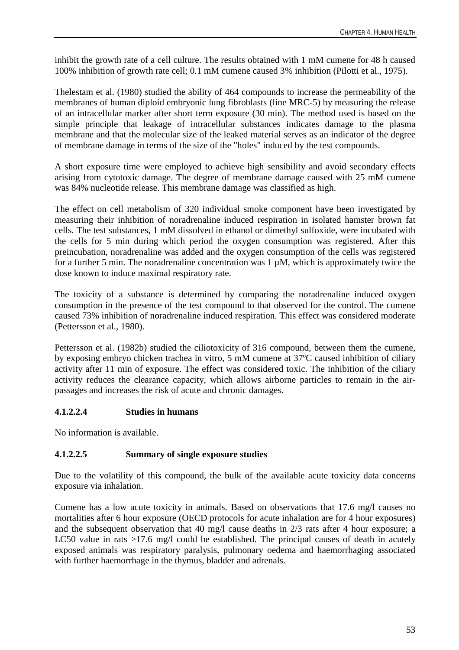inhibit the growth rate of a cell culture. The results obtained with 1 mM cumene for 48 h caused 100% inhibition of growth rate cell; 0.1 mM cumene caused 3% inhibition (Pilotti et al., 1975).

Thelestam et al. (1980) studied the ability of 464 compounds to increase the permeability of the membranes of human diploid embryonic lung fibroblasts (line MRC-5) by measuring the release of an intracellular marker after short term exposure (30 min). The method used is based on the simple principle that leakage of intracellular substances indicates damage to the plasma membrane and that the molecular size of the leaked material serves as an indicator of the degree of membrane damage in terms of the size of the "holes" induced by the test compounds.

A short exposure time were employed to achieve high sensibility and avoid secondary effects arising from cytotoxic damage. The degree of membrane damage caused with 25 mM cumene was 84% nucleotide release. This membrane damage was classified as high.

The effect on cell metabolism of 320 individual smoke component have been investigated by measuring their inhibition of noradrenaline induced respiration in isolated hamster brown fat cells. The test substances, 1 mM dissolved in ethanol or dimethyl sulfoxide, were incubated with the cells for 5 min during which period the oxygen consumption was registered. After this preincubation, noradrenaline was added and the oxygen consumption of the cells was registered for a further 5 min. The noradrenaline concentration was 1 µM, which is approximately twice the dose known to induce maximal respiratory rate.

The toxicity of a substance is determined by comparing the noradrenaline induced oxygen consumption in the presence of the test compound to that observed for the control. The cumene caused 73% inhibition of noradrenaline induced respiration. This effect was considered moderate (Pettersson et al., 1980).

Pettersson et al. (1982b) studied the ciliotoxicity of 316 compound, between them the cumene, by exposing embryo chicken trachea in vitro, 5 mM cumene at 37ºC caused inhibition of ciliary activity after 11 min of exposure. The effect was considered toxic. The inhibition of the ciliary activity reduces the clearance capacity, which allows airborne particles to remain in the airpassages and increases the risk of acute and chronic damages.

## **4.1.2.2.4 Studies in humans**

No information is available.

## **4.1.2.2.5 Summary of single exposure studies**

Due to the volatility of this compound, the bulk of the available acute toxicity data concerns exposure via inhalation.

Cumene has a low acute toxicity in animals. Based on observations that 17.6 mg/l causes no mortalities after 6 hour exposure (OECD protocols for acute inhalation are for 4 hour exposures) and the subsequent observation that 40 mg/l cause deaths in 2/3 rats after 4 hour exposure; a LC50 value in rats >17.6 mg/l could be established. The principal causes of death in acutely exposed animals was respiratory paralysis, pulmonary oedema and haemorrhaging associated with further haemorrhage in the thymus, bladder and adrenals.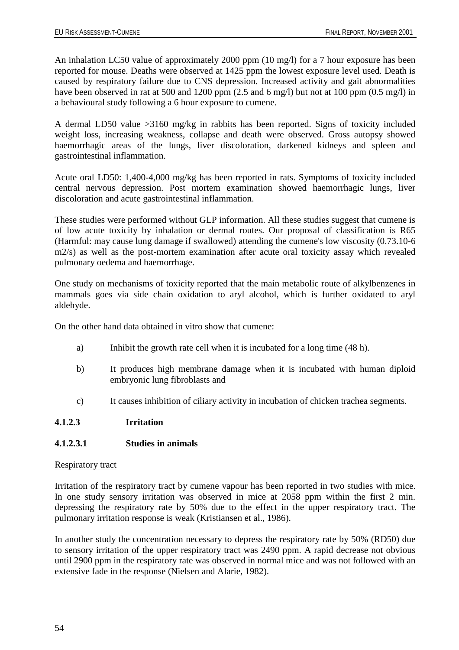An inhalation LC50 value of approximately 2000 ppm (10 mg/l) for a 7 hour exposure has been reported for mouse. Deaths were observed at 1425 ppm the lowest exposure level used. Death is caused by respiratory failure due to CNS depression. Increased activity and gait abnormalities have been observed in rat at 500 and 1200 ppm (2.5 and 6 mg/l) but not at 100 ppm (0.5 mg/l) in a behavioural study following a 6 hour exposure to cumene.

A dermal LD50 value >3160 mg/kg in rabbits has been reported. Signs of toxicity included weight loss, increasing weakness, collapse and death were observed. Gross autopsy showed haemorrhagic areas of the lungs, liver discoloration, darkened kidneys and spleen and gastrointestinal inflammation.

Acute oral LD50: 1,400-4,000 mg/kg has been reported in rats. Symptoms of toxicity included central nervous depression. Post mortem examination showed haemorrhagic lungs, liver discoloration and acute gastrointestinal inflammation.

These studies were performed without GLP information. All these studies suggest that cumene is of low acute toxicity by inhalation or dermal routes. Our proposal of classification is R65 (Harmful: may cause lung damage if swallowed) attending the cumene's low viscosity (0.73.10-6 m2/s) as well as the post-mortem examination after acute oral toxicity assay which revealed pulmonary oedema and haemorrhage.

One study on mechanisms of toxicity reported that the main metabolic route of alkylbenzenes in mammals goes via side chain oxidation to aryl alcohol, which is further oxidated to aryl aldehyde.

On the other hand data obtained in vitro show that cumene:

- a) Inhibit the growth rate cell when it is incubated for a long time (48 h).
- b) It produces high membrane damage when it is incubated with human diploid embryonic lung fibroblasts and
- c) It causes inhibition of ciliary activity in incubation of chicken trachea segments.

## **4.1.2.3 Irritation**

## **4.1.2.3.1 Studies in animals**

#### Respiratory tract

Irritation of the respiratory tract by cumene vapour has been reported in two studies with mice. In one study sensory irritation was observed in mice at 2058 ppm within the first 2 min. depressing the respiratory rate by 50% due to the effect in the upper respiratory tract. The pulmonary irritation response is weak (Kristiansen et al., 1986).

In another study the concentration necessary to depress the respiratory rate by 50% (RD50) due to sensory irritation of the upper respiratory tract was 2490 ppm. A rapid decrease not obvious until 2900 ppm in the respiratory rate was observed in normal mice and was not followed with an extensive fade in the response (Nielsen and Alarie, 1982).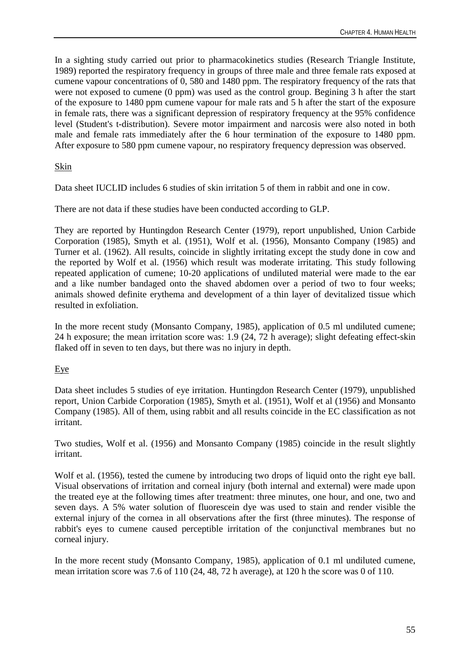In a sighting study carried out prior to pharmacokinetics studies (Research Triangle Institute, 1989) reported the respiratory frequency in groups of three male and three female rats exposed at cumene vapour concentrations of 0, 580 and 1480 ppm. The respiratory frequency of the rats that were not exposed to cumene (0 ppm) was used as the control group. Begining 3 h after the start of the exposure to 1480 ppm cumene vapour for male rats and 5 h after the start of the exposure in female rats, there was a significant depression of respiratory frequency at the 95% confidence level (Student's t-distribution). Severe motor impairment and narcosis were also noted in both male and female rats immediately after the 6 hour termination of the exposure to 1480 ppm. After exposure to 580 ppm cumene vapour, no respiratory frequency depression was observed.

#### Skin

Data sheet IUCLID includes 6 studies of skin irritation 5 of them in rabbit and one in cow.

There are not data if these studies have been conducted according to GLP.

They are reported by Huntingdon Research Center (1979), report unpublished, Union Carbide Corporation (1985), Smyth et al. (1951), Wolf et al. (1956), Monsanto Company (1985) and Turner et al. (1962). All results, coincide in slightly irritating except the study done in cow and the reported by Wolf et al. (1956) which result was moderate irritating. This study following repeated application of cumene; 10-20 applications of undiluted material were made to the ear and a like number bandaged onto the shaved abdomen over a period of two to four weeks; animals showed definite erythema and development of a thin layer of devitalized tissue which resulted in exfoliation.

In the more recent study (Monsanto Company, 1985), application of 0.5 ml undiluted cumene; 24 h exposure; the mean irritation score was: 1.9 (24, 72 h average); slight defeating effect-skin flaked off in seven to ten days, but there was no injury in depth.

#### Eye

Data sheet includes 5 studies of eye irritation. Huntingdon Research Center (1979), unpublished report, Union Carbide Corporation (1985), Smyth et al. (1951), Wolf et al (1956) and Monsanto Company (1985). All of them, using rabbit and all results coincide in the EC classification as not irritant.

Two studies, Wolf et al. (1956) and Monsanto Company (1985) coincide in the result slightly irritant.

Wolf et al. (1956), tested the cumene by introducing two drops of liquid onto the right eye ball. Visual observations of irritation and corneal injury (both internal and external) were made upon the treated eye at the following times after treatment: three minutes, one hour, and one, two and seven days. A 5% water solution of fluorescein dye was used to stain and render visible the external injury of the cornea in all observations after the first (three minutes). The response of rabbit's eyes to cumene caused perceptible irritation of the conjunctival membranes but no corneal injury.

In the more recent study (Monsanto Company, 1985), application of 0.1 ml undiluted cumene, mean irritation score was 7.6 of 110 (24,  $\overline{48}$ ,  $\overline{72}$  h average), at 120 h the score was 0 of 110.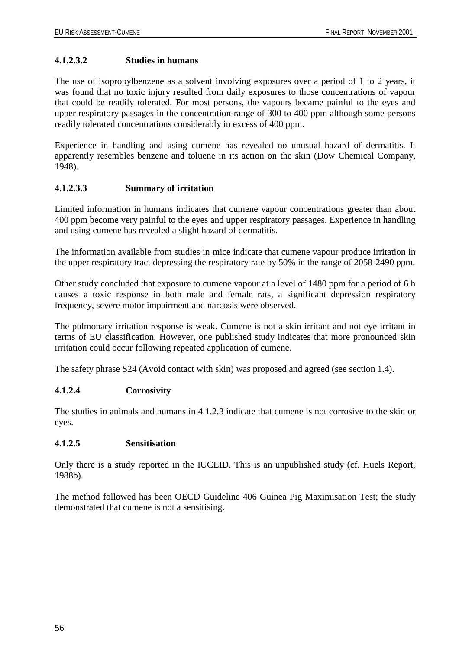## **4.1.2.3.2 Studies in humans**

The use of isopropylbenzene as a solvent involving exposures over a period of 1 to 2 years, it was found that no toxic injury resulted from daily exposures to those concentrations of vapour that could be readily tolerated. For most persons, the vapours became painful to the eyes and upper respiratory passages in the concentration range of 300 to 400 ppm although some persons readily tolerated concentrations considerably in excess of 400 ppm.

Experience in handling and using cumene has revealed no unusual hazard of dermatitis. It apparently resembles benzene and toluene in its action on the skin (Dow Chemical Company, 1948).

## **4.1.2.3.3 Summary of irritation**

Limited information in humans indicates that cumene vapour concentrations greater than about 400 ppm become very painful to the eyes and upper respiratory passages. Experience in handling and using cumene has revealed a slight hazard of dermatitis.

The information available from studies in mice indicate that cumene vapour produce irritation in the upper respiratory tract depressing the respiratory rate by 50% in the range of 2058-2490 ppm.

Other study concluded that exposure to cumene vapour at a level of 1480 ppm for a period of 6 h causes a toxic response in both male and female rats, a significant depression respiratory frequency, severe motor impairment and narcosis were observed.

The pulmonary irritation response is weak. Cumene is not a skin irritant and not eye irritant in terms of EU classification. However, one published study indicates that more pronounced skin irritation could occur following repeated application of cumene.

The safety phrase S24 (Avoid contact with skin) was proposed and agreed (see section 1.4).

## **4.1.2.4 Corrosivity**

The studies in animals and humans in 4.1.2.3 indicate that cumene is not corrosive to the skin or eyes.

## **4.1.2.5 Sensitisation**

Only there is a study reported in the IUCLID. This is an unpublished study (cf. Huels Report, 1988b).

The method followed has been OECD Guideline 406 Guinea Pig Maximisation Test; the study demonstrated that cumene is not a sensitising.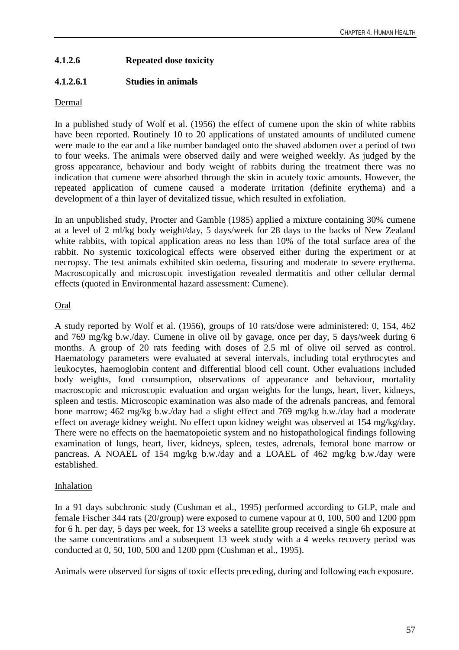## **4.1.2.6 Repeated dose toxicity**

### **4.1.2.6.1 Studies in animals**

#### Dermal

In a published study of Wolf et al. (1956) the effect of cumene upon the skin of white rabbits have been reported. Routinely 10 to 20 applications of unstated amounts of undiluted cumene were made to the ear and a like number bandaged onto the shaved abdomen over a period of two to four weeks. The animals were observed daily and were weighed weekly. As judged by the gross appearance, behaviour and body weight of rabbits during the treatment there was no indication that cumene were absorbed through the skin in acutely toxic amounts. However, the repeated application of cumene caused a moderate irritation (definite erythema) and a development of a thin layer of devitalized tissue, which resulted in exfoliation.

In an unpublished study, Procter and Gamble (1985) applied a mixture containing 30% cumene at a level of 2 ml/kg body weight/day, 5 days/week for 28 days to the backs of New Zealand white rabbits, with topical application areas no less than 10% of the total surface area of the rabbit. No systemic toxicological effects were observed either during the experiment or at necropsy. The test animals exhibited skin oedema, fissuring and moderate to severe erythema. Macroscopically and microscopic investigation revealed dermatitis and other cellular dermal effects (quoted in Environmental hazard assessment: Cumene).

## Oral

A study reported by Wolf et al. (1956), groups of 10 rats/dose were administered: 0, 154, 462 and 769 mg/kg b.w./day. Cumene in olive oil by gavage, once per day, 5 days/week during 6 months. A group of 20 rats feeding with doses of 2.5 ml of olive oil served as control. Haematology parameters were evaluated at several intervals, including total erythrocytes and leukocytes, haemoglobin content and differential blood cell count. Other evaluations included body weights, food consumption, observations of appearance and behaviour, mortality macroscopic and microscopic evaluation and organ weights for the lungs, heart, liver, kidneys, spleen and testis. Microscopic examination was also made of the adrenals pancreas, and femoral bone marrow; 462 mg/kg b.w./day had a slight effect and 769 mg/kg b.w./day had a moderate effect on average kidney weight. No effect upon kidney weight was observed at 154 mg/kg/day. There were no effects on the haematopoietic system and no histopathological findings following examination of lungs, heart, liver, kidneys, spleen, testes, adrenals, femoral bone marrow or pancreas. A NOAEL of 154 mg/kg b.w./day and a LOAEL of 462 mg/kg b.w./day were established.

#### Inhalation

In a 91 days subchronic study (Cushman et al., 1995) performed according to GLP, male and female Fischer 344 rats (20/group) were exposed to cumene vapour at 0, 100, 500 and 1200 ppm for 6 h. per day, 5 days per week, for 13 weeks a satellite group received a single 6h exposure at the same concentrations and a subsequent 13 week study with a 4 weeks recovery period was conducted at 0, 50, 100, 500 and 1200 ppm (Cushman et al., 1995).

Animals were observed for signs of toxic effects preceding, during and following each exposure.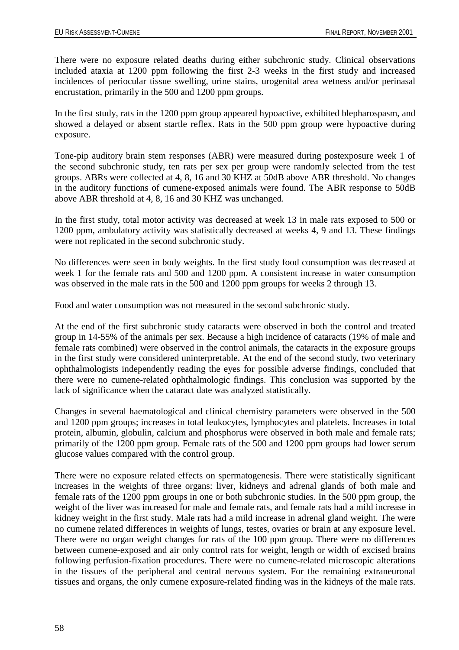There were no exposure related deaths during either subchronic study. Clinical observations included ataxia at 1200 ppm following the first 2-3 weeks in the first study and increased incidences of periocular tissue swelling, urine stains, urogenital area wetness and/or perinasal encrustation, primarily in the 500 and 1200 ppm groups.

In the first study, rats in the 1200 ppm group appeared hypoactive, exhibited blepharospasm, and showed a delayed or absent startle reflex. Rats in the 500 ppm group were hypoactive during exposure.

Tone-pip auditory brain stem responses (ABR) were measured during postexposure week 1 of the second subchronic study, ten rats per sex per group were randomly selected from the test groups. ABRs were collected at 4, 8, 16 and 30 KHZ at 50dB above ABR threshold. No changes in the auditory functions of cumene-exposed animals were found. The ABR response to 50dB above ABR threshold at 4, 8, 16 and 30 KHZ was unchanged.

In the first study, total motor activity was decreased at week 13 in male rats exposed to 500 or 1200 ppm, ambulatory activity was statistically decreased at weeks 4, 9 and 13. These findings were not replicated in the second subchronic study.

No differences were seen in body weights. In the first study food consumption was decreased at week 1 for the female rats and 500 and 1200 ppm. A consistent increase in water consumption was observed in the male rats in the 500 and 1200 ppm groups for weeks 2 through 13.

Food and water consumption was not measured in the second subchronic study.

At the end of the first subchronic study cataracts were observed in both the control and treated group in 14-55% of the animals per sex. Because a high incidence of cataracts (19% of male and female rats combined) were observed in the control animals, the cataracts in the exposure groups in the first study were considered uninterpretable. At the end of the second study, two veterinary ophthalmologists independently reading the eyes for possible adverse findings, concluded that there were no cumene-related ophthalmologic findings. This conclusion was supported by the lack of significance when the cataract date was analyzed statistically.

Changes in several haematological and clinical chemistry parameters were observed in the 500 and 1200 ppm groups; increases in total leukocytes, lymphocytes and platelets. Increases in total protein, albumin, globulin, calcium and phosphorus were observed in both male and female rats; primarily of the 1200 ppm group. Female rats of the 500 and 1200 ppm groups had lower serum glucose values compared with the control group.

There were no exposure related effects on spermatogenesis. There were statistically significant increases in the weights of three organs: liver, kidneys and adrenal glands of both male and female rats of the 1200 ppm groups in one or both subchronic studies. In the 500 ppm group, the weight of the liver was increased for male and female rats, and female rats had a mild increase in kidney weight in the first study. Male rats had a mild increase in adrenal gland weight. The were no cumene related differences in weights of lungs, testes, ovaries or brain at any exposure level. There were no organ weight changes for rats of the 100 ppm group. There were no differences between cumene-exposed and air only control rats for weight, length or width of excised brains following perfusion-fixation procedures. There were no cumene-related microscopic alterations in the tissues of the peripheral and central nervous system. For the remaining extraneuronal tissues and organs, the only cumene exposure-related finding was in the kidneys of the male rats.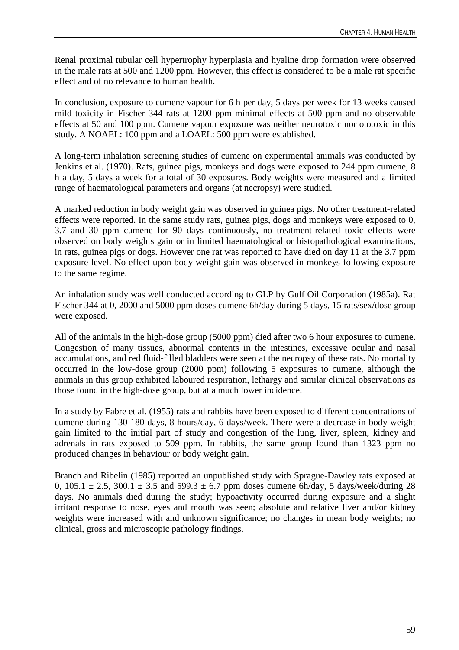Renal proximal tubular cell hypertrophy hyperplasia and hyaline drop formation were observed in the male rats at 500 and 1200 ppm. However, this effect is considered to be a male rat specific effect and of no relevance to human health.

In conclusion, exposure to cumene vapour for 6 h per day, 5 days per week for 13 weeks caused mild toxicity in Fischer 344 rats at 1200 ppm minimal effects at 500 ppm and no observable effects at 50 and 100 ppm. Cumene vapour exposure was neither neurotoxic nor ototoxic in this study. A NOAEL: 100 ppm and a LOAEL: 500 ppm were established.

A long-term inhalation screening studies of cumene on experimental animals was conducted by Jenkins et al. (1970). Rats, guinea pigs, monkeys and dogs were exposed to 244 ppm cumene, 8 h a day, 5 days a week for a total of 30 exposures. Body weights were measured and a limited range of haematological parameters and organs (at necropsy) were studied.

A marked reduction in body weight gain was observed in guinea pigs. No other treatment-related effects were reported. In the same study rats, guinea pigs, dogs and monkeys were exposed to 0, 3.7 and 30 ppm cumene for 90 days continuously, no treatment-related toxic effects were observed on body weights gain or in limited haematological or histopathological examinations, in rats, guinea pigs or dogs. However one rat was reported to have died on day 11 at the 3.7 ppm exposure level. No effect upon body weight gain was observed in monkeys following exposure to the same regime.

An inhalation study was well conducted according to GLP by Gulf Oil Corporation (1985a). Rat Fischer 344 at 0, 2000 and 5000 ppm doses cumene 6h/day during 5 days, 15 rats/sex/dose group were exposed.

All of the animals in the high-dose group (5000 ppm) died after two 6 hour exposures to cumene. Congestion of many tissues, abnormal contents in the intestines, excessive ocular and nasal accumulations, and red fluid-filled bladders were seen at the necropsy of these rats. No mortality occurred in the low-dose group (2000 ppm) following 5 exposures to cumene, although the animals in this group exhibited laboured respiration, lethargy and similar clinical observations as those found in the high-dose group, but at a much lower incidence.

In a study by Fabre et al. (1955) rats and rabbits have been exposed to different concentrations of cumene during 130-180 days, 8 hours/day, 6 days/week. There were a decrease in body weight gain limited to the initial part of study and congestion of the lung, liver, spleen, kidney and adrenals in rats exposed to 509 ppm. In rabbits, the same group found than 1323 ppm no produced changes in behaviour or body weight gain.

Branch and Ribelin (1985) reported an unpublished study with Sprague-Dawley rats exposed at 0,  $105.1 \pm 2.5$ ,  $300.1 \pm 3.5$  and  $599.3 \pm 6.7$  ppm doses cumene 6h/day, 5 days/week/during 28 days. No animals died during the study; hypoactivity occurred during exposure and a slight irritant response to nose, eyes and mouth was seen; absolute and relative liver and/or kidney weights were increased with and unknown significance; no changes in mean body weights; no clinical, gross and microscopic pathology findings.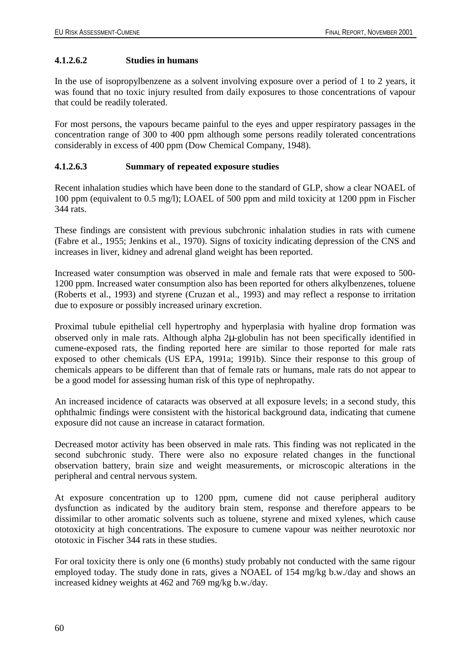## **4.1.2.6.2 Studies in humans**

In the use of isopropylbenzene as a solvent involving exposure over a period of 1 to 2 years, it was found that no toxic injury resulted from daily exposures to those concentrations of vapour that could be readily tolerated.

For most persons, the vapours became painful to the eyes and upper respiratory passages in the concentration range of 300 to 400 ppm although some persons readily tolerated concentrations considerably in excess of 400 ppm (Dow Chemical Company, 1948).

## **4.1.2.6.3 Summary of repeated exposure studies**

Recent inhalation studies which have been done to the standard of GLP, show a clear NOAEL of 100 ppm (equivalent to 0.5 mg/l); LOAEL of 500 ppm and mild toxicity at 1200 ppm in Fischer 344 rats.

These findings are consistent with previous subchronic inhalation studies in rats with cumene (Fabre et al., 1955; Jenkins et al., 1970). Signs of toxicity indicating depression of the CNS and increases in liver, kidney and adrenal gland weight has been reported.

Increased water consumption was observed in male and female rats that were exposed to 500- 1200 ppm. Increased water consumption also has been reported for others alkylbenzenes, toluene (Roberts et al., 1993) and styrene (Cruzan et al., 1993) and may reflect a response to irritation due to exposure or possibly increased urinary excretion.

Proximal tubule epithelial cell hypertrophy and hyperplasia with hyaline drop formation was observed only in male rats. Although alpha 2µ-globulin has not been specifically identified in cumene-exposed rats, the finding reported here are similar to those reported for male rats exposed to other chemicals (US EPA, 1991a; 1991b). Since their response to this group of chemicals appears to be different than that of female rats or humans, male rats do not appear to be a good model for assessing human risk of this type of nephropathy.

An increased incidence of cataracts was observed at all exposure levels; in a second study, this ophthalmic findings were consistent with the historical background data, indicating that cumene exposure did not cause an increase in cataract formation.

Decreased motor activity has been observed in male rats. This finding was not replicated in the second subchronic study. There were also no exposure related changes in the functional observation battery, brain size and weight measurements, or microscopic alterations in the peripheral and central nervous system.

At exposure concentration up to 1200 ppm, cumene did not cause peripheral auditory dysfunction as indicated by the auditory brain stem, response and therefore appears to be dissimilar to other aromatic solvents such as toluene, styrene and mixed xylenes, which cause ototoxicity at high concentrations. The exposure to cumene vapour was neither neurotoxic nor ototoxic in Fischer 344 rats in these studies.

For oral toxicity there is only one (6 months) study probably not conducted with the same rigour employed today. The study done in rats, gives a NOAEL of 154 mg/kg b.w./day and shows an increased kidney weights at 462 and 769 mg/kg b.w./day.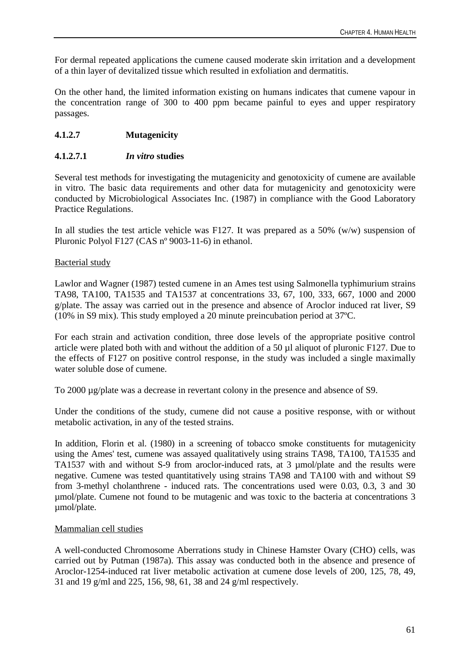For dermal repeated applications the cumene caused moderate skin irritation and a development of a thin layer of devitalized tissue which resulted in exfoliation and dermatitis.

On the other hand, the limited information existing on humans indicates that cumene vapour in the concentration range of 300 to 400 ppm became painful to eyes and upper respiratory passages.

## **4.1.2.7 Mutagenicity**

#### **4.1.2.7.1** *In vitro* **studies**

Several test methods for investigating the mutagenicity and genotoxicity of cumene are available in vitro. The basic data requirements and other data for mutagenicity and genotoxicity were conducted by Microbiological Associates Inc. (1987) in compliance with the Good Laboratory Practice Regulations.

In all studies the test article vehicle was F127. It was prepared as a 50% (w/w) suspension of Pluronic Polyol F127 (CAS nº 9003-11-6) in ethanol.

## Bacterial study

Lawlor and Wagner (1987) tested cumene in an Ames test using Salmonella typhimurium strains TA98, TA100, TA1535 and TA1537 at concentrations 33, 67, 100, 333, 667, 1000 and 2000 g/plate. The assay was carried out in the presence and absence of Aroclor induced rat liver, S9 (10% in S9 mix). This study employed a 20 minute preincubation period at 37ºC.

For each strain and activation condition, three dose levels of the appropriate positive control article were plated both with and without the addition of a 50 µl aliquot of pluronic F127. Due to the effects of F127 on positive control response, in the study was included a single maximally water soluble dose of cumene.

To 2000 µg/plate was a decrease in revertant colony in the presence and absence of S9.

Under the conditions of the study, cumene did not cause a positive response, with or without metabolic activation, in any of the tested strains.

In addition, Florin et al. (1980) in a screening of tobacco smoke constituents for mutagenicity using the Ames' test, cumene was assayed qualitatively using strains TA98, TA100, TA1535 and TA1537 with and without S-9 from aroclor-induced rats, at 3 µmol/plate and the results were negative. Cumene was tested quantitatively using strains TA98 and TA100 with and without S9 from 3-methyl cholanthrene - induced rats. The concentrations used were 0.03, 0.3, 3 and 30 µmol/plate. Cumene not found to be mutagenic and was toxic to the bacteria at concentrations 3 µmol/plate.

#### Mammalian cell studies

A well-conducted Chromosome Aberrations study in Chinese Hamster Ovary (CHO) cells, was carried out by Putman (1987a). This assay was conducted both in the absence and presence of Aroclor-1254-induced rat liver metabolic activation at cumene dose levels of 200, 125, 78, 49, 31 and 19 g/ml and 225, 156, 98, 61, 38 and 24 g/ml respectively.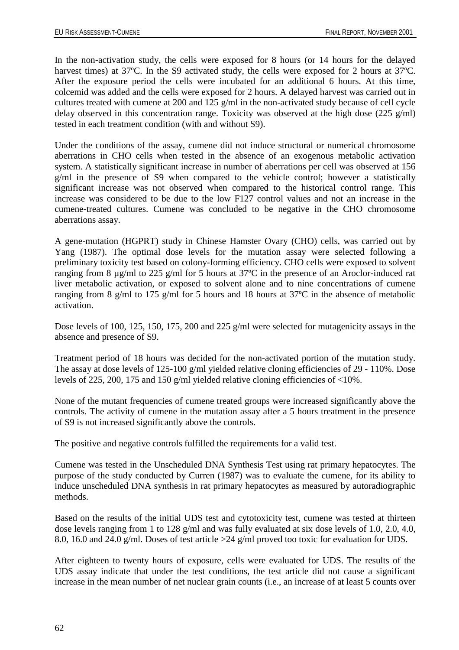In the non-activation study, the cells were exposed for 8 hours (or 14 hours for the delayed harvest times) at 37<sup>o</sup>C. In the S9 activated study, the cells were exposed for 2 hours at 37<sup>o</sup>C. After the exposure period the cells were incubated for an additional 6 hours. At this time, colcemid was added and the cells were exposed for 2 hours. A delayed harvest was carried out in cultures treated with cumene at 200 and 125 g/ml in the non-activated study because of cell cycle delay observed in this concentration range. Toxicity was observed at the high dose (225 g/ml) tested in each treatment condition (with and without S9).

Under the conditions of the assay, cumene did not induce structural or numerical chromosome aberrations in CHO cells when tested in the absence of an exogenous metabolic activation system. A statistically significant increase in number of aberrations per cell was observed at 156 g/ml in the presence of S9 when compared to the vehicle control; however a statistically significant increase was not observed when compared to the historical control range. This increase was considered to be due to the low F127 control values and not an increase in the cumene-treated cultures. Cumene was concluded to be negative in the CHO chromosome aberrations assay.

A gene-mutation (HGPRT) study in Chinese Hamster Ovary (CHO) cells, was carried out by Yang (1987). The optimal dose levels for the mutation assay were selected following a preliminary toxicity test based on colony-forming efficiency. CHO cells were exposed to solvent ranging from 8 µg/ml to 225 g/ml for 5 hours at 37ºC in the presence of an Aroclor-induced rat liver metabolic activation, or exposed to solvent alone and to nine concentrations of cumene ranging from 8 g/ml to 175 g/ml for 5 hours and 18 hours at 37ºC in the absence of metabolic activation.

Dose levels of 100, 125, 150, 175, 200 and 225 g/ml were selected for mutagenicity assays in the absence and presence of S9.

Treatment period of 18 hours was decided for the non-activated portion of the mutation study. The assay at dose levels of 125-100 g/ml yielded relative cloning efficiencies of 29 - 110%. Dose levels of 225, 200, 175 and 150 g/ml yielded relative cloning efficiencies of <10%.

None of the mutant frequencies of cumene treated groups were increased significantly above the controls. The activity of cumene in the mutation assay after a 5 hours treatment in the presence of S9 is not increased significantly above the controls.

The positive and negative controls fulfilled the requirements for a valid test.

Cumene was tested in the Unscheduled DNA Synthesis Test using rat primary hepatocytes. The purpose of the study conducted by Curren (1987) was to evaluate the cumene, for its ability to induce unscheduled DNA synthesis in rat primary hepatocytes as measured by autoradiographic methods.

Based on the results of the initial UDS test and cytotoxicity test, cumene was tested at thirteen dose levels ranging from 1 to 128 g/ml and was fully evaluated at six dose levels of 1.0, 2.0, 4.0, 8.0, 16.0 and 24.0 g/ml. Doses of test article >24 g/ml proved too toxic for evaluation for UDS.

After eighteen to twenty hours of exposure, cells were evaluated for UDS. The results of the UDS assay indicate that under the test conditions, the test article did not cause a significant increase in the mean number of net nuclear grain counts (i.e., an increase of at least 5 counts over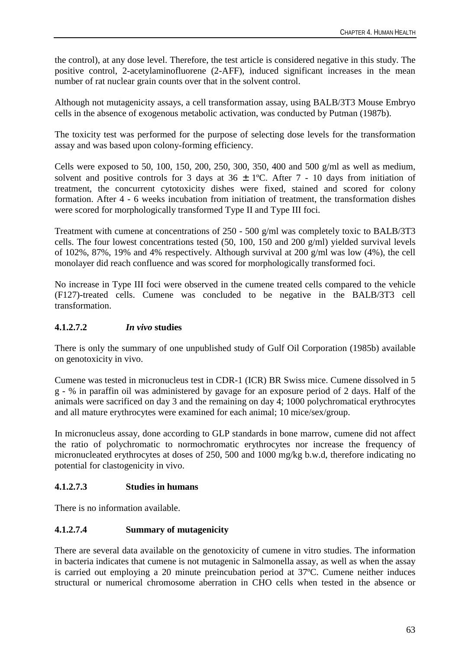the control), at any dose level. Therefore, the test article is considered negative in this study. The positive control, 2-acetylaminofluorene (2-AFF), induced significant increases in the mean number of rat nuclear grain counts over that in the solvent control.

Although not mutagenicity assays, a cell transformation assay, using BALB/3T3 Mouse Embryo cells in the absence of exogenous metabolic activation, was conducted by Putman (1987b).

The toxicity test was performed for the purpose of selecting dose levels for the transformation assay and was based upon colony-forming efficiency.

Cells were exposed to 50, 100, 150, 200, 250, 300, 350, 400 and 500 g/ml as well as medium, solvent and positive controls for 3 days at  $36 \pm 1^{\circ}$ C. After 7 - 10 days from initiation of treatment, the concurrent cytotoxicity dishes were fixed, stained and scored for colony formation. After 4 - 6 weeks incubation from initiation of treatment, the transformation dishes were scored for morphologically transformed Type II and Type III foci.

Treatment with cumene at concentrations of 250 - 500 g/ml was completely toxic to BALB/3T3 cells. The four lowest concentrations tested (50, 100, 150 and 200 g/ml) yielded survival levels of 102%, 87%, 19% and 4% respectively. Although survival at 200 g/ml was low (4%), the cell monolayer did reach confluence and was scored for morphologically transformed foci.

No increase in Type III foci were observed in the cumene treated cells compared to the vehicle (F127)-treated cells. Cumene was concluded to be negative in the BALB/3T3 cell transformation.

## **4.1.2.7.2** *In vivo* **studies**

There is only the summary of one unpublished study of Gulf Oil Corporation (1985b) available on genotoxicity in vivo.

Cumene was tested in micronucleus test in CDR-1 (ICR) BR Swiss mice. Cumene dissolved in 5 g - % in paraffin oil was administered by gavage for an exposure period of 2 days. Half of the animals were sacrificed on day 3 and the remaining on day 4; 1000 polychromatical erythrocytes and all mature erythrocytes were examined for each animal; 10 mice/sex/group.

In micronucleus assay, done according to GLP standards in bone marrow, cumene did not affect the ratio of polychromatic to normochromatic erythrocytes nor increase the frequency of micronucleated erythrocytes at doses of 250, 500 and 1000 mg/kg b.w.d, therefore indicating no potential for clastogenicity in vivo.

#### **4.1.2.7.3 Studies in humans**

There is no information available.

#### **4.1.2.7.4 Summary of mutagenicity**

There are several data available on the genotoxicity of cumene in vitro studies. The information in bacteria indicates that cumene is not mutagenic in Salmonella assay, as well as when the assay is carried out employing a 20 minute preincubation period at 37ºC. Cumene neither induces structural or numerical chromosome aberration in CHO cells when tested in the absence or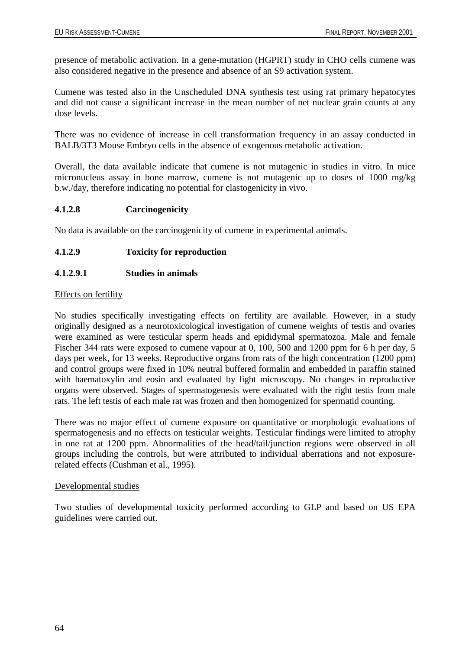presence of metabolic activation. In a gene-mutation (HGPRT) study in CHO cells cumene was also considered negative in the presence and absence of an S9 activation system.

Cumene was tested also in the Unscheduled DNA synthesis test using rat primary hepatocytes and did not cause a significant increase in the mean number of net nuclear grain counts at any dose levels.

There was no evidence of increase in cell transformation frequency in an assay conducted in BALB/3T3 Mouse Embryo cells in the absence of exogenous metabolic activation.

Overall, the data available indicate that cumene is not mutagenic in studies in vitro. In mice micronucleus assay in bone marrow, cumene is not mutagenic up to doses of 1000 mg/kg b.w./day, therefore indicating no potential for clastogenicity in vivo.

# **4.1.2.8 Carcinogenicity**

No data is available on the carcinogenicity of cumene in experimental animals.

# **4.1.2.9 Toxicity for reproduction**

### **4.1.2.9.1 Studies in animals**

### Effects on fertility

No studies specifically investigating effects on fertility are available. However, in a study originally designed as a neurotoxicological investigation of cumene weights of testis and ovaries were examined as were testicular sperm heads and epididymal spermatozoa. Male and female Fischer 344 rats were exposed to cumene vapour at 0, 100, 500 and 1200 ppm for 6 h per day, 5 days per week, for 13 weeks. Reproductive organs from rats of the high concentration (1200 ppm) and control groups were fixed in 10% neutral buffered formalin and embedded in paraffin stained with haematoxylin and eosin and evaluated by light microscopy. No changes in reproductive organs were observed. Stages of spermatogenesis were evaluated with the right testis from male rats. The left testis of each male rat was frozen and then homogenized for spermatid counting.

There was no major effect of cumene exposure on quantitative or morphologic evaluations of spermatogenesis and no effects on testicular weights. Testicular findings were limited to atrophy in one rat at 1200 ppm. Abnormalities of the head/tail/junction regions were observed in all groups including the controls, but were attributed to individual aberrations and not exposurerelated effects (Cushman et al., 1995).

# Developmental studies

Two studies of developmental toxicity performed according to GLP and based on US EPA guidelines were carried out.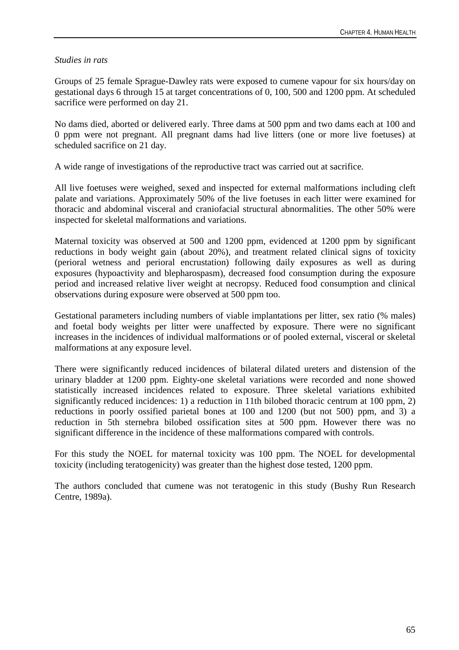#### *Studies in rats*

Groups of 25 female Sprague-Dawley rats were exposed to cumene vapour for six hours/day on gestational days 6 through 15 at target concentrations of 0, 100, 500 and 1200 ppm. At scheduled sacrifice were performed on day 21.

No dams died, aborted or delivered early. Three dams at 500 ppm and two dams each at 100 and 0 ppm were not pregnant. All pregnant dams had live litters (one or more live foetuses) at scheduled sacrifice on 21 day.

A wide range of investigations of the reproductive tract was carried out at sacrifice.

All live foetuses were weighed, sexed and inspected for external malformations including cleft palate and variations. Approximately 50% of the live foetuses in each litter were examined for thoracic and abdominal visceral and craniofacial structural abnormalities. The other 50% were inspected for skeletal malformations and variations.

Maternal toxicity was observed at 500 and 1200 ppm, evidenced at 1200 ppm by significant reductions in body weight gain (about 20%), and treatment related clinical signs of toxicity (perioral wetness and perioral encrustation) following daily exposures as well as during exposures (hypoactivity and blepharospasm), decreased food consumption during the exposure period and increased relative liver weight at necropsy. Reduced food consumption and clinical observations during exposure were observed at 500 ppm too.

Gestational parameters including numbers of viable implantations per litter, sex ratio (% males) and foetal body weights per litter were unaffected by exposure. There were no significant increases in the incidences of individual malformations or of pooled external, visceral or skeletal malformations at any exposure level.

There were significantly reduced incidences of bilateral dilated ureters and distension of the urinary bladder at 1200 ppm. Eighty-one skeletal variations were recorded and none showed statistically increased incidences related to exposure. Three skeletal variations exhibited significantly reduced incidences: 1) a reduction in 11th bilobed thoracic centrum at 100 ppm, 2) reductions in poorly ossified parietal bones at 100 and 1200 (but not 500) ppm, and 3) a reduction in 5th sternebra bilobed ossification sites at 500 ppm. However there was no significant difference in the incidence of these malformations compared with controls.

For this study the NOEL for maternal toxicity was 100 ppm. The NOEL for developmental toxicity (including teratogenicity) was greater than the highest dose tested, 1200 ppm.

The authors concluded that cumene was not teratogenic in this study (Bushy Run Research Centre, 1989a).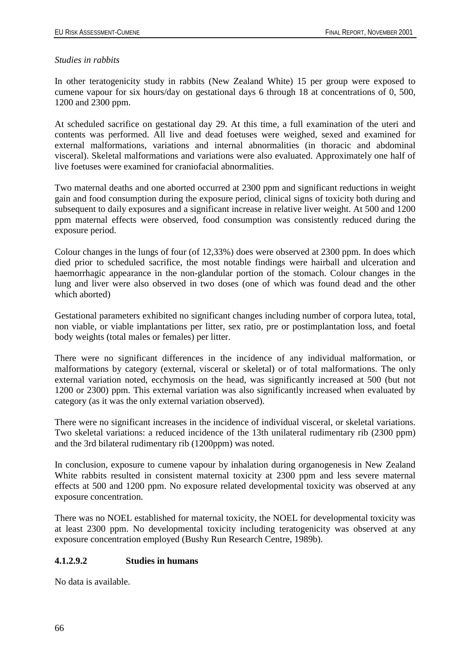# *Studies in rabbits*

In other teratogenicity study in rabbits (New Zealand White) 15 per group were exposed to cumene vapour for six hours/day on gestational days 6 through 18 at concentrations of 0, 500, 1200 and 2300 ppm.

At scheduled sacrifice on gestational day 29. At this time, a full examination of the uteri and contents was performed. All live and dead foetuses were weighed, sexed and examined for external malformations, variations and internal abnormalities (in thoracic and abdominal visceral). Skeletal malformations and variations were also evaluated. Approximately one half of live foetuses were examined for craniofacial abnormalities.

Two maternal deaths and one aborted occurred at 2300 ppm and significant reductions in weight gain and food consumption during the exposure period, clinical signs of toxicity both during and subsequent to daily exposures and a significant increase in relative liver weight. At 500 and 1200 ppm maternal effects were observed, food consumption was consistently reduced during the exposure period.

Colour changes in the lungs of four (of 12,33%) does were observed at 2300 ppm. In does which died prior to scheduled sacrifice, the most notable findings were hairball and ulceration and haemorrhagic appearance in the non-glandular portion of the stomach. Colour changes in the lung and liver were also observed in two doses (one of which was found dead and the other which aborted)

Gestational parameters exhibited no significant changes including number of corpora lutea, total, non viable, or viable implantations per litter, sex ratio, pre or postimplantation loss, and foetal body weights (total males or females) per litter.

There were no significant differences in the incidence of any individual malformation, or malformations by category (external, visceral or skeletal) or of total malformations. The only external variation noted, ecchymosis on the head, was significantly increased at 500 (but not 1200 or 2300) ppm. This external variation was also significantly increased when evaluated by category (as it was the only external variation observed).

There were no significant increases in the incidence of individual visceral, or skeletal variations. Two skeletal variations: a reduced incidence of the 13th unilateral rudimentary rib (2300 ppm) and the 3rd bilateral rudimentary rib (1200ppm) was noted.

In conclusion, exposure to cumene vapour by inhalation during organogenesis in New Zealand White rabbits resulted in consistent maternal toxicity at 2300 ppm and less severe maternal effects at 500 and 1200 ppm. No exposure related developmental toxicity was observed at any exposure concentration.

There was no NOEL established for maternal toxicity, the NOEL for developmental toxicity was at least 2300 ppm. No developmental toxicity including teratogenicity was observed at any exposure concentration employed (Bushy Run Research Centre, 1989b).

# **4.1.2.9.2 Studies in humans**

No data is available.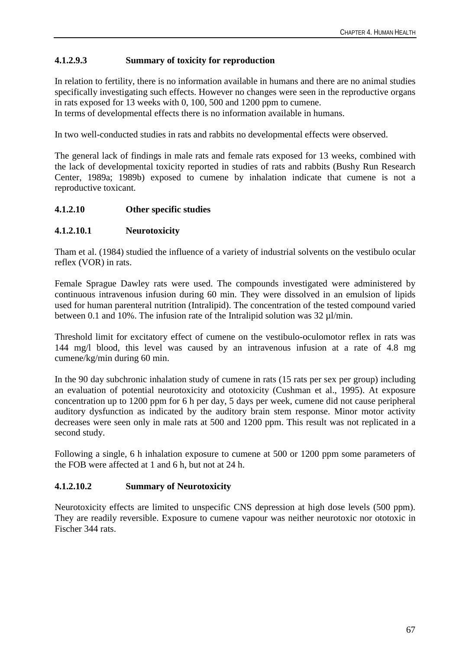# **4.1.2.9.3 Summary of toxicity for reproduction**

In relation to fertility, there is no information available in humans and there are no animal studies specifically investigating such effects. However no changes were seen in the reproductive organs in rats exposed for 13 weeks with 0, 100, 500 and 1200 ppm to cumene. In terms of developmental effects there is no information available in humans.

In two well-conducted studies in rats and rabbits no developmental effects were observed.

The general lack of findings in male rats and female rats exposed for 13 weeks, combined with the lack of developmental toxicity reported in studies of rats and rabbits (Bushy Run Research Center, 1989a; 1989b) exposed to cumene by inhalation indicate that cumene is not a reproductive toxicant.

### **4.1.2.10 Other specific studies**

### **4.1.2.10.1 Neurotoxicity**

Tham et al. (1984) studied the influence of a variety of industrial solvents on the vestibulo ocular reflex (VOR) in rats.

Female Sprague Dawley rats were used. The compounds investigated were administered by continuous intravenous infusion during 60 min. They were dissolved in an emulsion of lipids used for human parenteral nutrition (Intralipid). The concentration of the tested compound varied between 0.1 and 10%. The infusion rate of the Intralipid solution was  $32 \mu$ l/min.

Threshold limit for excitatory effect of cumene on the vestibulo-oculomotor reflex in rats was 144 mg/l blood, this level was caused by an intravenous infusion at a rate of 4.8 mg cumene/kg/min during 60 min.

In the 90 day subchronic inhalation study of cumene in rats (15 rats per sex per group) including an evaluation of potential neurotoxicity and ototoxicity (Cushman et al., 1995). At exposure concentration up to 1200 ppm for 6 h per day, 5 days per week, cumene did not cause peripheral auditory dysfunction as indicated by the auditory brain stem response. Minor motor activity decreases were seen only in male rats at 500 and 1200 ppm. This result was not replicated in a second study.

Following a single, 6 h inhalation exposure to cumene at 500 or 1200 ppm some parameters of the FOB were affected at 1 and 6 h, but not at 24 h.

# **4.1.2.10.2 Summary of Neurotoxicity**

Neurotoxicity effects are limited to unspecific CNS depression at high dose levels (500 ppm). They are readily reversible. Exposure to cumene vapour was neither neurotoxic nor ototoxic in Fischer 344 rats.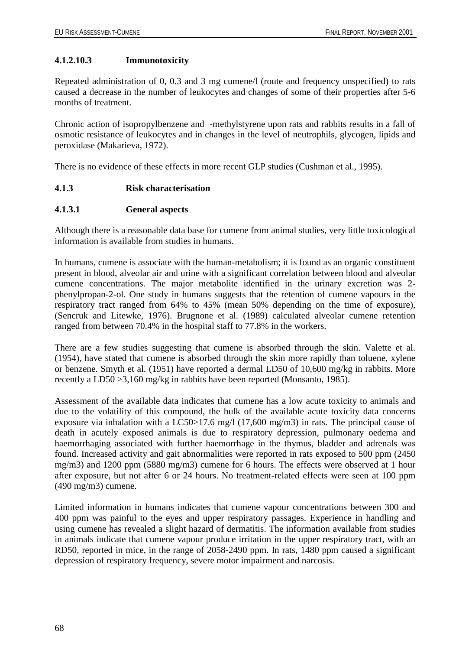## **4.1.2.10.3 Immunotoxicity**

Repeated administration of 0, 0.3 and 3 mg cumene/l (route and frequency unspecified) to rats caused a decrease in the number of leukocytes and changes of some of their properties after 5-6 months of treatment.

Chronic action of isopropylbenzene and -methylstyrene upon rats and rabbits results in a fall of osmotic resistance of leukocytes and in changes in the level of neutrophils, glycogen, lipids and peroxidase (Makarieva, 1972).

There is no evidence of these effects in more recent GLP studies (Cushman et al., 1995).

### **4.1.3 Risk characterisation**

### **4.1.3.1 General aspects**

Although there is a reasonable data base for cumene from animal studies, very little toxicological information is available from studies in humans.

In humans, cumene is associate with the human-metabolism; it is found as an organic constituent present in blood, alveolar air and urine with a significant correlation between blood and alveolar cumene concentrations. The major metabolite identified in the urinary excretion was 2 phenylpropan-2-ol. One study in humans suggests that the retention of cumene vapours in the respiratory tract ranged from 64% to 45% (mean 50% depending on the time of exposure), (Sencruk and Litewke, 1976). Brugnone et al. (1989) calculated alveolar cumene retention ranged from between 70.4% in the hospital staff to 77.8% in the workers.

There are a few studies suggesting that cumene is absorbed through the skin. Valette et al. (1954), have stated that cumene is absorbed through the skin more rapidly than toluene, xylene or benzene. Smyth et al. (1951) have reported a dermal LD50 of 10,600 mg/kg in rabbits. More recently a LD50 >3,160 mg/kg in rabbits have been reported (Monsanto, 1985).

Assessment of the available data indicates that cumene has a low acute toxicity to animals and due to the volatility of this compound, the bulk of the available acute toxicity data concerns exposure via inhalation with a LC50 $>$ 17.6 mg/l (17,600 mg/m3) in rats. The principal cause of death in acutely exposed animals is due to respiratory depression, pulmonary oedema and haemorrhaging associated with further haemorrhage in the thymus, bladder and adrenals was found. Increased activity and gait abnormalities were reported in rats exposed to 500 ppm (2450 mg/m3) and 1200 ppm (5880 mg/m3) cumene for 6 hours. The effects were observed at 1 hour after exposure, but not after 6 or 24 hours. No treatment-related effects were seen at 100 ppm (490 mg/m3) cumene.

Limited information in humans indicates that cumene vapour concentrations between 300 and 400 ppm was painful to the eyes and upper respiratory passages. Experience in handling and using cumene has revealed a slight hazard of dermatitis. The information available from studies in animals indicate that cumene vapour produce irritation in the upper respiratory tract, with an RD50, reported in mice, in the range of 2058-2490 ppm. In rats, 1480 ppm caused a significant depression of respiratory frequency, severe motor impairment and narcosis.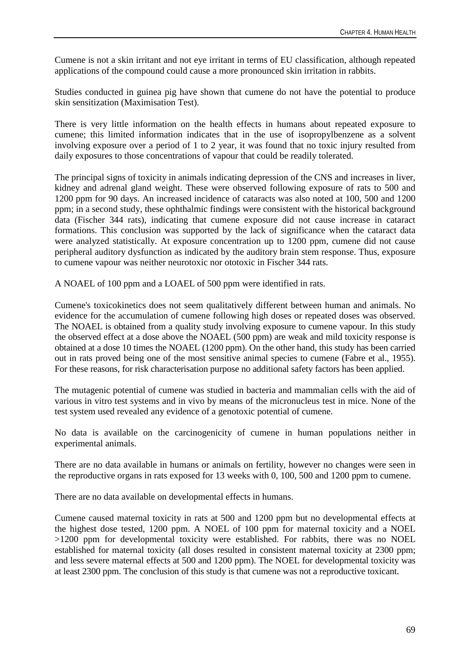Cumene is not a skin irritant and not eye irritant in terms of EU classification, although repeated applications of the compound could cause a more pronounced skin irritation in rabbits.

Studies conducted in guinea pig have shown that cumene do not have the potential to produce skin sensitization (Maximisation Test).

There is very little information on the health effects in humans about repeated exposure to cumene; this limited information indicates that in the use of isopropylbenzene as a solvent involving exposure over a period of 1 to 2 year, it was found that no toxic injury resulted from daily exposures to those concentrations of vapour that could be readily tolerated.

The principal signs of toxicity in animals indicating depression of the CNS and increases in liver, kidney and adrenal gland weight. These were observed following exposure of rats to 500 and 1200 ppm for 90 days. An increased incidence of cataracts was also noted at 100, 500 and 1200 ppm; in a second study, these ophthalmic findings were consistent with the historical background data (Fischer 344 rats), indicating that cumene exposure did not cause increase in cataract formations. This conclusion was supported by the lack of significance when the cataract data were analyzed statistically. At exposure concentration up to 1200 ppm, cumene did not cause peripheral auditory dysfunction as indicated by the auditory brain stem response. Thus, exposure to cumene vapour was neither neurotoxic nor ototoxic in Fischer 344 rats.

A NOAEL of 100 ppm and a LOAEL of 500 ppm were identified in rats.

Cumene's toxicokinetics does not seem qualitatively different between human and animals. No evidence for the accumulation of cumene following high doses or repeated doses was observed. The NOAEL is obtained from a quality study involving exposure to cumene vapour. In this study the observed effect at a dose above the NOAEL (500 ppm) are weak and mild toxicity response is obtained at a dose 10 times the NOAEL (1200 ppm). On the other hand, this study has been carried out in rats proved being one of the most sensitive animal species to cumene (Fabre et al., 1955). For these reasons, for risk characterisation purpose no additional safety factors has been applied.

The mutagenic potential of cumene was studied in bacteria and mammalian cells with the aid of various in vitro test systems and in vivo by means of the micronucleus test in mice. None of the test system used revealed any evidence of a genotoxic potential of cumene.

No data is available on the carcinogenicity of cumene in human populations neither in experimental animals.

There are no data available in humans or animals on fertility, however no changes were seen in the reproductive organs in rats exposed for 13 weeks with 0, 100, 500 and 1200 ppm to cumene.

There are no data available on developmental effects in humans.

Cumene caused maternal toxicity in rats at 500 and 1200 ppm but no developmental effects at the highest dose tested, 1200 ppm. A NOEL of 100 ppm for maternal toxicity and a NOEL >1200 ppm for developmental toxicity were established. For rabbits, there was no NOEL established for maternal toxicity (all doses resulted in consistent maternal toxicity at 2300 ppm; and less severe maternal effects at 500 and 1200 ppm). The NOEL for developmental toxicity was at least 2300 ppm. The conclusion of this study is that cumene was not a reproductive toxicant.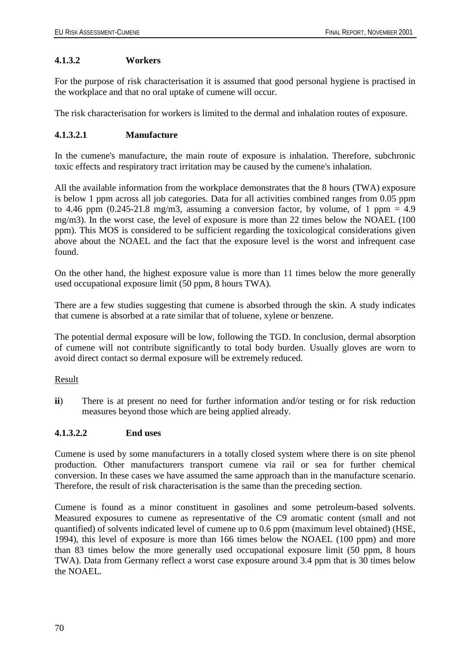## **4.1.3.2 Workers**

For the purpose of risk characterisation it is assumed that good personal hygiene is practised in the workplace and that no oral uptake of cumene will occur.

The risk characterisation for workers is limited to the dermal and inhalation routes of exposure.

### **4.1.3.2.1 Manufacture**

In the cumene's manufacture, the main route of exposure is inhalation. Therefore, subchronic toxic effects and respiratory tract irritation may be caused by the cumene's inhalation.

All the available information from the workplace demonstrates that the 8 hours (TWA) exposure is below 1 ppm across all job categories. Data for all activities combined ranges from 0.05 ppm to 4.46 ppm  $(0.245-21.8 \text{ mg/m3}, \text{ assuming a conversion factor, by volume, of 1 ppm} = 4.9$ mg/m3). In the worst case, the level of exposure is more than 22 times below the NOAEL (100 ppm). This MOS is considered to be sufficient regarding the toxicological considerations given above about the NOAEL and the fact that the exposure level is the worst and infrequent case found.

On the other hand, the highest exposure value is more than 11 times below the more generally used occupational exposure limit (50 ppm, 8 hours TWA).

There are a few studies suggesting that cumene is absorbed through the skin. A study indicates that cumene is absorbed at a rate similar that of toluene, xylene or benzene.

The potential dermal exposure will be low, following the TGD. In conclusion, dermal absorption of cumene will not contribute significantly to total body burden. Usually gloves are worn to avoid direct contact so dermal exposure will be extremely reduced.

#### Result

**ii**) There is at present no need for further information and/or testing or for risk reduction measures beyond those which are being applied already.

#### **4.1.3.2.2 End uses**

Cumene is used by some manufacturers in a totally closed system where there is on site phenol production. Other manufacturers transport cumene via rail or sea for further chemical conversion. In these cases we have assumed the same approach than in the manufacture scenario. Therefore, the result of risk characterisation is the same than the preceding section.

Cumene is found as a minor constituent in gasolines and some petroleum-based solvents. Measured exposures to cumene as representative of the C9 aromatic content (small and not quantified) of solvents indicated level of cumene up to 0.6 ppm (maximum level obtained) (HSE, 1994), this level of exposure is more than 166 times below the NOAEL (100 ppm) and more than 83 times below the more generally used occupational exposure limit (50 ppm, 8 hours TWA). Data from Germany reflect a worst case exposure around 3.4 ppm that is 30 times below the NOAEL.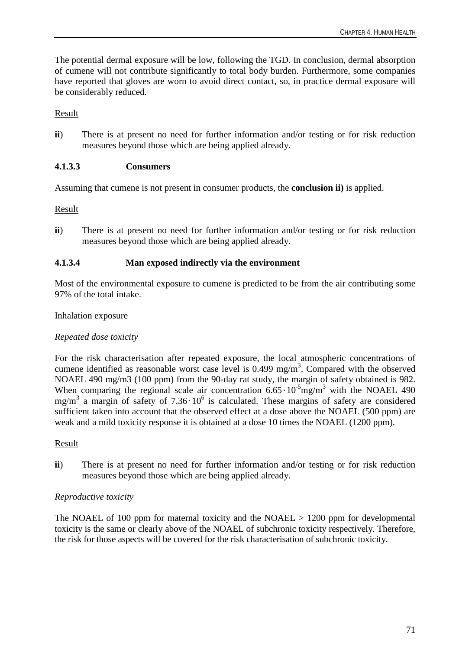The potential dermal exposure will be low, following the TGD. In conclusion, dermal absorption of cumene will not contribute significantly to total body burden. Furthermore, some companies have reported that gloves are worn to avoid direct contact, so, in practice dermal exposure will be considerably reduced.

Result

**ii**) There is at present no need for further information and/or testing or for risk reduction measures beyond those which are being applied already.

### **4.1.3.3 Consumers**

Assuming that cumene is not present in consumer products, the **conclusion ii)** is applied.

Result

**ii**) There is at present no need for further information and/or testing or for risk reduction measures beyond those which are being applied already.

### **4.1.3.4 Man exposed indirectly via the environment**

Most of the environmental exposure to cumene is predicted to be from the air contributing some 97% of the total intake.

#### Inhalation exposure

#### *Repeated dose toxicity*

For the risk characterisation after repeated exposure, the local atmospheric concentrations of cumene identified as reasonable worst case level is  $0.499$  mg/m<sup>3</sup>. Compared with the observed NOAEL 490 mg/m3 (100 ppm) from the 90-day rat study, the margin of safety obtained is 982. When comparing the regional scale air concentration  $6.65 \cdot 10^{-5}$  mg/m<sup>3</sup> with the NOAEL 490 mg/m<sup>3</sup> a margin of safety of 7.36 $\cdot$ 10<sup>6</sup> is calculated. These margins of safety are considered sufficient taken into account that the observed effect at a dose above the NOAEL (500 ppm) are weak and a mild toxicity response it is obtained at a dose 10 times the NOAEL (1200 ppm).

#### Result

**ii**) There is at present no need for further information and/or testing or for risk reduction measures beyond those which are being applied already.

#### *Reproductive toxicity*

The NOAEL of 100 ppm for maternal toxicity and the NOAEL > 1200 ppm for developmental toxicity is the same or clearly above of the NOAEL of subchronic toxicity respectively. Therefore, the risk for those aspects will be covered for the risk characterisation of subchronic toxicity.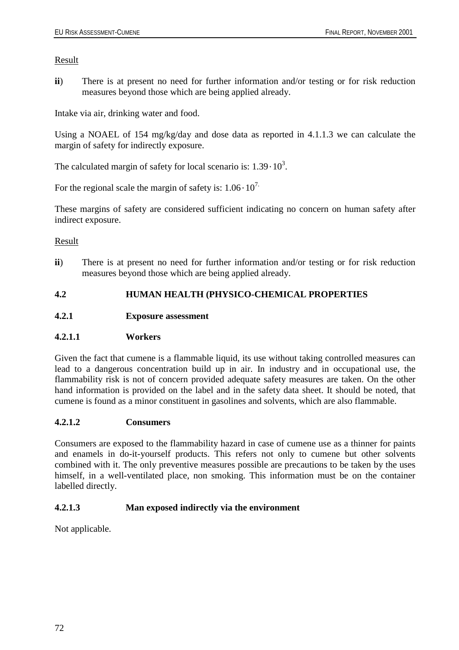# Result

**ii**) There is at present no need for further information and/or testing or for risk reduction measures beyond those which are being applied already.

Intake via air, drinking water and food.

Using a NOAEL of 154 mg/kg/day and dose data as reported in 4.1.1.3 we can calculate the margin of safety for indirectly exposure.

The calculated margin of safety for local scenario is:  $1.39 \cdot 10^3$ .

For the regional scale the margin of safety is:  $1.06 \cdot 10^{7}$ .

These margins of safety are considered sufficient indicating no concern on human safety after indirect exposure.

# Result

**ii**) There is at present no need for further information and/or testing or for risk reduction measures beyond those which are being applied already.

# **4.2 HUMAN HEALTH (PHYSICO-CHEMICAL PROPERTIES**

# **4.2.1 Exposure assessment**

# **4.2.1.1 Workers**

Given the fact that cumene is a flammable liquid, its use without taking controlled measures can lead to a dangerous concentration build up in air. In industry and in occupational use, the flammability risk is not of concern provided adequate safety measures are taken. On the other hand information is provided on the label and in the safety data sheet. It should be noted, that cumene is found as a minor constituent in gasolines and solvents, which are also flammable.

# **4.2.1.2 Consumers**

Consumers are exposed to the flammability hazard in case of cumene use as a thinner for paints and enamels in do-it-yourself products. This refers not only to cumene but other solvents combined with it. The only preventive measures possible are precautions to be taken by the uses himself, in a well-ventilated place, non smoking. This information must be on the container labelled directly.

# **4.2.1.3 Man exposed indirectly via the environment**

Not applicable.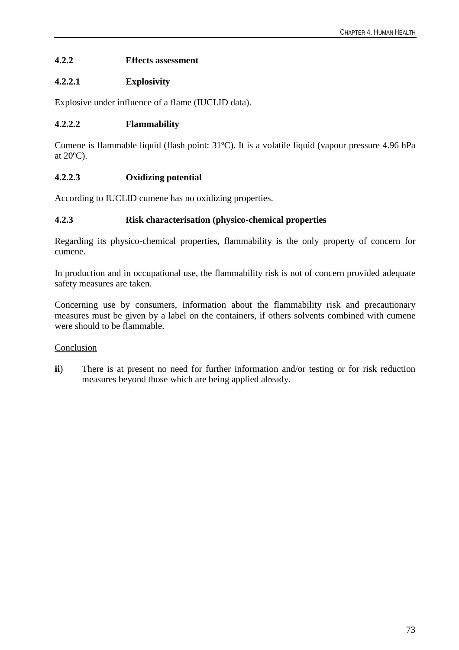# **4.2.2 Effects assessment**

# **4.2.2.1 Explosivity**

Explosive under influence of a flame (IUCLID data).

# **4.2.2.2 Flammability**

Cumene is flammable liquid (flash point: 31ºC). It is a volatile liquid (vapour pressure 4.96 hPa at  $20^{\circ}$ C).

# **4.2.2.3 Oxidizing potential**

According to IUCLID cumene has no oxidizing properties.

### **4.2.3 Risk characterisation (physico-chemical properties**

Regarding its physico-chemical properties, flammability is the only property of concern for cumene.

In production and in occupational use, the flammability risk is not of concern provided adequate safety measures are taken.

Concerning use by consumers, information about the flammability risk and precautionary measures must be given by a label on the containers, if others solvents combined with cumene were should to be flammable.

#### Conclusion

**ii**) There is at present no need for further information and/or testing or for risk reduction measures beyond those which are being applied already.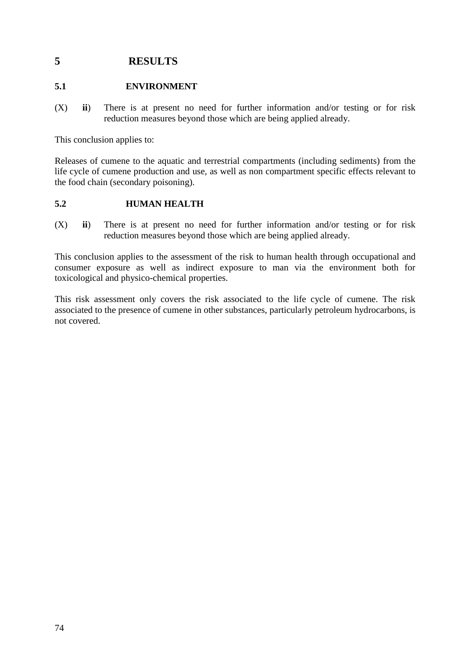# **5 RESULTS**

# **5.1 ENVIRONMENT**

(X) **ii**) There is at present no need for further information and/or testing or for risk reduction measures beyond those which are being applied already.

This conclusion applies to:

Releases of cumene to the aquatic and terrestrial compartments (including sediments) from the life cycle of cumene production and use, as well as non compartment specific effects relevant to the food chain (secondary poisoning).

# **5.2 HUMAN HEALTH**

(X) **ii**) There is at present no need for further information and/or testing or for risk reduction measures beyond those which are being applied already.

This conclusion applies to the assessment of the risk to human health through occupational and consumer exposure as well as indirect exposure to man via the environment both for toxicological and physico-chemical properties.

This risk assessment only covers the risk associated to the life cycle of cumene. The risk associated to the presence of cumene in other substances, particularly petroleum hydrocarbons, is not covered.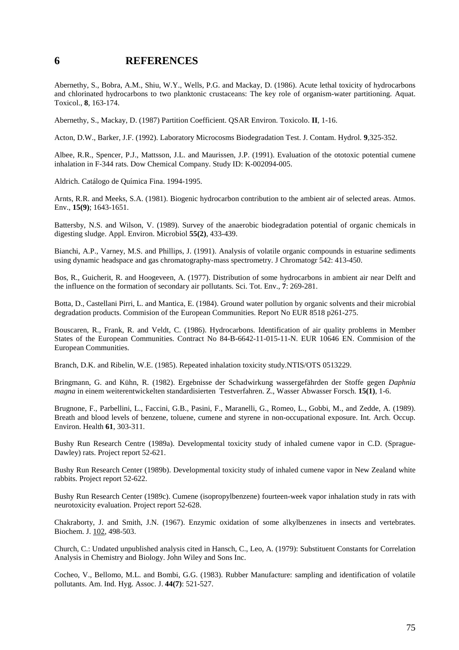#### **6 REFERENCES**

Abernethy, S., Bobra, A.M., Shiu, W.Y., Wells, P.G. and Mackay, D. (1986). Acute lethal toxicity of hydrocarbons and chlorinated hydrocarbons to two planktonic crustaceans: The key role of organism-water partitioning. Aquat. Toxicol., **8**, 163-174.

Abernethy, S., Mackay, D. (1987) Partition Coefficient. QSAR Environ. Toxicolo. **II**, 1-16.

Acton, D.W., Barker, J.F. (1992). Laboratory Microcosms Biodegradation Test. J. Contam. Hydrol. **9**,325-352.

Albee, R.R., Spencer, P.J., Mattsson, J.L. and Maurissen, J.P. (1991). Evaluation of the ototoxic potential cumene inhalation in F-344 rats. Dow Chemical Company. Study ID: K-002094-005.

Aldrich. Catálogo de Química Fina. 1994-1995.

Arnts, R.R. and Meeks, S.A. (1981). Biogenic hydrocarbon contribution to the ambient air of selected areas. Atmos. Env., **15(9)**; 1643-1651.

Battersby, N.S. and Wilson, V. (1989). Survey of the anaerobic biodegradation potential of organic chemicals in digesting sludge. Appl. Environ. Microbiol **55(2)**, 433-439.

Bianchi, A.P., Varney, M.S. and Phillips, J. (1991). Analysis of volatile organic compounds in estuarine sediments using dynamic headspace and gas chromatography-mass spectrometry. J Chromatogr 542: 413-450.

Bos, R., Guicherit, R. and Hoogeveen, A. (1977). Distribution of some hydrocarbons in ambient air near Delft and the influence on the formation of secondary air pollutants. Sci. Tot. Env., **7**: 269-281.

Botta, D., Castellani Pirri, L. and Mantica, E. (1984). Ground water pollution by organic solvents and their microbial degradation products. Commision of the European Communities. Report No EUR 8518 p261-275.

Bouscaren, R., Frank, R. and Veldt, C. (1986). Hydrocarbons. Identification of air quality problems in Member States of the European Communities. Contract No 84-B-6642-11-015-11-N. EUR 10646 EN. Commision of the European Communities.

Branch, D.K. and Ribelin, W.E. (1985). Repeated inhalation toxicity study.NTIS/OTS 0513229.

Bringmann, G. and Kühn, R. (1982). Ergebnisse der Schadwirkung wassergefährden der Stoffe gegen *Daphnia magna* in einem weiterentwickelten standardisierten Testverfahren. Z., Wasser Abwasser Forsch. **15(1)**, 1-6.

Brugnone, F., Parbellini, L., Faccini, G.B., Pasini, F., Maranelli, G., Romeo, L., Gobbi, M., and Zedde, A. (1989). Breath and blood levels of benzene, toluene, cumene and styrene in non-occupational exposure. Int. Arch. Occup. Environ. Health **61**, 303-311.

Bushy Run Research Centre (1989a). Developmental toxicity study of inhaled cumene vapor in C.D. (Sprague-Dawley) rats. Project report 52-621.

Bushy Run Research Center (1989b). Developmental toxicity study of inhaled cumene vapor in New Zealand white rabbits. Project report 52-622.

Bushy Run Research Center (1989c). Cumene (isopropylbenzene) fourteen-week vapor inhalation study in rats with neurotoxicity evaluation. Project report 52-628.

Chakraborty, J. and Smith, J.N. (1967). Enzymic oxidation of some alkylbenzenes in insects and vertebrates. Biochem. J. 102, 498-503.

Church, C.: Undated unpublished analysis cited in Hansch, C., Leo, A. (1979): Substituent Constants for Correlation Analysis in Chemistry and Biology. John Wiley and Sons Inc.

Cocheo, V., Bellomo, M.L. and Bombi, G.G. (1983). Rubber Manufacture: sampling and identification of volatile pollutants. Am. Ind. Hyg. Assoc. J. **44(7)**: 521-527.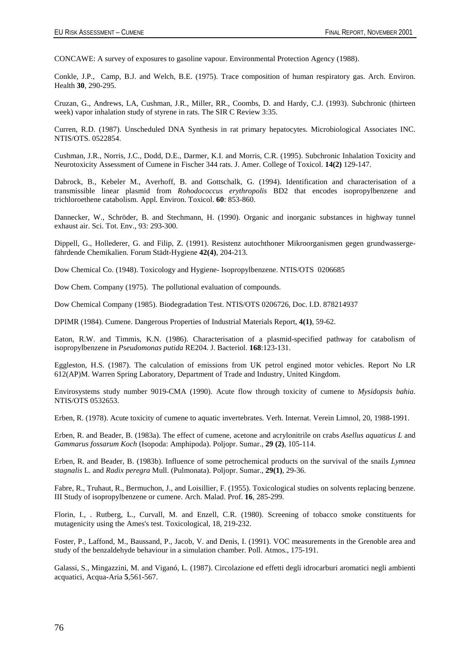CONCAWE: A survey of exposures to gasoline vapour. Environmental Protection Agency (1988).

Conkle, J.P., Camp, B.J. and Welch, B.E. (1975). Trace composition of human respiratory gas. Arch. Environ. Health **30**, 290-295.

Cruzan, G., Andrews, LA, Cushman, J.R., Miller, RR., Coombs, D. and Hardy, C.J. (1993). Subchronic (thirteen week) vapor inhalation study of styrene in rats. The SIR C Review 3:35.

Curren, R.D. (1987). Unscheduled DNA Synthesis in rat primary hepatocytes. Microbiological Associates INC. NTIS/OTS. 0522854.

Cushman, J.R., Norris, J.C., Dodd, D.E., Darmer, K.I. and Morris, C.R. (1995). Subchronic Inhalation Toxicity and Neurotoxicity Assessment of Cumene in Fischer 344 rats. J. Amer. College of Toxicol. **14(2)** 129-147.

Dabrock, B., Kebeler M., Averhoff, B. and Gottschalk, G. (1994). Identification and characterisation of a transmissible linear plasmid from *Rohodococcus erythropolis* BD2 that encodes isopropylbenzene and trichloroethene catabolism. Appl. Environ. Toxicol. **60**: 853-860.

Dannecker, W., Schröder, B. and Stechmann, H. (1990). Organic and inorganic substances in highway tunnel exhaust air. Sci. Tot. Env., 93: 293-300.

Dippell, G., Hollederer, G. and Filip, Z. (1991). Resistenz autochthoner Mikroorganismen gegen grundwassergefährdende Chemikalien. Forum Städt-Hygiene **42(4)**, 204-213.

Dow Chemical Co. (1948). Toxicology and Hygiene- Isopropylbenzene. NTIS/OTS 0206685

Dow Chem. Company (1975). The pollutional evaluation of compounds.

Dow Chemical Company (1985). Biodegradation Test. NTIS/OTS 0206726, Doc. I.D. 878214937

DPIMR (1984). Cumene. Dangerous Properties of Industrial Materials Report, **4(1)**, 59-62.

Eaton, R.W. and Timmis, K.N. (1986). Characterisation of a plasmid-specified pathway for catabolism of isopropylbenzene in *Pseudomonas putida* RE204. J. Bacteriol. **168**:123-131.

Eggleston, H.S. (1987). The calculation of emissions from UK petrol engined motor vehicles. Report No LR 612(AP)M. Warren Spring Laboratory, Department of Trade and Industry, United Kingdom.

Envirosystems study number 9019-CMA (1990). Acute flow through toxicity of cumene to *Mysidopsis bahia*. NTIS/OTS 0532653.

Erben, R. (1978). Acute toxicity of cumene to aquatic invertebrates. Verh. Internat. Verein Limnol, 20, 1988-1991.

Erben, R. and Beader, B. (1983a). The effect of cumene, acetone and acrylonitrile on crabs *Asellus aquaticus L* and *Gammarus fossarum Koch* (Isopoda: Amphipoda). Poljopr. Sumar., **29 (2)**, 105-114.

Erben, R. and Beader, B. (1983b). Influence of some petrochemical products on the survival of the snails *Lymnea stagnalis* L. and *Radix peregra* Mull. (Pulmonata). Poljopr. Sumar., **29(1)**, 29-36.

Fabre, R., Truhaut, R., Bermuchon, J., and Loisillier, F. (1955). Toxicological studies on solvents replacing benzene. III Study of isopropylbenzene or cumene. Arch. Malad. Prof. **16**, 285-299.

Florin, I., . Rutberg, L., Curvall, M. and Enzell, C.R. (1980). Screening of tobacco smoke constituents for mutagenicity using the Ames's test. Toxicological, 18, 219-232.

Foster, P., Laffond, M., Baussand, P., Jacob, V. and Denis, I. (1991). VOC measurements in the Grenoble area and study of the benzaldehyde behaviour in a simulation chamber. Poll. Atmos., 175-191.

Galassi, S., Mingazzini, M. and Viganó, L. (1987). Circolazione ed effetti degli idrocarburi aromatici negli ambienti acquatici, Acqua-Aria **5**,561-567.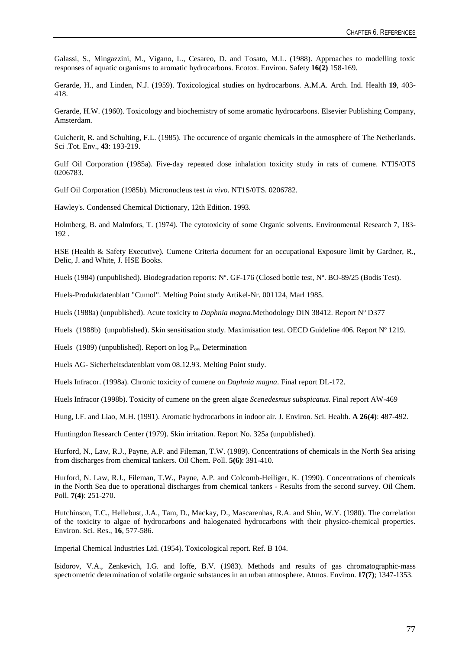Galassi, S., Mingazzini, M., Vigano, L., Cesareo, D. and Tosato, M.L. (1988). Approaches to modelling toxic responses of aquatic organisms to aromatic hydrocarbons. Ecotox. Environ. Safety **16(2)** 158-169.

Gerarde, H., and Linden, N.J. (1959). Toxicological studies on hydrocarbons. A.M.A. Arch. Ind. Health **19**, 403- 418.

Gerarde, H.W. (1960). Toxicology and biochemistry of some aromatic hydrocarbons. Elsevier Publishing Company, Amsterdam.

Guicherit, R. and Schulting, F.L. (1985). The occurence of organic chemicals in the atmosphere of The Netherlands. Sci .Tot. Env., **43**: 193-219.

Gulf Oil Corporation (1985a). Five-day repeated dose inhalation toxicity study in rats of cumene. NTIS/OTS 0206783.

Gulf Oil Corporation (1985b). Micronucleus test *in vivo*. NT1S/0TS. 0206782.

Hawley's. Condensed Chemical Dictionary, 12th Edition. 1993.

Holmberg, B. and Malmfors, T. (1974). The cytotoxicity of some Organic solvents. Environmental Research 7, 183- 192 .

HSE (Health & Safety Executive). Cumene Criteria document for an occupational Exposure limit by Gardner, R., Delic, J. and White, J. HSE Books.

Huels (1984) (unpublished). Biodegradation reports: N°. GF-176 (Closed bottle test, N°. BO-89/25 (Bodis Test).

Huels-Produktdatenblatt "Cumol". Melting Point study Artikel-Nr. 001124, Marl 1985.

Huels (1988a) (unpublished). Acute toxicity to *Daphnia magna.*Methodology DIN 38412. Report Nº D377

Huels (1988b) (unpublished). Skin sensitisation study. Maximisation test. OECD Guideline 406. Report Nº 1219.

Huels (1989) (unpublished). Report on  $\log P_{\text{ow}}$  Determination

Huels AG- Sicherheitsdatenblatt vom 08.12.93. Melting Point study.

Huels Infracor. (1998a). Chronic toxicity of cumene on *Daphnia magna*. Final report DL-172.

Huels Infracor (1998b). Toxicity of cumene on the green algae *Scenedesmus subspicatus*. Final report AW-469

Hung, I.F. and Liao, M.H. (1991). Aromatic hydrocarbons in indoor air. J. Environ. Sci. Health. **A 26(4)**: 487-492.

Huntingdon Research Center (1979). Skin irritation. Report No. 325a (unpublished).

Hurford, N., Law, R.J., Payne, A.P. and Fileman, T.W. (1989). Concentrations of chemicals in the North Sea arising from discharges from chemical tankers. Oil Chem. Poll. **5(6)**: 391-410.

Hurford, N. Law, R.J., Fileman, T.W., Payne, A.P. and Colcomb-Heiliger, K. (1990). Concentrations of chemicals in the North Sea due to operational discharges from chemical tankers - Results from the second survey. Oil Chem. Poll. **7(4)**: 251-270.

Hutchinson, T.C., Hellebust, J.A., Tam, D., Mackay, D., Mascarenhas, R.A. and Shin, W.Y. (1980). The correlation of the toxicity to algae of hydrocarbons and halogenated hydrocarbons with their physico-chemical properties. Environ. Sci. Res., **16**, 577-586.

Imperial Chemical Industries Ltd. (1954). Toxicological report. Ref. B 104.

Isidorov, V.A., Zenkevich, I.G. and Ioffe, B.V. (1983). Methods and results of gas chromatographic-mass spectrometric determination of volatile organic substances in an urban atmosphere. Atmos. Environ. **17(7)**; 1347-1353.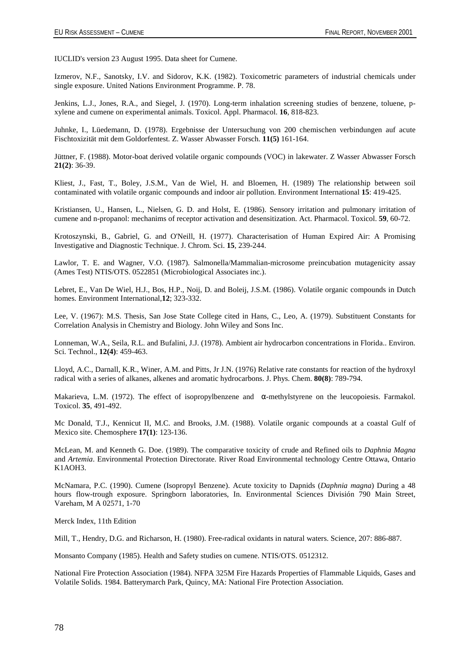IUCLID's version 23 August 1995. Data sheet for Cumene.

Izmerov, N.F., Sanotsky, I.V. and Sidorov, K.K. (1982). Toxicometric parameters of industrial chemicals under single exposure. United Nations Environment Programme. P. 78.

Jenkins, L.J., Jones, R.A., and Siegel, J. (1970). Long-term inhalation screening studies of benzene, toluene, pxylene and cumene on experimental animals. Toxicol. Appl. Pharmacol. **16**, 818-823.

Juhnke, I., Lüedemann, D. (1978). Ergebnisse der Untersuchung von 200 chemischen verbindungen auf acute Fischtoxizität mit dem Goldorfentest. Z. Wasser Abwasser Forsch. **11(5)** 161-164.

Jüttner, F. (1988). Motor-boat derived volatile organic compounds (VOC) in lakewater. Z Wasser Abwasser Forsch **21(2)**: 36-39.

Kliest, J., Fast, T., Boley, J.S.M., Van de Wiel, H. and Bloemen, H. (1989) The relationship between soil contaminated with volatile organic compounds and indoor air pollution. Environment International **15**: 419-425.

Kristiansen, U., Hansen, L., Nielsen, G. D. and Holst, E. (1986). Sensory irritation and pulmonary irritation of cumene and n-propanol: mechanims of receptor activation and desensitization. Act. Pharmacol. Toxicol. **59**, 60-72.

Krotoszynski, B., Gabriel, G. and O'Neill, H. (1977). Characterisation of Human Expired Air: A Promising Investigative and Diagnostic Technique. J. Chrom. Sci. **15**, 239-244.

Lawlor, T. E. and Wagner, V.O. (1987). Salmonella/Mammalian-microsome preincubation mutagenicity assay (Ames Test) NTIS/OTS. 0522851 (Microbiological Associates inc.).

Lebret, E., Van De Wiel, H.J., Bos, H.P., Noij, D. and Boleij, J.S.M. (1986). Volatile organic compounds in Dutch homes. Environment International,**12**; 323-332.

Lee, V. (1967): M.S. Thesis, San Jose State College cited in Hans, C., Leo, A. (1979). Substituent Constants for Correlation Analysis in Chemistry and Biology. John Wiley and Sons Inc.

Lonneman, W.A., Seila, R.L. and Bufalini, J.J. (1978). Ambient air hydrocarbon concentrations in Florida.. Environ. Sci. Technol., **12(4)**: 459-463.

Lloyd, A.C., Darnall, K.R., Winer, A.M. and Pitts, Jr J.N. (1976) Relative rate constants for reaction of the hydroxyl radical with a series of alkanes, alkenes and aromatic hydrocarbons. J. Phys. Chem. **80(8)**: 789-794.

Makarieva, L.M. (1972). The effect of isopropylbenzene and α-methylstyrene on the leucopoiesis. Farmakol. Toxicol. **35**, 491-492.

Mc Donald, T.J., Kennicut II, M.C. and Brooks, J.M. (1988). Volatile organic compounds at a coastal Gulf of Mexico site. Chemosphere **17(1)**: 123-136.

McLean, M. and Kenneth G. Doe. (1989). The comparative toxicity of crude and Refined oils to *Daphnia Magna* and *Artemia*. Environmental Protection Directorate. River Road Environmental technology Centre Ottawa, Ontario K1AOH3.

McNamara, P.C. (1990). Cumene (Isopropyl Benzene). Acute toxicity to Dapnids (*Daphnia magna*) During a 48 hours flow-trough exposure. Springborn laboratories, In. Environmental Sciences División 790 Main Street, Vareham, M A 02571, 1-70

Merck Index, 11th Edition

Mill, T., Hendry, D.G. and Richarson, H. (1980). Free-radical oxidants in natural waters. Science, 207: 886-887.

Monsanto Company (1985). Health and Safety studies on cumene. NTIS/OTS. 0512312.

National Fire Protection Association (1984). NFPA 325M Fire Hazards Properties of Flammable Liquids, Gases and Volatile Solids. 1984. Batterymarch Park, Quincy, MA: National Fire Protection Association.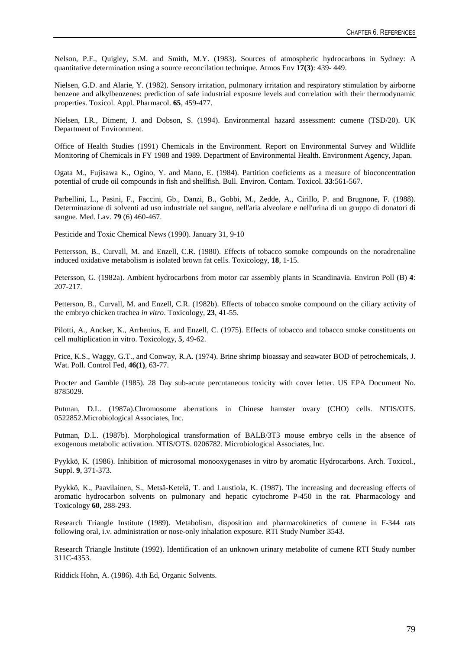Nelson, P.F., Quigley, S.M. and Smith, M.Y. (1983). Sources of atmospheric hydrocarbons in Sydney: A quantitative determination using a source reconcilation technique. Atmos Env **17(3)**: 439- 449.

Nielsen, G.D. and Alarie, Y. (1982). Sensory irritation, pulmonary irritation and respiratory stimulation by airborne benzene and alkylbenzenes: prediction of safe industrial exposure levels and correlation with their thermodynamic properties. Toxicol. Appl. Pharmacol. **65**, 459-477.

Nielsen, I.R., Diment, J. and Dobson, S. (1994). Environmental hazard assessment: cumene (TSD/20). UK Department of Environment.

Office of Health Studies (1991) Chemicals in the Environment. Report on Environmental Survey and Wildlife Monitoring of Chemicals in FY 1988 and 1989. Department of Environmental Health. Environment Agency, Japan.

Ogata M., Fujisawa K., Ogino, Y. and Mano, E. (1984). Partition coeficients as a measure of bioconcentration potential of crude oil compounds in fish and shellfish. Bull. Environ. Contam. Toxicol. **33**:561-567.

Parbellini, L., Pasini, F., Faccini, Gb., Danzi, B., Gobbi, M., Zedde, A., Cirillo, P. and Brugnone, F. (1988). Determinazione di solventi ad uso industriale nel sangue, nell'aria alveolare e nell'urina di un gruppo di donatori di sangue. Med. Lav. **79** (6) 460-467.

Pesticide and Toxic Chemical News (1990). January 31, 9-10

Pettersson, B., Curvall, M. and Enzell, C.R. (1980). Effects of tobacco somoke compounds on the noradrenaline induced oxidative metabolism is isolated brown fat cells. Toxicology, **18**, 1-15.

Petersson, G. (1982a). Ambient hydrocarbons from motor car assembly plants in Scandinavia. Environ Poll (B) **4**: 207-217.

Petterson, B., Curvall, M. and Enzell, C.R. (1982b). Effects of tobacco smoke compound on the ciliary activity of the embryo chicken trachea *in vitro*. Toxicology, **23**, 41-55.

Pilotti, A., Ancker, K., Arrhenius, E. and Enzell, C. (1975). Effects of tobacco and tobacco smoke constituents on cell multiplication in vitro. Toxicology, **5**, 49-62.

Price, K.S., Waggy, G.T., and Conway, R.A. (1974). Brine shrimp bioassay and seawater BOD of petrochemicals, J. Wat. Poll. Control Fed, **46(1)**, 63-77.

Procter and Gamble (1985). 28 Day sub-acute percutaneous toxicity with cover letter. US EPA Document No. 8785029.

Putman, D.L. (1987a).Chromosome aberrations in Chinese hamster ovary (CHO) cells. NTIS/OTS. 0522852.Microbiological Associates, Inc.

Putman, D.L. (1987b). Morphological transformation of BALB/3T3 mouse embryo cells in the absence of exogenous metabolic activation. NTIS/OTS. 0206782. Microbiological Associates, Inc.

Pyykkö, K. (1986). Inhibition of microsomal monooxygenases in vitro by aromatic Hydrocarbons. Arch. Toxicol., Suppl. **9**, 371-373.

Pyykkö, K., Paavilainen, S., Metsä-Ketelä, T. and Laustiola, K. (1987). The increasing and decreasing effects of aromatic hydrocarbon solvents on pulmonary and hepatic cytochrome P-450 in the rat. Pharmacology and Toxicology **60**, 288-293.

Research Triangle Institute (1989). Metabolism, disposition and pharmacokinetics of cumene in F-344 rats following oral, i.v. administration or nose-only inhalation exposure. RTI Study Number 3543.

Research Triangle Institute (1992). Identification of an unknown urinary metabolite of cumene RTI Study number 311C-4353.

Riddick Hohn, A. (1986). 4.th Ed, Organic Solvents.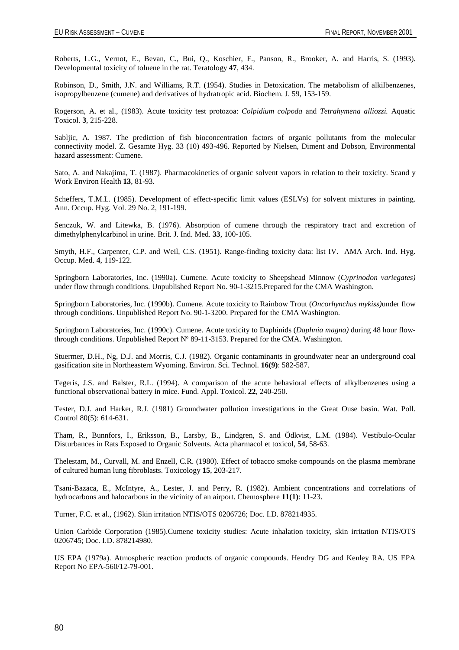Roberts, L.G., Vernot, E., Bevan, C., Bui, Q., Koschier, F., Panson, R., Brooker, A. and Harris, S. (1993). Developmental toxicity of toluene in the rat. Teratology **47**, 434.

Robinson, D., Smith, J.N. and Williams, R.T. (1954). Studies in Detoxication. The metabolism of alkilbenzenes, isopropylbenzene (cumene) and derivatives of hydratropic acid. Biochem. J. 59, 153-159.

Rogerson, A. et al., (1983). Acute toxicity test protozoa: *Colpidium colpoda* and *Tetrahymena alliozzi.* Aquatic Toxicol. **3**, 215-228.

Sabljic, A. 1987. The prediction of fish bioconcentration factors of organic pollutants from the molecular connectivity model. Z. Gesamte Hyg. 33 (10) 493-496. Reported by Nielsen, Diment and Dobson, Environmental hazard assessment: Cumene.

Sato, A. and Nakajima, T. (1987). Pharmacokinetics of organic solvent vapors in relation to their toxicity. Scand y Work Environ Health **13**, 81-93.

Scheffers, T.M.L. (1985). Development of effect-specific limit values (ESLVs) for solvent mixtures in painting. Ann. Occup. Hyg. Vol. 29 No. 2, 191-199.

Senczuk, W. and Litewka, B. (1976). Absorption of cumene through the respiratory tract and excretion of dimethylphenylcarbinol in urine. Brit. J. Ind. Med. **33**, 100-105.

Smyth, H.F., Carpenter, C.P. and Weil, C.S. (1951). Range-finding toxicity data: list IV. AMA Arch. Ind. Hyg. Occup. Med. **4**, 119-122.

Springborn Laboratories, Inc. (1990a). Cumene. Acute toxicity to Sheepshead Minnow (*Cyprinodon variegates)* under flow through conditions. Unpublished Report No. 90-1-3215.Prepared for the CMA Washington.

Springborn Laboratories, Inc. (1990b). Cumene. Acute toxicity to Rainbow Trout (*Oncorhynchus mykiss)*under flow through conditions. Unpublished Report No. 90-1-3200. Prepared for the CMA Washington.

Springborn Laboratories, Inc. (1990c). Cumene. Acute toxicity to Daphinids (*Daphnia magna)* during 48 hour flowthrough conditions. Unpublished Report  $N^{\circ}$  89-11-3153. Prepared for the CMA. Washington.

Stuermer, D.H., Ng, D.J. and Morris, C.J. (1982). Organic contaminants in groundwater near an underground coal gasification site in Northeastern Wyoming. Environ. Sci. Technol. **16(9)**: 582-587.

Tegeris, J.S. and Balster, R.L. (1994). A comparison of the acute behavioral effects of alkylbenzenes using a functional observational battery in mice. Fund. Appl. Toxicol. **22**, 240-250.

Tester, D.J. and Harker, R.J. (1981) Groundwater pollution investigations in the Great Ouse basin. Wat. Poll. Control 80(5): 614-631.

Tham, R., Bunnfors, I., Eriksson, B., Larsby, B., Lindgren, S. and Ödkvist, L.M. (1984). Vestibulo-Ocular Disturbances in Rats Exposed to Organic Solvents. Acta pharmacol et toxicol, **54**, 58-63.

Thelestam, M., Curvall, M. and Enzell, C.R. (1980). Effect of tobacco smoke compounds on the plasma membrane of cultured human lung fibroblasts. Toxicology **15**, 203-217.

Tsani-Bazaca, E., McIntyre, A., Lester, J. and Perry, R. (1982). Ambient concentrations and correlations of hydrocarbons and halocarbons in the vicinity of an airport. Chemosphere **11(1)**: 11-23.

Turner, F.C. et al., (1962). Skin irritation NTIS/OTS 0206726; Doc. I.D. 878214935.

Union Carbide Corporation (1985).Cumene toxicity studies: Acute inhalation toxicity, skin irritation NTIS/OTS 0206745; Doc. I.D. 878214980.

US EPA (1979a). Atmospheric reaction products of organic compounds. Hendry DG and Kenley RA. US EPA Report No EPA-560/12-79-001.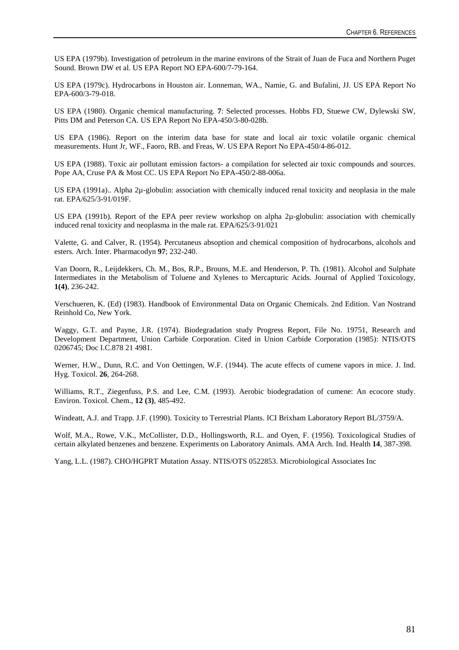US EPA (1979b). Investigation of petroleum in the marine environs of the Strait of Juan de Fuca and Northern Puget Sound. Brown DW et al. US EPA Report NO EPA-600/7-79-164.

US EPA (1979c). Hydrocarbons in Houston air. Lonneman, WA., Namie, G. and Bufalini, JJ. US EPA Report No EPA-600/3-79-018.

US EPA (1980). Organic chemical manufacturing. **7**: Selected processes. Hobbs FD, Stuewe CW, Dylewski SW, Pitts DM and Peterson CA. US EPA Report No EPA-450/3-80-028b.

US EPA (1986). Report on the interim data base for state and local air toxic volatile organic chemical measurements. Hunt Jr, WF., Faoro, RB. and Freas, W. US EPA Report No EPA-450/4-86-012.

US EPA (1988). Toxic air pollutant emission factors- a compilation for selected air toxic compounds and sources. Pope AA, Cruse PA & Most CC. US EPA Report No EPA-450/2-88-006a.

US EPA (1991a).. Alpha 2µ-globulin: association with chemically induced renal toxicity and neoplasia in the male rat. EPA/625/3-91/019F.

US EPA (1991b). Report of the EPA peer review workshop on alpha 2µ-globulin: association with chemically induced renal toxicity and neoplasma in the male rat. EPA/625/3-91/021

Valette, G. and Calver, R. (1954). Percutaneus absoption and chemical composition of hydrocarbons, alcohols and esters. Arch. Inter. Pharmacodyn **97**; 232-240.

Van Doorn, R., Leijdekkers, Ch. M., Bos, R.P., Brouns, M.E. and Henderson, P. Th. (1981). Alcohol and Sulphate Intermediates in the Metabolism of Toluene and Xylenes to Mercapturic Acids. Journal of Applied Toxicology, **1(4)**, 236-242.

Verschueren, K. (Ed) (1983). Handbook of Environmental Data on Organic Chemicals. 2nd Edition. Van Nostrand Reinhold Co, New York.

Waggy, G.T. and Payne, J.R. (1974). Biodegradation study Progress Report, File No. 19751, Research and Development Department, Union Carbide Corporation. Cited in Union Carbide Corporation (1985): NTIS/OTS 0206745; Doc I.C.878 21 4981.

Werner, H.W., Dunn, R.C. and Von Oettingen, W.F. (1944). The acute effects of cumene vapors in mice. J. Ind. Hyg. Toxicol. **26**, 264-268.

Williams, R.T., Ziegenfuss, P.S. and Lee, C.M. (1993). Aerobic biodegradation of cumene: An ecocore study. Environ. Toxicol. Chem., **12 (3)**, 485-492.

Windeatt, A.J. and Trapp. J.F. (1990). Toxicity to Terrestrial Plants. ICI Brixham Laboratory Report BL/3759/A.

Wolf, M.A., Rowe, V.K., McCollister, D.D., Hollingsworth, R.L. and Oyen, F. (1956). Toxicological Studies of certain alkylated benzenes and benzene. Experiments on Laboratory Animals. AMA Arch. Ind. Health **14**, 387-398.

Yang, L.L. (1987). CHO/HGPRT Mutation Assay. NTIS/OTS 0522853. Microbiological Associates Inc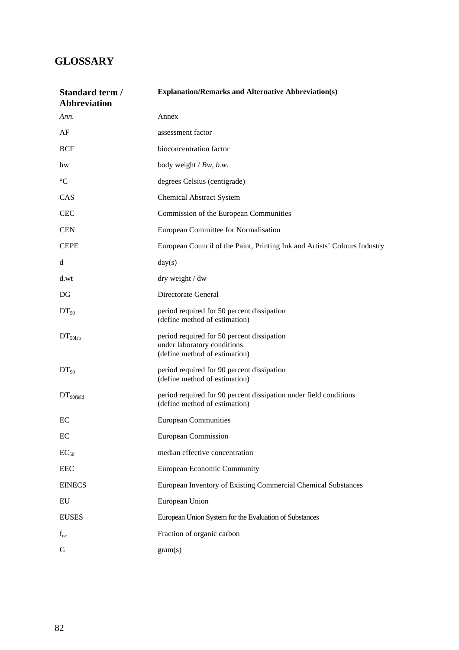# **GLOSSARY**

| Standard term /<br><b>Abbreviation</b> | <b>Explanation/Remarks and Alternative Abbreviation(s)</b>                                                 |
|----------------------------------------|------------------------------------------------------------------------------------------------------------|
| Ann.                                   | Annex                                                                                                      |
| AF                                     | assessment factor                                                                                          |
| <b>BCF</b>                             | bioconcentration factor                                                                                    |
| bw                                     | body weight / $Bw$ , $b.w$ .                                                                               |
| $\rm ^{\circ}C$                        | degrees Celsius (centigrade)                                                                               |
| CAS                                    | <b>Chemical Abstract System</b>                                                                            |
| <b>CEC</b>                             | Commission of the European Communities                                                                     |
| <b>CEN</b>                             | European Committee for Normalisation                                                                       |
| <b>CEPE</b>                            | European Council of the Paint, Printing Ink and Artists' Colours Industry                                  |
| d                                      | day(s)                                                                                                     |
| d.wt                                   | dry weight / dw                                                                                            |
| DG                                     | Directorate General                                                                                        |
| $DT_{50}$                              | period required for 50 percent dissipation<br>(define method of estimation)                                |
| $DT_{50lab}$                           | period required for 50 percent dissipation<br>under laboratory conditions<br>(define method of estimation) |
| $DT_{90}$                              | period required for 90 percent dissipation<br>(define method of estimation)                                |
| DT <sub>90field</sub>                  | period required for 90 percent dissipation under field conditions<br>(define method of estimation)         |
| EC                                     | <b>European Communities</b>                                                                                |
| EC                                     | <b>European Commission</b>                                                                                 |
| $EC_{50}$                              | median effective concentration                                                                             |
| <b>EEC</b>                             | European Economic Community                                                                                |
| <b>EINECS</b>                          | European Inventory of Existing Commercial Chemical Substances                                              |
| EU                                     | European Union                                                                                             |
| <b>EUSES</b>                           | European Union System for the Evaluation of Substances                                                     |
| $\mathbf{f}_{\text{oc}}$               | Fraction of organic carbon                                                                                 |
| G                                      | gram(s)                                                                                                    |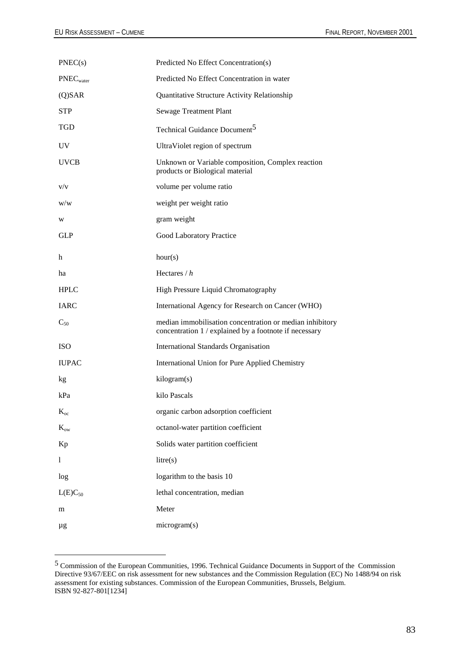$\overline{a}$ 

| PNEC(s)               | Predicted No Effect Concentration(s)                                                                               |
|-----------------------|--------------------------------------------------------------------------------------------------------------------|
| PNEC <sub>water</sub> | Predicted No Effect Concentration in water                                                                         |
| $(Q)$ SAR             | Quantitative Structure Activity Relationship                                                                       |
| <b>STP</b>            | <b>Sewage Treatment Plant</b>                                                                                      |
| TGD                   | Technical Guidance Document <sup>5</sup>                                                                           |
| <b>UV</b>             | UltraViolet region of spectrum                                                                                     |
| <b>UVCB</b>           | Unknown or Variable composition, Complex reaction<br>products or Biological material                               |
| V/V                   | volume per volume ratio                                                                                            |
| W/W                   | weight per weight ratio                                                                                            |
| W                     | gram weight                                                                                                        |
| <b>GLP</b>            | Good Laboratory Practice                                                                                           |
| h                     | hour(s)                                                                                                            |
| ha                    | Hectares $/h$                                                                                                      |
| <b>HPLC</b>           | High Pressure Liquid Chromatography                                                                                |
| <b>IARC</b>           | International Agency for Research on Cancer (WHO)                                                                  |
| $C_{50}$              | median immobilisation concentration or median inhibitory<br>concentration 1 / explained by a footnote if necessary |
| <b>ISO</b>            | <b>International Standards Organisation</b>                                                                        |
| <b>IUPAC</b>          | <b>International Union for Pure Applied Chemistry</b>                                                              |
| kg                    | kilogram(s)                                                                                                        |
| kPa                   | kilo Pascals                                                                                                       |
| $K_{oc}$              | organic carbon adsorption coefficient                                                                              |
| $K_{ow}$              | octanol-water partition coefficient                                                                                |
| Kp                    | Solids water partition coefficient                                                                                 |
| 1                     | litre(s)                                                                                                           |
| log                   | logarithm to the basis 10                                                                                          |
| $L(E)C_{50}$          | lethal concentration, median                                                                                       |
| m                     | Meter                                                                                                              |
| μg                    | microgram(s)                                                                                                       |

<sup>5</sup> Commission of the European Communities, 1996. Technical Guidance Documents in Support of the Commission Directive 93/67/EEC on risk assessment for new substances and the Commission Regulation (EC) No 1488/94 on risk assessment for existing substances. Commission of the European Communities, Brussels, Belgium. ISBN 92-827-801[1234]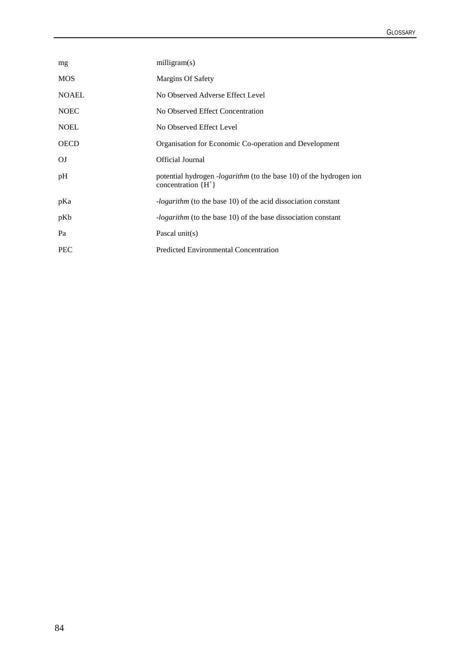| mg           | milligram(s)                                                                                |
|--------------|---------------------------------------------------------------------------------------------|
| <b>MOS</b>   | Margins Of Safety                                                                           |
| <b>NOAEL</b> | No Observed Adverse Effect Level                                                            |
| <b>NOEC</b>  | No Observed Effect Concentration                                                            |
| <b>NOEL</b>  | No Observed Effect Level                                                                    |
| <b>OECD</b>  | Organisation for Economic Co-operation and Development                                      |
| OJ           | <b>Official Journal</b>                                                                     |
| pH           | potential hydrogen -logarithm (to the base 10) of the hydrogen ion<br>concentration ${H^+}$ |
| pKa          | <i>-logarithm</i> (to the base 10) of the acid dissociation constant                        |
| pKb          | <i>-logarithm</i> (to the base 10) of the base dissociation constant                        |
| Pa           | Pascal unit(s)                                                                              |
| <b>PEC</b>   | Predicted Environmental Concentration                                                       |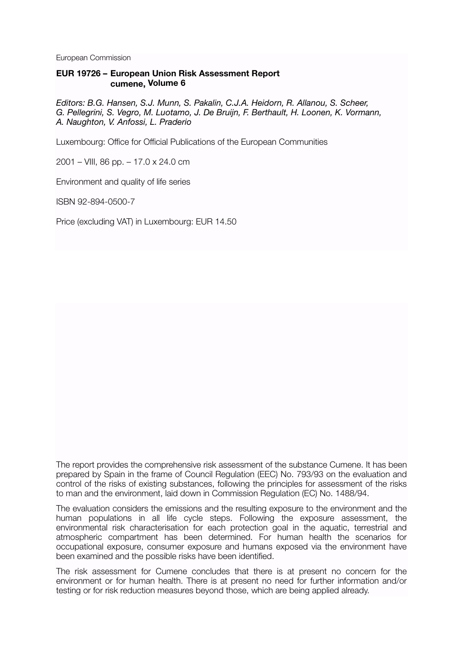European Commission

#### **EUR 19726 – European Union Risk Assessment Report cumene, Volume 6**

*Editors: B.G. Hansen, S.J. Munn, S. Pakalin, C.J.A. Heidorn, R. Allanou, S. Scheer, G. Pellegrini, S. Vegro, M. Luotamo, J. De Bruijn, F. Berthault, H. Loonen, K. Vormann, A. Naughton, V. Anfossi, L. Praderio*

Luxembourg: Office for Official Publications of the European Communities

2001 – VIII, 86 pp. – 17.0 x 24.0 cm

Environment and quality of life series

ISBN 92-894-0500-7

Price (excluding VAT) in Luxembourg: EUR 14.50

The report provides the comprehensive risk assessment of the substance Cumene. It has been prepared by Spain in the frame of Council Regulation (EEC) No. 793/93 on the evaluation and control of the risks of existing substances, following the principles for assessment of the risks to man and the environment, laid down in Commission Regulation (EC) No. 1488/94.

The evaluation considers the emissions and the resulting exposure to the environment and the human populations in all life cycle steps. Following the exposure assessment, the environmental risk characterisation for each protection goal in the aquatic, terrestrial and atmospheric compartment has been determined. For human health the scenarios for occupational exposure, consumer exposure and humans exposed via the environment have been examined and the possible risks have been identified.

The risk assessment for Cumene concludes that there is at present no concern for the environment or for human health. There is at present no need for further information and/or testing or for risk reduction measures beyond those, which are being applied already.